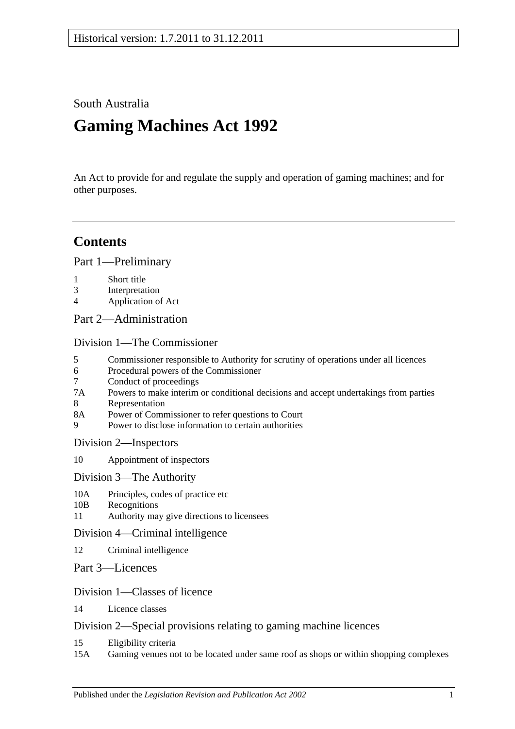South Australia

# **Gaming Machines Act 1992**

An Act to provide for and regulate the supply and operation of gaming machines; and for other purposes.

## **Contents**

[Part 1—Preliminary](#page-4-0)

- 1 [Short title](#page-4-1)
- 3 [Interpretation](#page-4-2)
- 4 [Application of Act](#page-7-0)
- [Part 2—Administration](#page-8-0)

[Division 1—The Commissioner](#page-8-1)

- 5 [Commissioner responsible to Authority for scrutiny of operations under all licences](#page-8-2)
- 6 [Procedural powers of the Commissioner](#page-8-3)
- 7 [Conduct of proceedings](#page-9-0)<br>7A Powers to make interim
- [Powers to make interim or conditional decisions and accept undertakings from parties](#page-9-1)
- 8 [Representation](#page-9-2)<br>8A Power of Comm
- [Power of Commissioner to refer questions to Court](#page-10-0)
- 9 [Power to disclose information to certain authorities](#page-10-1)

[Division 2—Inspectors](#page-10-2)

- 10 [Appointment of inspectors](#page-10-3)
- [Division 3—The Authority](#page-11-0)
- 10A [Principles, codes of practice etc](#page-11-1)
- 10B [Recognitions](#page-12-0)
- 11 [Authority may give directions](#page-13-0) to licensees

### [Division 4—Criminal intelligence](#page-13-1)

- 12 [Criminal intelligence](#page-13-2)
- [Part 3—Licences](#page-14-0)

### [Division 1—Classes of licence](#page-14-1)

14 [Licence classes](#page-14-2)

### [Division 2—Special provisions relating to gaming machine licences](#page-15-0)

- 15 [Eligibility criteria](#page-15-1)
- 15A [Gaming venues not to be located under same roof as shops or within shopping complexes](#page-17-0)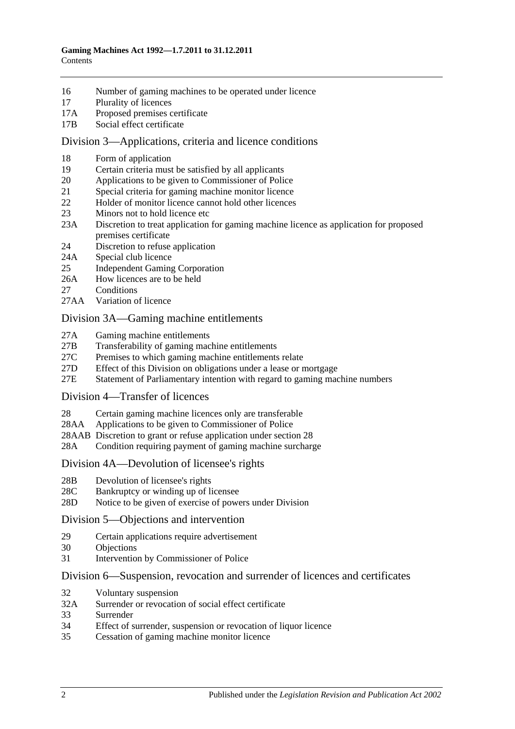- 16 [Number of gaming machines to be operated under licence](#page-17-1)
- 17 [Plurality of licences](#page-18-0)
- 17A [Proposed premises certificate](#page-18-1)
- 17B [Social effect certificate](#page-19-0)

#### [Division 3—Applications, criteria and licence conditions](#page-20-0)

- 18 [Form of application](#page-20-1)<br>19 Certain criteria must
- [Certain criteria must be satisfied by all applicants](#page-20-2)
- 20 [Applications to be given to Commissioner of Police](#page-21-0)
- 21 [Special criteria for gaming machine monitor licence](#page-21-1)
- 22 [Holder of monitor licence cannot hold other licences](#page-21-2)
- 23 [Minors not to hold licence etc](#page-21-3)
- 23A [Discretion to treat application for gaming machine licence as application for proposed](#page-21-4)  [premises certificate](#page-21-4)
- 24 [Discretion to refuse application](#page-22-0)
- 24A [Special club licence](#page-22-1)
- 25 [Independent Gaming Corporation](#page-23-0)
- 26A [How licences are to be held](#page-23-1)
- 27 [Conditions](#page-23-2)
- 27AA [Variation of licence](#page-24-0)

#### [Division 3A—Gaming machine entitlements](#page-25-0)

- 27A [Gaming machine entitlements](#page-25-1)
- 27B [Transferability of gaming machine entitlements](#page-26-0)
- 27C [Premises to which gaming machine entitlements relate](#page-28-0)
- 27D [Effect of this Division on obligations under a lease or mortgage](#page-28-1)
- 27E [Statement of Parliamentary intention with regard to gaming machine numbers](#page-29-0)

#### [Division 4—Transfer of licences](#page-29-1)

- 28 [Certain gaming machine licences only are transferable](#page-29-2)
- 28AA [Applications to be given to Commissioner of Police](#page-30-0)
- 28AAB [Discretion to grant or refuse application under section](#page-30-1) 28
- 28A [Condition requiring payment of gaming machine surcharge](#page-31-0)

#### [Division 4A—Devolution of licensee's rights](#page-31-1)

- 28B [Devolution of licensee's rights](#page-31-2)
- 28C [Bankruptcy or winding up of licensee](#page-32-0)
- 28D [Notice to be given of exercise of powers under Division](#page-32-1)

#### [Division 5—Objections and intervention](#page-32-2)

- 29 [Certain applications require advertisement](#page-32-3)
- 30 [Objections](#page-33-0)<br>31 Intervention
- [Intervention by Commissioner of Police](#page-33-1)

#### [Division 6—Suspension, revocation and surrender of licences and certificates](#page-34-0)

- 32 [Voluntary suspension](#page-34-1)
- 32A [Surrender or revocation of social effect certificate](#page-34-2)
- 33 [Surrender](#page-34-3)
- 34 [Effect of surrender, suspension or revocation of liquor licence](#page-34-4)
- 35 [Cessation of gaming machine monitor licence](#page-35-0)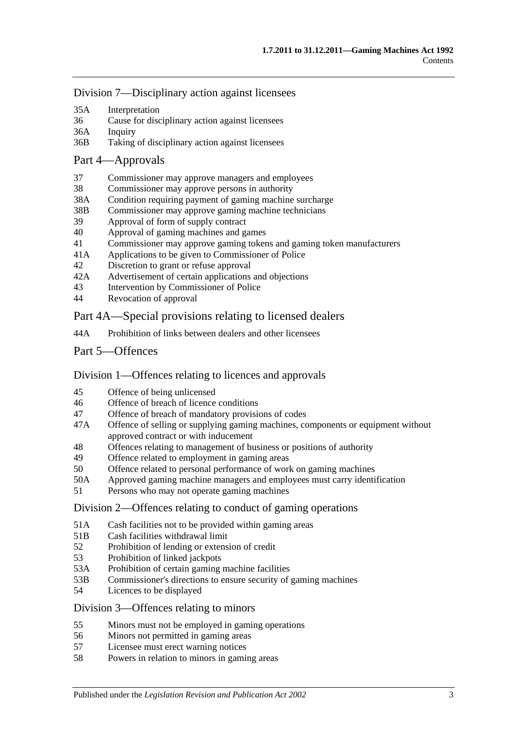[Division 7—Disciplinary action against licensees](#page-35-1)

- 35A [Interpretation](#page-35-2)
- 36 [Cause for disciplinary action against licensees](#page-35-3)
- 36A [Inquiry](#page-36-0)
- 36B [Taking of disciplinary action against licensees](#page-36-1)

#### [Part 4—Approvals](#page-37-0)

- 37 [Commissioner may approve managers and employees](#page-37-1)
- 38 [Commissioner may approve persons in authority](#page-37-2)
- 38A [Condition requiring payment of gaming machine surcharge](#page-38-0)
- 38B [Commissioner may approve gaming machine technicians](#page-38-1)
- 39 [Approval of form of supply contract](#page-38-2)<br>40 Approval of gaming machines and g
- 40 [Approval of gaming machines and games](#page-38-3)
- 41 [Commissioner may approve gaming tokens and gaming token](#page-39-0) manufacturers
- 41A [Applications to be given to Commissioner of Police](#page-39-1)
- 42 Discretion to [grant or refuse approval](#page-39-2)
- 42A [Advertisement of certain applications and objections](#page-40-0)
- 43 [Intervention by Commissioner of Police](#page-40-1)
- 44 [Revocation of approval](#page-40-2)

### Part [4A—Special provisions relating to licensed dealers](#page-41-0)

- 44A [Prohibition of links between dealers and other licensees](#page-41-1)
- [Part 5—Offences](#page-42-0)

### [Division 1—Offences relating to licences and approvals](#page-42-1)

- 45 [Offence of being unlicensed](#page-42-2)
- 46 [Offence of breach of licence conditions](#page-42-3)
- 47 [Offence of breach of mandatory provisions of codes](#page-43-0)
- 47A [Offence of selling or supplying gaming machines, components or equipment without](#page-43-1)  [approved contract or with inducement](#page-43-1)
- 48 [Offences relating to management of business or positions of authority](#page-43-2)
- 49 [Offence related to employment in gaming areas](#page-44-0)
- 50 [Offence related to personal performance of work on gaming machines](#page-44-1)
- 50A [Approved gaming machine managers and employees must carry identification](#page-44-2)
- 51 [Persons who may not operate gaming machines](#page-45-0)

#### [Division 2—Offences relating to conduct of gaming operations](#page-46-0)

- 51A [Cash facilities not to be provided within gaming areas](#page-46-1)
- 51B [Cash facilities withdrawal limit](#page-46-2)
- 52 [Prohibition of lending or extension of credit](#page-47-0)
- 53 [Prohibition of linked jackpots](#page-47-1)
- 53A [Prohibition of certain gaming machine facilities](#page-48-0)
- 53B [Commissioner's directions to ensure security of gaming machines](#page-48-1)
- 54 [Licences to be displayed](#page-49-0)
- [Division 3—Offences relating to minors](#page-49-1)
- 55 [Minors must not be employed in gaming operations](#page-49-2)<br>56 Minors not permitted in gaming areas
- [Minors not permitted in gaming areas](#page-49-3)
- 57 [Licensee must erect warning notices](#page-49-4)
- 58 [Powers in relation to minors in gaming areas](#page-50-0)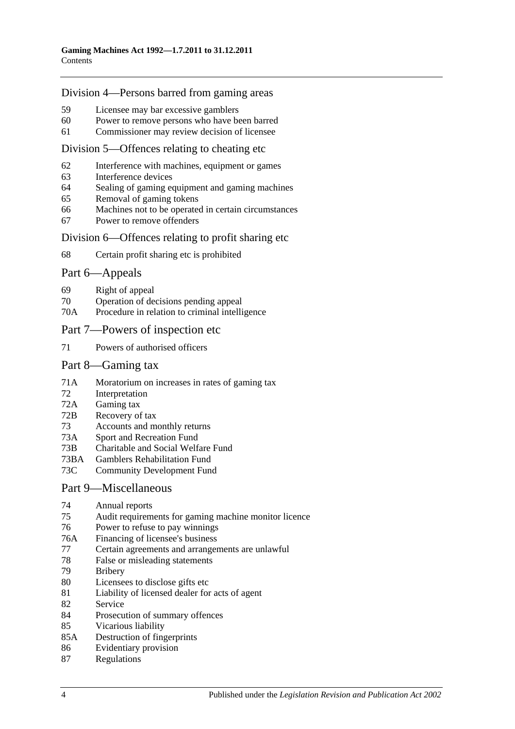#### [Division 4—Persons barred from gaming areas](#page-50-1)

- 59 [Licensee may bar excessive gamblers](#page-50-2)
- 60 [Power to remove persons who have been barred](#page-51-0)
- 61 [Commissioner may review decision of licensee](#page-51-1)

#### [Division 5—Offences relating to cheating etc](#page-51-2)

- 62 [Interference with machines, equipment or games](#page-51-3)
- 63 [Interference devices](#page-52-0)
- 64 [Sealing of gaming equipment and gaming machines](#page-52-1)
- 65 [Removal of gaming tokens](#page-52-2)
- 66 [Machines not to be operated in certain circumstances](#page-52-3)
- 67 [Power to remove offenders](#page-52-4)

#### [Division 6—Offences relating to profit sharing etc](#page-53-0)

68 [Certain profit sharing etc is prohibited](#page-53-1)

#### [Part 6—Appeals](#page-54-0)

- 69 [Right of appeal](#page-54-1)
- 70 [Operation of decisions pending appeal](#page-55-0)
- 70A [Procedure in relation to criminal intelligence](#page-55-1)

#### [Part 7—Powers of inspection etc](#page-55-2)

71 [Powers of authorised officers](#page-55-3)

#### [Part 8—Gaming tax](#page-57-0)

- 71A [Moratorium on increases in rates of gaming tax](#page-57-1)
- 72 [Interpretation](#page-57-2)
- 72A [Gaming tax](#page-60-0)
- 72B [Recovery of tax](#page-61-0)
- 73 [Accounts and monthly returns](#page-62-0)
- 73A [Sport and Recreation Fund](#page-62-1)
- 73B [Charitable and Social Welfare Fund](#page-63-0)
- 73BA [Gamblers Rehabilitation Fund](#page-63-1)
- 73C [Community Development Fund](#page-63-2)

#### [Part 9—Miscellaneous](#page-63-3)

- 74 [Annual reports](#page-63-4)<br>75 Audit requirem
- [Audit requirements for gaming machine monitor licence](#page-64-0)
- 76 [Power to refuse to pay winnings](#page-64-1)
- 76A [Financing of licensee's business](#page-64-2)
- 77 [Certain agreements and arrangements are unlawful](#page-65-0)
- 78 [False or misleading statements](#page-65-1)
- 79 [Bribery](#page-65-2)
- 80 [Licensees to disclose gifts etc](#page-66-0)
- 81 [Liability of licensed dealer for acts of agent](#page-66-1)
- 82 [Service](#page-66-2)
- 84 [Prosecution of summary offences](#page-67-0)
- 85 [Vicarious liability](#page-67-1)
- 85A [Destruction of fingerprints](#page-67-2)
- 86 [Evidentiary provision](#page-68-0)
- 87 [Regulations](#page-68-1)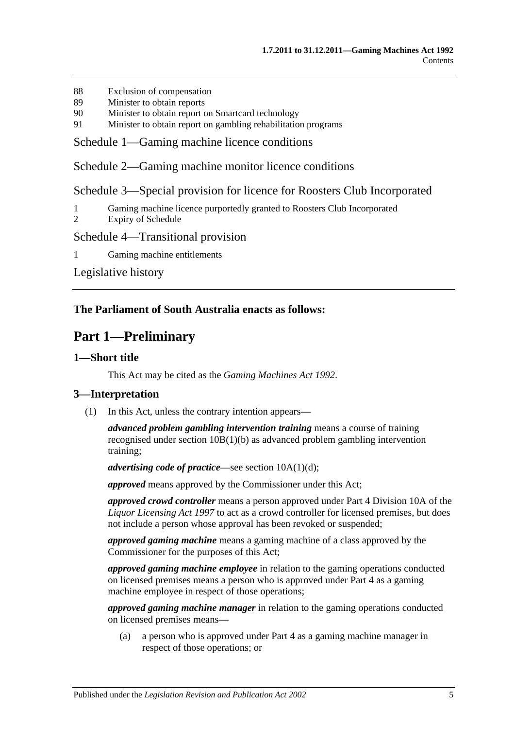- 88 [Exclusion of compensation](#page-69-0)
- 89 [Minister to obtain reports](#page-69-1)
- 90 [Minister to obtain report on Smartcard technology](#page-70-0)
- 91 [Minister to obtain report on gambling rehabilitation programs](#page-70-1)

[Schedule 1—Gaming machine licence conditions](#page-70-2)

[Schedule 2—Gaming machine monitor licence conditions](#page-71-0)

[Schedule 3—Special provision for licence for Roosters Club Incorporated](#page-72-0)

- 1 [Gaming machine licence purportedly granted to Roosters Club Incorporated](#page-72-1)
- 2 [Expiry of Schedule](#page-72-2)

#### [Schedule 4—Transitional provision](#page-73-0)

1 [Gaming machine](#page-73-1) entitlements

[Legislative history](#page-74-0)

#### <span id="page-4-0"></span>**The Parliament of South Australia enacts as follows:**

## **Part 1—Preliminary**

#### <span id="page-4-1"></span>**1—Short title**

This Act may be cited as the *Gaming Machines Act 1992*.

#### <span id="page-4-2"></span>**3—Interpretation**

(1) In this Act, unless the contrary intention appears—

*advanced problem gambling intervention training* means a course of training recognised under section [10B\(1\)\(b\)](#page-12-1) as advanced problem gambling intervention training;

*advertising code of practice*—see section [10A\(1\)\(d\);](#page-11-2)

*approved* means approved by the Commissioner under this Act;

*approved crowd controller* means a person approved under Part 4 Division 10A of the *[Liquor Licensing Act](http://www.legislation.sa.gov.au/index.aspx?action=legref&type=act&legtitle=Liquor%20Licensing%20Act%201997) 1997* to act as a crowd controller for licensed premises, but does not include a person whose approval has been revoked or suspended;

*approved gaming machine* means a gaming machine of a class approved by the Commissioner for the purposes of this Act;

*approved gaming machine employee* in relation to the gaming operations conducted on licensed premises means a person who is approved under [Part 4](#page-37-0) as a gaming machine employee in respect of those operations;

*approved gaming machine manager* in relation to the gaming operations conducted on licensed premises means—

(a) a person who is approved under [Part 4](#page-37-0) as a gaming machine manager in respect of those operations; or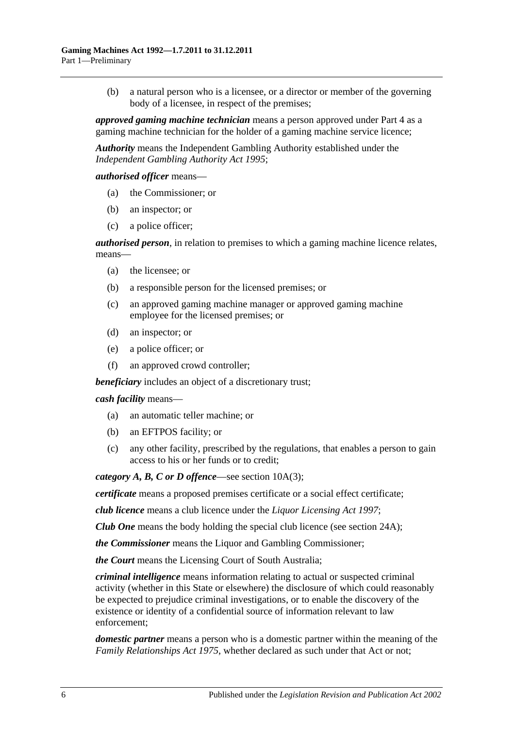(b) a natural person who is a licensee, or a director or member of the governing body of a licensee, in respect of the premises;

*approved gaming machine technician* means a person approved under [Part 4](#page-37-0) as a gaming machine technician for the holder of a gaming machine service licence;

*Authority* means the Independent Gambling Authority established under the *[Independent Gambling Authority Act](http://www.legislation.sa.gov.au/index.aspx?action=legref&type=act&legtitle=Independent%20Gambling%20Authority%20Act%201995) 1995*;

*authorised officer* means—

- (a) the Commissioner; or
- (b) an inspector; or
- (c) a police officer;

*authorised person*, in relation to premises to which a gaming machine licence relates, means—

- (a) the licensee; or
- (b) a responsible person for the licensed premises; or
- (c) an approved gaming machine manager or approved gaming machine employee for the licensed premises; or
- (d) an inspector; or
- (e) a police officer; or
- (f) an approved crowd controller;

*beneficiary* includes an object of a discretionary trust;

*cash facility* means—

- (a) an automatic teller machine; or
- (b) an EFTPOS facility; or
- (c) any other facility, prescribed by the regulations, that enables a person to gain access to his or her funds or to credit;

*category A, B, C or D offence*—see section [10A\(3\);](#page-11-3)

*certificate* means a proposed premises certificate or a social effect certificate;

*club licence* means a club licence under the *[Liquor Licensing Act](http://www.legislation.sa.gov.au/index.aspx?action=legref&type=act&legtitle=Liquor%20Licensing%20Act%201997) 1997*;

*Club One* means the body holding the special club licence (see [section](#page-22-1) 24A);

*the Commissioner* means the Liquor and Gambling Commissioner;

*the Court* means the Licensing Court of South Australia;

*criminal intelligence* means information relating to actual or suspected criminal activity (whether in this State or elsewhere) the disclosure of which could reasonably be expected to prejudice criminal investigations, or to enable the discovery of the existence or identity of a confidential source of information relevant to law enforcement;

*domestic partner* means a person who is a domestic partner within the meaning of the *[Family Relationships Act](http://www.legislation.sa.gov.au/index.aspx?action=legref&type=act&legtitle=Family%20Relationships%20Act%201975) 1975*, whether declared as such under that Act or not;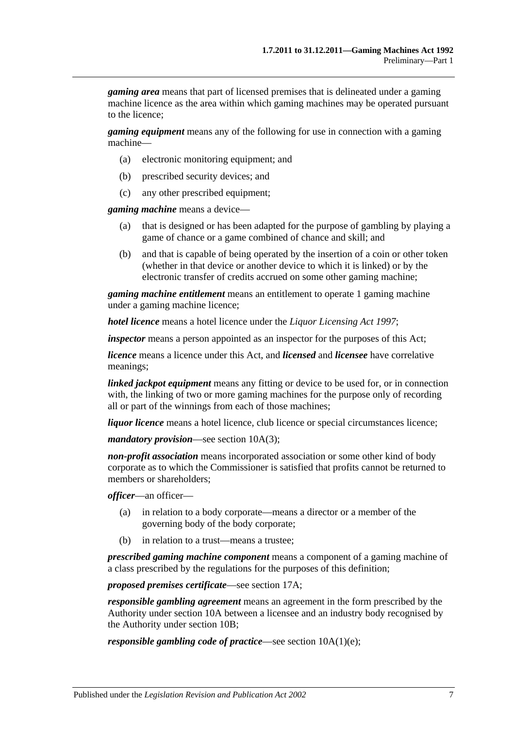*gaming area* means that part of licensed premises that is delineated under a gaming machine licence as the area within which gaming machines may be operated pursuant to the licence;

*gaming equipment* means any of the following for use in connection with a gaming machine—

- (a) electronic monitoring equipment; and
- (b) prescribed security devices; and
- (c) any other prescribed equipment;

*gaming machine* means a device—

- (a) that is designed or has been adapted for the purpose of gambling by playing a game of chance or a game combined of chance and skill; and
- (b) and that is capable of being operated by the insertion of a coin or other token (whether in that device or another device to which it is linked) or by the electronic transfer of credits accrued on some other gaming machine;

*gaming machine entitlement* means an entitlement to operate 1 gaming machine under a gaming machine licence;

*hotel licence* means a hotel licence under the *[Liquor Licensing Act](http://www.legislation.sa.gov.au/index.aspx?action=legref&type=act&legtitle=Liquor%20Licensing%20Act%201997) 1997*;

*inspector* means a person appointed as an inspector for the purposes of this Act;

*licence* means a licence under this Act, and *licensed* and *licensee* have correlative meanings;

*linked jackpot equipment* means any fitting or device to be used for, or in connection with, the linking of two or more gaming machines for the purpose only of recording all or part of the winnings from each of those machines;

*liquor licence* means a hotel licence, club licence or special circumstances licence;

*mandatory provision*—see section [10A\(3\);](#page-11-3)

*non-profit association* means incorporated association or some other kind of body corporate as to which the Commissioner is satisfied that profits cannot be returned to members or shareholders;

*officer*—an officer—

- (a) in relation to a body corporate—means a director or a member of the governing body of the body corporate;
- (b) in relation to a trust—means a trustee;

*prescribed gaming machine component* means a component of a gaming machine of a class prescribed by the regulations for the purposes of this definition;

*proposed premises certificate*—see [section](#page-18-1) 17A;

*responsible gambling agreement* means an agreement in the form prescribed by the Authority under [section](#page-11-1) 10A between a licensee and an industry body recognised by the Authority under [section](#page-12-0) 10B;

*responsible gambling code of practice*—see section [10A\(1\)\(e\);](#page-11-4)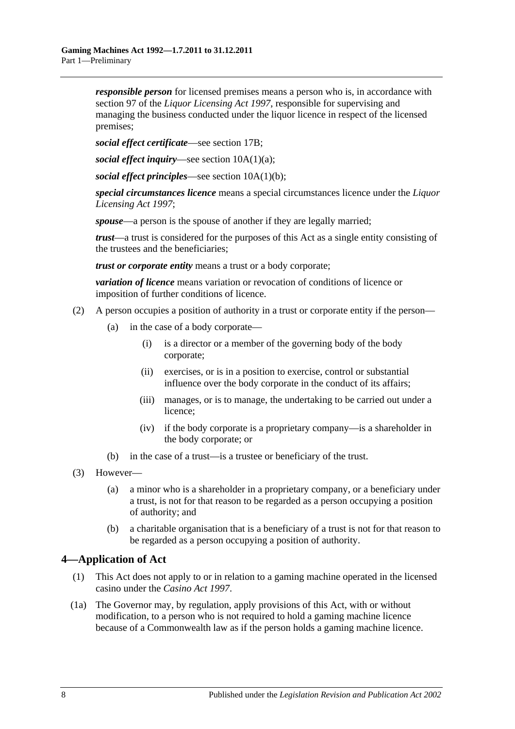*responsible person* for licensed premises means a person who is, in accordance with section 97 of the *[Liquor Licensing Act](http://www.legislation.sa.gov.au/index.aspx?action=legref&type=act&legtitle=Liquor%20Licensing%20Act%201997) 1997*, responsible for supervising and managing the business conducted under the liquor licence in respect of the licensed premises;

*social effect certificate*—see [section](#page-19-0) 17B;

*social effect inquiry*—see section [10A\(1\)\(a\);](#page-11-5)

*social effect principles*—see section [10A\(1\)\(b\);](#page-11-6)

*special circumstances licence* means a special circumstances licence under the *[Liquor](http://www.legislation.sa.gov.au/index.aspx?action=legref&type=act&legtitle=Liquor%20Licensing%20Act%201997)  [Licensing Act](http://www.legislation.sa.gov.au/index.aspx?action=legref&type=act&legtitle=Liquor%20Licensing%20Act%201997) 1997*;

*spouse*—a person is the spouse of another if they are legally married;

*trust*—a trust is considered for the purposes of this Act as a single entity consisting of the trustees and the beneficiaries;

*trust or corporate entity* means a trust or a body corporate;

*variation of licence* means variation or revocation of conditions of licence or imposition of further conditions of licence.

- (2) A person occupies a position of authority in a trust or corporate entity if the person—
	- (a) in the case of a body corporate—
		- (i) is a director or a member of the governing body of the body corporate;
		- (ii) exercises, or is in a position to exercise, control or substantial influence over the body corporate in the conduct of its affairs;
		- (iii) manages, or is to manage, the undertaking to be carried out under a licence;
		- (iv) if the body corporate is a proprietary company—is a shareholder in the body corporate; or
	- (b) in the case of a trust—is a trustee or beneficiary of the trust.
- (3) However—
	- (a) a minor who is a shareholder in a proprietary company, or a beneficiary under a trust, is not for that reason to be regarded as a person occupying a position of authority; and
	- (b) a charitable organisation that is a beneficiary of a trust is not for that reason to be regarded as a person occupying a position of authority.

### <span id="page-7-0"></span>**4—Application of Act**

- (1) This Act does not apply to or in relation to a gaming machine operated in the licensed casino under the *[Casino Act](http://www.legislation.sa.gov.au/index.aspx?action=legref&type=act&legtitle=Casino%20Act%201997) 1997*.
- (1a) The Governor may, by regulation, apply provisions of this Act, with or without modification, to a person who is not required to hold a gaming machine licence because of a Commonwealth law as if the person holds a gaming machine licence.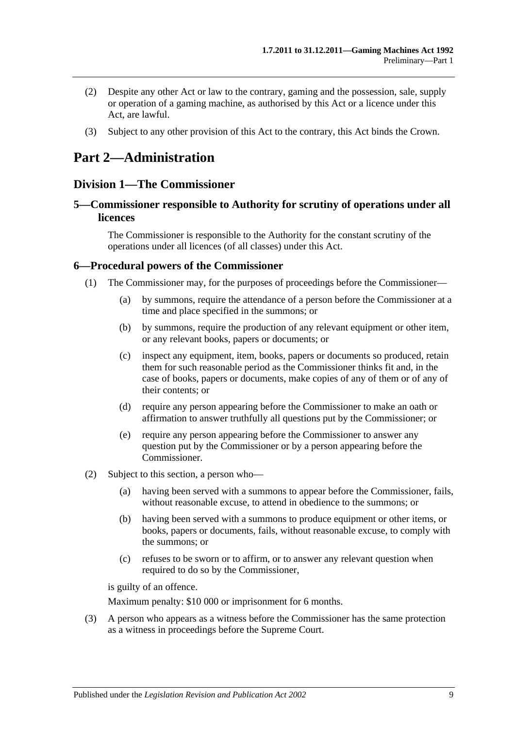- (2) Despite any other Act or law to the contrary, gaming and the possession, sale, supply or operation of a gaming machine, as authorised by this Act or a licence under this Act, are lawful.
- (3) Subject to any other provision of this Act to the contrary, this Act binds the Crown.

## <span id="page-8-0"></span>**Part 2—Administration**

### <span id="page-8-1"></span>**Division 1—The Commissioner**

### <span id="page-8-2"></span>**5—Commissioner responsible to Authority for scrutiny of operations under all licences**

The Commissioner is responsible to the Authority for the constant scrutiny of the operations under all licences (of all classes) under this Act.

#### <span id="page-8-3"></span>**6—Procedural powers of the Commissioner**

- (1) The Commissioner may, for the purposes of proceedings before the Commissioner—
	- (a) by summons, require the attendance of a person before the Commissioner at a time and place specified in the summons; or
	- (b) by summons, require the production of any relevant equipment or other item, or any relevant books, papers or documents; or
	- (c) inspect any equipment, item, books, papers or documents so produced, retain them for such reasonable period as the Commissioner thinks fit and, in the case of books, papers or documents, make copies of any of them or of any of their contents; or
	- (d) require any person appearing before the Commissioner to make an oath or affirmation to answer truthfully all questions put by the Commissioner; or
	- (e) require any person appearing before the Commissioner to answer any question put by the Commissioner or by a person appearing before the Commissioner.
- (2) Subject to this section, a person who—
	- (a) having been served with a summons to appear before the Commissioner, fails, without reasonable excuse, to attend in obedience to the summons; or
	- (b) having been served with a summons to produce equipment or other items, or books, papers or documents, fails, without reasonable excuse, to comply with the summons; or
	- (c) refuses to be sworn or to affirm, or to answer any relevant question when required to do so by the Commissioner,

is guilty of an offence.

Maximum penalty: \$10 000 or imprisonment for 6 months.

(3) A person who appears as a witness before the Commissioner has the same protection as a witness in proceedings before the Supreme Court.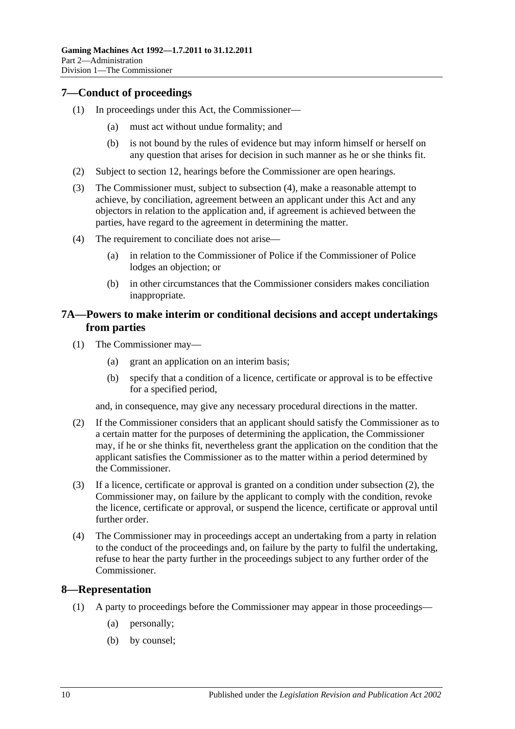### <span id="page-9-0"></span>**7—Conduct of proceedings**

- (1) In proceedings under this Act, the Commissioner—
	- (a) must act without undue formality; and
	- (b) is not bound by the rules of evidence but may inform himself or herself on any question that arises for decision in such manner as he or she thinks fit.
- (2) Subject to [section](#page-13-2) 12, hearings before the Commissioner are open hearings.
- (3) The Commissioner must, subject to [subsection](#page-9-3) (4), make a reasonable attempt to achieve, by conciliation, agreement between an applicant under this Act and any objectors in relation to the application and, if agreement is achieved between the parties, have regard to the agreement in determining the matter.
- <span id="page-9-3"></span>(4) The requirement to conciliate does not arise—
	- (a) in relation to the Commissioner of Police if the Commissioner of Police lodges an objection; or
	- (b) in other circumstances that the Commissioner considers makes conciliation inappropriate.

### <span id="page-9-1"></span>**7A—Powers to make interim or conditional decisions and accept undertakings from parties**

- (1) The Commissioner may—
	- (a) grant an application on an interim basis;
	- (b) specify that a condition of a licence, certificate or approval is to be effective for a specified period,

and, in consequence, may give any necessary procedural directions in the matter.

- <span id="page-9-4"></span>(2) If the Commissioner considers that an applicant should satisfy the Commissioner as to a certain matter for the purposes of determining the application, the Commissioner may, if he or she thinks fit, nevertheless grant the application on the condition that the applicant satisfies the Commissioner as to the matter within a period determined by the Commissioner.
- (3) If a licence, certificate or approval is granted on a condition under [subsection](#page-9-4) (2), the Commissioner may, on failure by the applicant to comply with the condition, revoke the licence, certificate or approval, or suspend the licence, certificate or approval until further order.
- (4) The Commissioner may in proceedings accept an undertaking from a party in relation to the conduct of the proceedings and, on failure by the party to fulfil the undertaking, refuse to hear the party further in the proceedings subject to any further order of the Commissioner.

### <span id="page-9-2"></span>**8—Representation**

- (1) A party to proceedings before the Commissioner may appear in those proceedings—
	- (a) personally;
	- (b) by counsel;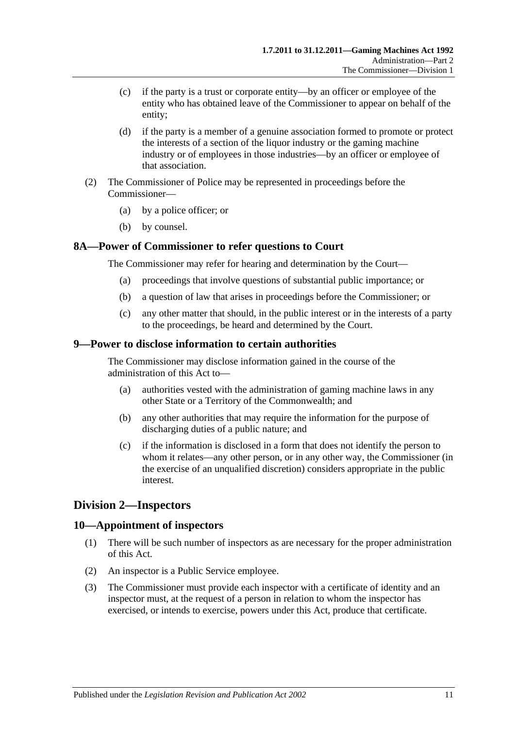- (c) if the party is a trust or corporate entity—by an officer or employee of the entity who has obtained leave of the Commissioner to appear on behalf of the entity;
- (d) if the party is a member of a genuine association formed to promote or protect the interests of a section of the liquor industry or the gaming machine industry or of employees in those industries—by an officer or employee of that association.
- (2) The Commissioner of Police may be represented in proceedings before the Commissioner—
	- (a) by a police officer; or
	- (b) by counsel.

#### <span id="page-10-0"></span>**8A—Power of Commissioner to refer questions to Court**

The Commissioner may refer for hearing and determination by the Court—

- (a) proceedings that involve questions of substantial public importance; or
- (b) a question of law that arises in proceedings before the Commissioner; or
- (c) any other matter that should, in the public interest or in the interests of a party to the proceedings, be heard and determined by the Court.

#### <span id="page-10-1"></span>**9—Power to disclose information to certain authorities**

The Commissioner may disclose information gained in the course of the administration of this Act to—

- (a) authorities vested with the administration of gaming machine laws in any other State or a Territory of the Commonwealth; and
- (b) any other authorities that may require the information for the purpose of discharging duties of a public nature; and
- (c) if the information is disclosed in a form that does not identify the person to whom it relates—any other person, or in any other way, the Commissioner (in the exercise of an unqualified discretion) considers appropriate in the public interest.

### <span id="page-10-2"></span>**Division 2—Inspectors**

#### <span id="page-10-3"></span>**10—Appointment of inspectors**

- (1) There will be such number of inspectors as are necessary for the proper administration of this Act.
- (2) An inspector is a Public Service employee.
- (3) The Commissioner must provide each inspector with a certificate of identity and an inspector must, at the request of a person in relation to whom the inspector has exercised, or intends to exercise, powers under this Act, produce that certificate.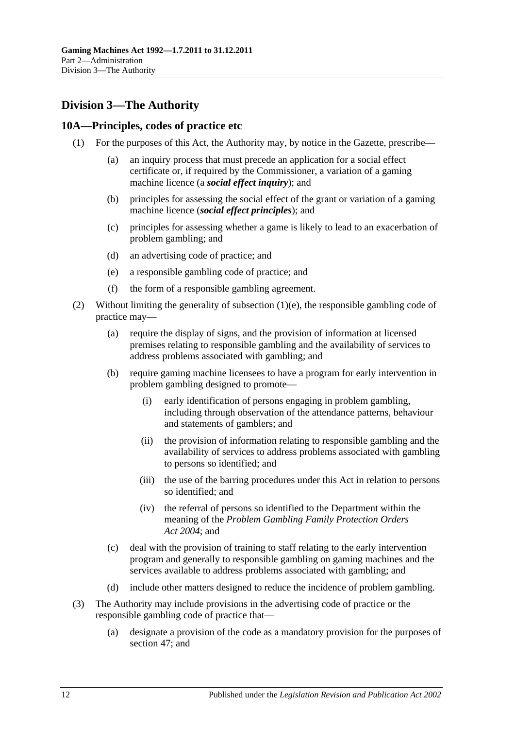## <span id="page-11-0"></span>**Division 3—The Authority**

### <span id="page-11-1"></span>**10A—Principles, codes of practice etc**

- <span id="page-11-6"></span><span id="page-11-5"></span>(1) For the purposes of this Act, the Authority may, by notice in the Gazette, prescribe—
	- (a) an inquiry process that must precede an application for a social effect certificate or, if required by the Commissioner, a variation of a gaming machine licence (a *social effect inquiry*); and
	- (b) principles for assessing the social effect of the grant or variation of a gaming machine licence (*social effect principles*); and
	- (c) principles for assessing whether a game is likely to lead to an exacerbation of problem gambling; and
	- (d) an advertising code of practice; and
	- (e) a responsible gambling code of practice; and
	- (f) the form of a responsible gambling agreement.
- <span id="page-11-4"></span><span id="page-11-2"></span>(2) Without limiting the generality of [subsection](#page-11-4)  $(1)(e)$ , the responsible gambling code of practice may—
	- (a) require the display of signs, and the provision of information at licensed premises relating to responsible gambling and the availability of services to address problems associated with gambling; and
	- (b) require gaming machine licensees to have a program for early intervention in problem gambling designed to promote—
		- (i) early identification of persons engaging in problem gambling, including through observation of the attendance patterns, behaviour and statements of gamblers; and
		- (ii) the provision of information relating to responsible gambling and the availability of services to address problems associated with gambling to persons so identified; and
		- (iii) the use of the barring procedures under this Act in relation to persons so identified; and
		- (iv) the referral of persons so identified to the Department within the meaning of the *[Problem Gambling Family Protection Orders](http://www.legislation.sa.gov.au/index.aspx?action=legref&type=act&legtitle=Problem%20Gambling%20Family%20Protection%20Orders%20Act%202004)  Act [2004](http://www.legislation.sa.gov.au/index.aspx?action=legref&type=act&legtitle=Problem%20Gambling%20Family%20Protection%20Orders%20Act%202004)*; and
	- (c) deal with the provision of training to staff relating to the early intervention program and generally to responsible gambling on gaming machines and the services available to address problems associated with gambling; and
	- (d) include other matters designed to reduce the incidence of problem gambling.
- <span id="page-11-3"></span>(3) The Authority may include provisions in the advertising code of practice or the responsible gambling code of practice that—
	- (a) designate a provision of the code as a mandatory provision for the purposes of [section](#page-43-0) 47; and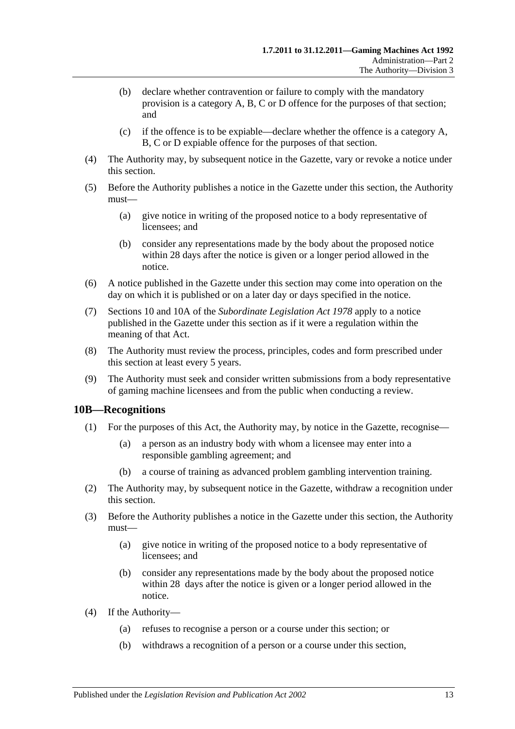- (b) declare whether contravention or failure to comply with the mandatory provision is a category A, B, C or D offence for the purposes of that section; and
- (c) if the offence is to be expiable—declare whether the offence is a category A, B, C or D expiable offence for the purposes of that section.
- (4) The Authority may, by subsequent notice in the Gazette, vary or revoke a notice under this section.
- (5) Before the Authority publishes a notice in the Gazette under this section, the Authority must—
	- (a) give notice in writing of the proposed notice to a body representative of licensees; and
	- (b) consider any representations made by the body about the proposed notice within 28 days after the notice is given or a longer period allowed in the notice.
- (6) A notice published in the Gazette under this section may come into operation on the day on which it is published or on a later day or days specified in the notice.
- (7) Sections 10 and 10A of the *[Subordinate Legislation Act](http://www.legislation.sa.gov.au/index.aspx?action=legref&type=act&legtitle=Subordinate%20Legislation%20Act%201978) 1978* apply to a notice published in the Gazette under this section as if it were a regulation within the meaning of that Act.
- (8) The Authority must review the process, principles, codes and form prescribed under this section at least every 5 years.
- (9) The Authority must seek and consider written submissions from a body representative of gaming machine licensees and from the public when conducting a review.

### <span id="page-12-0"></span>**10B—Recognitions**

- (1) For the purposes of this Act, the Authority may, by notice in the Gazette, recognise—
	- (a) a person as an industry body with whom a licensee may enter into a responsible gambling agreement; and
	- (b) a course of training as advanced problem gambling intervention training.
- <span id="page-12-1"></span>(2) The Authority may, by subsequent notice in the Gazette, withdraw a recognition under this section.
- (3) Before the Authority publishes a notice in the Gazette under this section, the Authority must—
	- (a) give notice in writing of the proposed notice to a body representative of licensees; and
	- (b) consider any representations made by the body about the proposed notice within 28 days after the notice is given or a longer period allowed in the notice.
- (4) If the Authority—
	- (a) refuses to recognise a person or a course under this section; or
	- (b) withdraws a recognition of a person or a course under this section,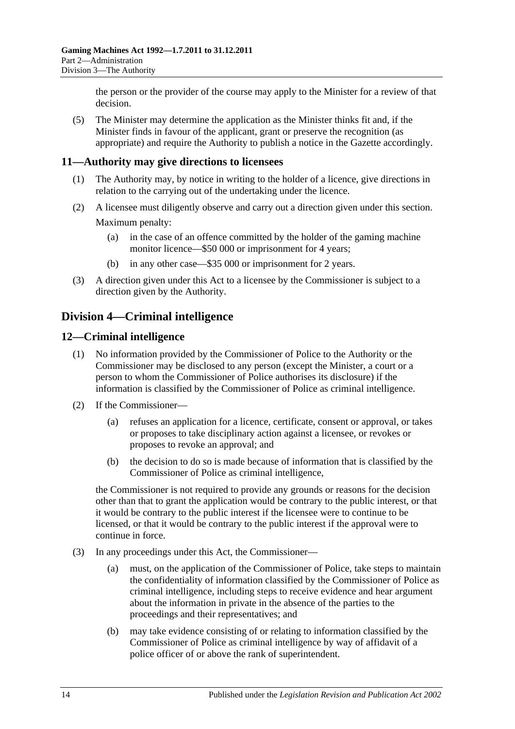the person or the provider of the course may apply to the Minister for a review of that decision.

(5) The Minister may determine the application as the Minister thinks fit and, if the Minister finds in favour of the applicant, grant or preserve the recognition (as appropriate) and require the Authority to publish a notice in the Gazette accordingly.

### <span id="page-13-0"></span>**11—Authority may give directions to licensees**

- (1) The Authority may, by notice in writing to the holder of a licence, give directions in relation to the carrying out of the undertaking under the licence.
- (2) A licensee must diligently observe and carry out a direction given under this section. Maximum penalty:
	- (a) in the case of an offence committed by the holder of the gaming machine monitor licence—\$50 000 or imprisonment for 4 years;
	- (b) in any other case—\$35 000 or imprisonment for 2 years.
- (3) A direction given under this Act to a licensee by the Commissioner is subject to a direction given by the Authority.

### <span id="page-13-1"></span>**Division 4—Criminal intelligence**

### <span id="page-13-2"></span>**12—Criminal intelligence**

- (1) No information provided by the Commissioner of Police to the Authority or the Commissioner may be disclosed to any person (except the Minister, a court or a person to whom the Commissioner of Police authorises its disclosure) if the information is classified by the Commissioner of Police as criminal intelligence.
- (2) If the Commissioner—
	- (a) refuses an application for a licence, certificate, consent or approval, or takes or proposes to take disciplinary action against a licensee, or revokes or proposes to revoke an approval; and
	- (b) the decision to do so is made because of information that is classified by the Commissioner of Police as criminal intelligence,

the Commissioner is not required to provide any grounds or reasons for the decision other than that to grant the application would be contrary to the public interest, or that it would be contrary to the public interest if the licensee were to continue to be licensed, or that it would be contrary to the public interest if the approval were to continue in force.

- (3) In any proceedings under this Act, the Commissioner—
	- (a) must, on the application of the Commissioner of Police, take steps to maintain the confidentiality of information classified by the Commissioner of Police as criminal intelligence, including steps to receive evidence and hear argument about the information in private in the absence of the parties to the proceedings and their representatives; and
	- (b) may take evidence consisting of or relating to information classified by the Commissioner of Police as criminal intelligence by way of affidavit of a police officer of or above the rank of superintendent.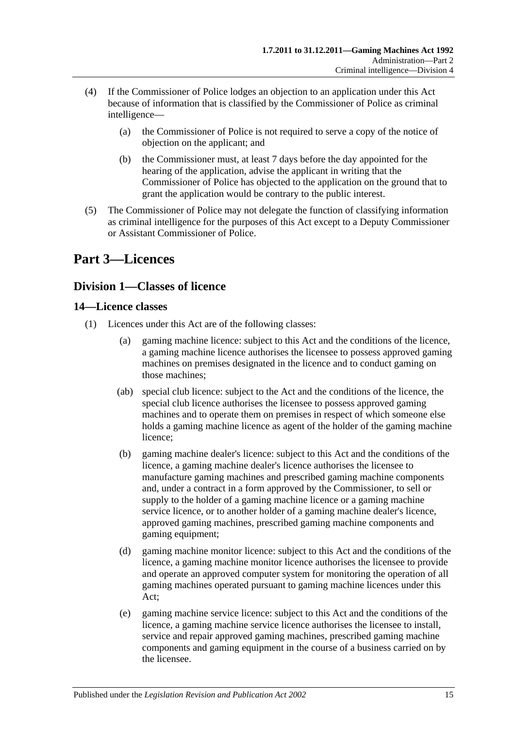- (4) If the Commissioner of Police lodges an objection to an application under this Act because of information that is classified by the Commissioner of Police as criminal intelligence—
	- (a) the Commissioner of Police is not required to serve a copy of the notice of objection on the applicant; and
	- (b) the Commissioner must, at least 7 days before the day appointed for the hearing of the application, advise the applicant in writing that the Commissioner of Police has objected to the application on the ground that to grant the application would be contrary to the public interest.
- (5) The Commissioner of Police may not delegate the function of classifying information as criminal intelligence for the purposes of this Act except to a Deputy Commissioner or Assistant Commissioner of Police.

## <span id="page-14-0"></span>**Part 3—Licences**

### <span id="page-14-1"></span>**Division 1—Classes of licence**

### <span id="page-14-2"></span>**14—Licence classes**

- (1) Licences under this Act are of the following classes:
	- (a) gaming machine licence: subject to this Act and the conditions of the licence, a gaming machine licence authorises the licensee to possess approved gaming machines on premises designated in the licence and to conduct gaming on those machines;
	- (ab) special club licence: subject to the Act and the conditions of the licence, the special club licence authorises the licensee to possess approved gaming machines and to operate them on premises in respect of which someone else holds a gaming machine licence as agent of the holder of the gaming machine licence;
	- (b) gaming machine dealer's licence: subject to this Act and the conditions of the licence, a gaming machine dealer's licence authorises the licensee to manufacture gaming machines and prescribed gaming machine components and, under a contract in a form approved by the Commissioner, to sell or supply to the holder of a gaming machine licence or a gaming machine service licence, or to another holder of a gaming machine dealer's licence, approved gaming machines, prescribed gaming machine components and gaming equipment;
	- (d) gaming machine monitor licence: subject to this Act and the conditions of the licence, a gaming machine monitor licence authorises the licensee to provide and operate an approved computer system for monitoring the operation of all gaming machines operated pursuant to gaming machine licences under this Act;
	- (e) gaming machine service licence: subject to this Act and the conditions of the licence, a gaming machine service licence authorises the licensee to install, service and repair approved gaming machines, prescribed gaming machine components and gaming equipment in the course of a business carried on by the licensee.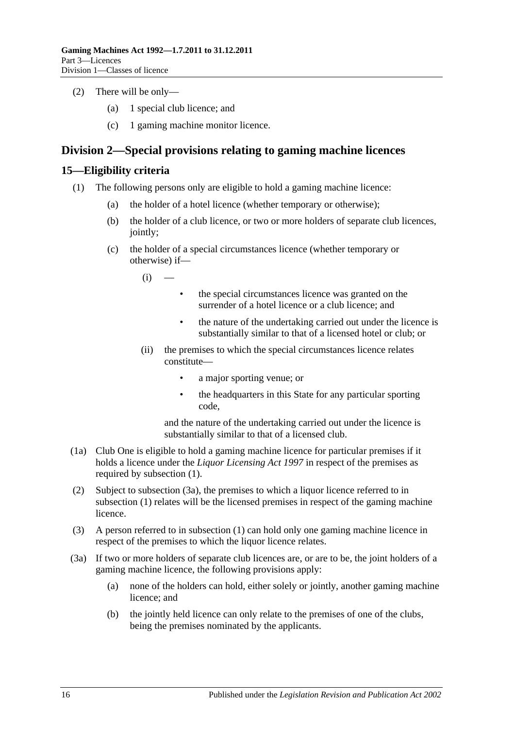- (2) There will be only—
	- (a) 1 special club licence; and
	- (c) 1 gaming machine monitor licence.

### <span id="page-15-0"></span>**Division 2—Special provisions relating to gaming machine licences**

### <span id="page-15-2"></span><span id="page-15-1"></span>**15—Eligibility criteria**

- (1) The following persons only are eligible to hold a gaming machine licence:
	- (a) the holder of a hotel licence (whether temporary or otherwise);
	- (b) the holder of a club licence, or two or more holders of separate club licences, jointly;
	- (c) the holder of a special circumstances licence (whether temporary or otherwise) if—
		- $(i)$
- the special circumstances licence was granted on the surrender of a hotel licence or a club licence; and
- the nature of the undertaking carried out under the licence is substantially similar to that of a licensed hotel or club; or
- (ii) the premises to which the special circumstances licence relates constitute—
	- a major sporting venue; or
	- the headquarters in this State for any particular sporting code,

and the nature of the undertaking carried out under the licence is substantially similar to that of a licensed club.

- (1a) Club One is eligible to hold a gaming machine licence for particular premises if it holds a licence under the *[Liquor Licensing Act](http://www.legislation.sa.gov.au/index.aspx?action=legref&type=act&legtitle=Liquor%20Licensing%20Act%201997) 1997* in respect of the premises as required by [subsection](#page-15-2) (1).
- (2) Subject to [subsection](#page-15-3) (3a), the premises to which a liquor licence referred to in [subsection](#page-15-2) (1) relates will be the licensed premises in respect of the gaming machine licence.
- (3) A person referred to in [subsection](#page-15-2) (1) can hold only one gaming machine licence in respect of the premises to which the liquor licence relates.
- <span id="page-15-3"></span>(3a) If two or more holders of separate club licences are, or are to be, the joint holders of a gaming machine licence, the following provisions apply:
	- (a) none of the holders can hold, either solely or jointly, another gaming machine licence; and
	- (b) the jointly held licence can only relate to the premises of one of the clubs, being the premises nominated by the applicants.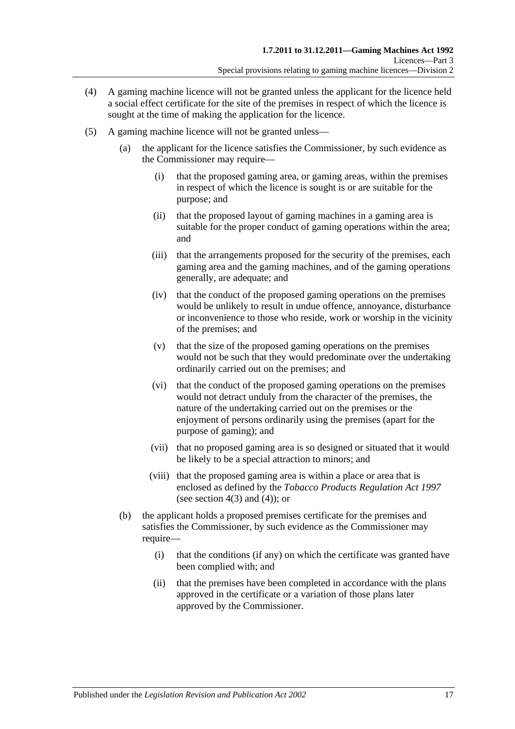- (4) A gaming machine licence will not be granted unless the applicant for the licence held a social effect certificate for the site of the premises in respect of which the licence is sought at the time of making the application for the licence.
- <span id="page-16-0"></span>(5) A gaming machine licence will not be granted unless—
	- (a) the applicant for the licence satisfies the Commissioner, by such evidence as the Commissioner may require—
		- (i) that the proposed gaming area, or gaming areas, within the premises in respect of which the licence is sought is or are suitable for the purpose; and
		- (ii) that the proposed layout of gaming machines in a gaming area is suitable for the proper conduct of gaming operations within the area; and
		- (iii) that the arrangements proposed for the security of the premises, each gaming area and the gaming machines, and of the gaming operations generally, are adequate; and
		- (iv) that the conduct of the proposed gaming operations on the premises would be unlikely to result in undue offence, annoyance, disturbance or inconvenience to those who reside, work or worship in the vicinity of the premises; and
		- (v) that the size of the proposed gaming operations on the premises would not be such that they would predominate over the undertaking ordinarily carried out on the premises; and
		- (vi) that the conduct of the proposed gaming operations on the premises would not detract unduly from the character of the premises, the nature of the undertaking carried out on the premises or the enjoyment of persons ordinarily using the premises (apart for the purpose of gaming); and
		- (vii) that no proposed gaming area is so designed or situated that it would be likely to be a special attraction to minors; and
		- (viii) that the proposed gaming area is within a place or area that is enclosed as defined by the *[Tobacco Products Regulation Act](http://www.legislation.sa.gov.au/index.aspx?action=legref&type=act&legtitle=Tobacco%20Products%20Regulation%20Act%201997) 1997* (see section  $4(3)$  and  $(4)$ ); or
	- (b) the applicant holds a proposed premises certificate for the premises and satisfies the Commissioner, by such evidence as the Commissioner may require—
		- (i) that the conditions (if any) on which the certificate was granted have been complied with; and
		- (ii) that the premises have been completed in accordance with the plans approved in the certificate or a variation of those plans later approved by the Commissioner.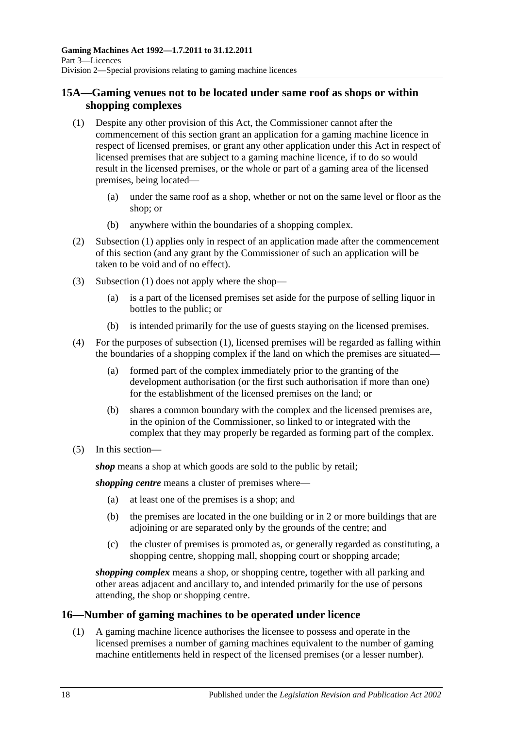### <span id="page-17-0"></span>**15A—Gaming venues not to be located under same roof as shops or within shopping complexes**

- <span id="page-17-2"></span>(1) Despite any other provision of this Act, the Commissioner cannot after the commencement of this section grant an application for a gaming machine licence in respect of licensed premises, or grant any other application under this Act in respect of licensed premises that are subject to a gaming machine licence, if to do so would result in the licensed premises, or the whole or part of a gaming area of the licensed premises, being located—
	- (a) under the same roof as a shop, whether or not on the same level or floor as the shop; or
	- (b) anywhere within the boundaries of a shopping complex.
- (2) [Subsection](#page-17-2) (1) applies only in respect of an application made after the commencement of this section (and any grant by the Commissioner of such an application will be taken to be void and of no effect).
- (3) [Subsection](#page-17-2) (1) does not apply where the shop—
	- (a) is a part of the licensed premises set aside for the purpose of selling liquor in bottles to the public; or
	- (b) is intended primarily for the use of guests staying on the licensed premises.
- (4) For the purposes of [subsection](#page-17-2) (1), licensed premises will be regarded as falling within the boundaries of a shopping complex if the land on which the premises are situated—
	- (a) formed part of the complex immediately prior to the granting of the development authorisation (or the first such authorisation if more than one) for the establishment of the licensed premises on the land; or
	- (b) shares a common boundary with the complex and the licensed premises are, in the opinion of the Commissioner, so linked to or integrated with the complex that they may properly be regarded as forming part of the complex.
- (5) In this section—

*shop* means a shop at which goods are sold to the public by retail;

*shopping centre* means a cluster of premises where—

- (a) at least one of the premises is a shop; and
- (b) the premises are located in the one building or in 2 or more buildings that are adjoining or are separated only by the grounds of the centre; and
- (c) the cluster of premises is promoted as, or generally regarded as constituting, a shopping centre, shopping mall, shopping court or shopping arcade;

*shopping complex* means a shop, or shopping centre, together with all parking and other areas adjacent and ancillary to, and intended primarily for the use of persons attending, the shop or shopping centre.

### <span id="page-17-1"></span>**16—Number of gaming machines to be operated under licence**

(1) A gaming machine licence authorises the licensee to possess and operate in the licensed premises a number of gaming machines equivalent to the number of gaming machine entitlements held in respect of the licensed premises (or a lesser number).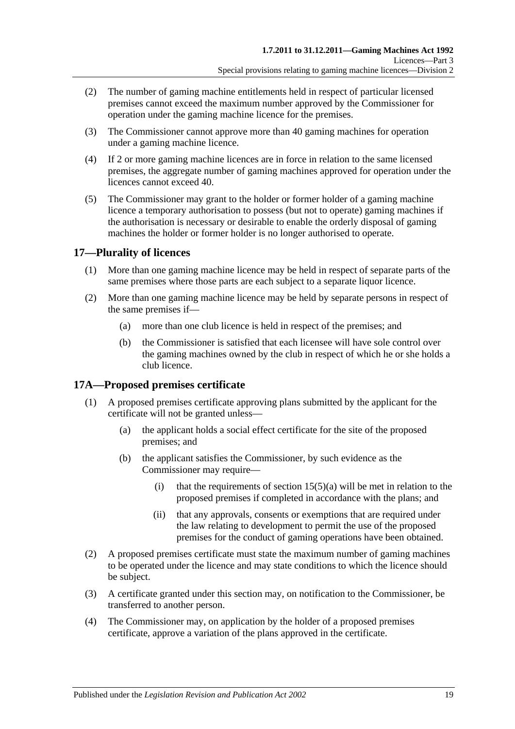- (2) The number of gaming machine entitlements held in respect of particular licensed premises cannot exceed the maximum number approved by the Commissioner for operation under the gaming machine licence for the premises.
- (3) The Commissioner cannot approve more than 40 gaming machines for operation under a gaming machine licence.
- (4) If 2 or more gaming machine licences are in force in relation to the same licensed premises, the aggregate number of gaming machines approved for operation under the licences cannot exceed 40.
- (5) The Commissioner may grant to the holder or former holder of a gaming machine licence a temporary authorisation to possess (but not to operate) gaming machines if the authorisation is necessary or desirable to enable the orderly disposal of gaming machines the holder or former holder is no longer authorised to operate.

### <span id="page-18-0"></span>**17—Plurality of licences**

- (1) More than one gaming machine licence may be held in respect of separate parts of the same premises where those parts are each subject to a separate liquor licence.
- (2) More than one gaming machine licence may be held by separate persons in respect of the same premises if—
	- (a) more than one club licence is held in respect of the premises; and
	- (b) the Commissioner is satisfied that each licensee will have sole control over the gaming machines owned by the club in respect of which he or she holds a club licence.

### <span id="page-18-1"></span>**17A—Proposed premises certificate**

- (1) A proposed premises certificate approving plans submitted by the applicant for the certificate will not be granted unless—
	- (a) the applicant holds a social effect certificate for the site of the proposed premises; and
	- (b) the applicant satisfies the Commissioner, by such evidence as the Commissioner may require—
		- (i) that the requirements of section  $15(5)(a)$  will be met in relation to the proposed premises if completed in accordance with the plans; and
		- (ii) that any approvals, consents or exemptions that are required under the law relating to development to permit the use of the proposed premises for the conduct of gaming operations have been obtained.
- (2) A proposed premises certificate must state the maximum number of gaming machines to be operated under the licence and may state conditions to which the licence should be subject.
- (3) A certificate granted under this section may, on notification to the Commissioner, be transferred to another person.
- (4) The Commissioner may, on application by the holder of a proposed premises certificate, approve a variation of the plans approved in the certificate.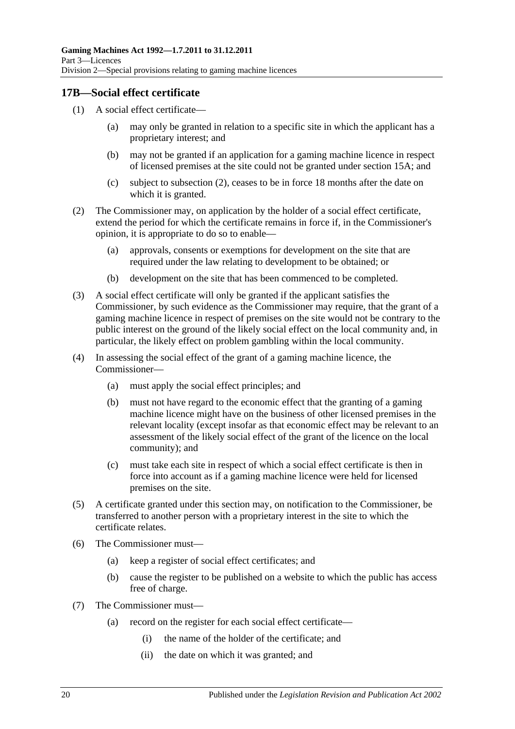### <span id="page-19-0"></span>**17B—Social effect certificate**

- (1) A social effect certificate—
	- (a) may only be granted in relation to a specific site in which the applicant has a proprietary interest; and
	- (b) may not be granted if an application for a gaming machine licence in respect of licensed premises at the site could not be granted under [section](#page-17-0) 15A; and
	- (c) subject to [subsection](#page-19-1) (2), ceases to be in force 18 months after the date on which it is granted.
- <span id="page-19-1"></span>(2) The Commissioner may, on application by the holder of a social effect certificate, extend the period for which the certificate remains in force if, in the Commissioner's opinion, it is appropriate to do so to enable—
	- (a) approvals, consents or exemptions for development on the site that are required under the law relating to development to be obtained; or
	- (b) development on the site that has been commenced to be completed.
- (3) A social effect certificate will only be granted if the applicant satisfies the Commissioner, by such evidence as the Commissioner may require, that the grant of a gaming machine licence in respect of premises on the site would not be contrary to the public interest on the ground of the likely social effect on the local community and, in particular, the likely effect on problem gambling within the local community.
- (4) In assessing the social effect of the grant of a gaming machine licence, the Commissioner—
	- (a) must apply the social effect principles; and
	- (b) must not have regard to the economic effect that the granting of a gaming machine licence might have on the business of other licensed premises in the relevant locality (except insofar as that economic effect may be relevant to an assessment of the likely social effect of the grant of the licence on the local community); and
	- (c) must take each site in respect of which a social effect certificate is then in force into account as if a gaming machine licence were held for licensed premises on the site.
- (5) A certificate granted under this section may, on notification to the Commissioner, be transferred to another person with a proprietary interest in the site to which the certificate relates.
- (6) The Commissioner must—
	- (a) keep a register of social effect certificates; and
	- (b) cause the register to be published on a website to which the public has access free of charge.
- (7) The Commissioner must—
	- (a) record on the register for each social effect certificate—
		- (i) the name of the holder of the certificate; and
		- (ii) the date on which it was granted; and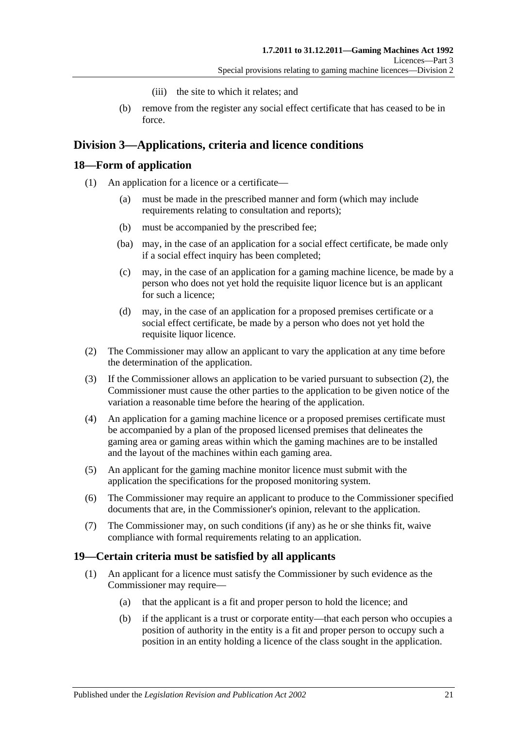- (iii) the site to which it relates; and
- (b) remove from the register any social effect certificate that has ceased to be in force.

### <span id="page-20-0"></span>**Division 3—Applications, criteria and licence conditions**

### <span id="page-20-1"></span>**18—Form of application**

- (1) An application for a licence or a certificate—
	- (a) must be made in the prescribed manner and form (which may include requirements relating to consultation and reports);
	- (b) must be accompanied by the prescribed fee;
	- (ba) may, in the case of an application for a social effect certificate, be made only if a social effect inquiry has been completed;
	- (c) may, in the case of an application for a gaming machine licence, be made by a person who does not yet hold the requisite liquor licence but is an applicant for such a licence;
	- (d) may, in the case of an application for a proposed premises certificate or a social effect certificate, be made by a person who does not yet hold the requisite liquor licence.
- <span id="page-20-3"></span>(2) The Commissioner may allow an applicant to vary the application at any time before the determination of the application.
- (3) If the Commissioner allows an application to be varied pursuant to [subsection](#page-20-3) (2), the Commissioner must cause the other parties to the application to be given notice of the variation a reasonable time before the hearing of the application.
- (4) An application for a gaming machine licence or a proposed premises certificate must be accompanied by a plan of the proposed licensed premises that delineates the gaming area or gaming areas within which the gaming machines are to be installed and the layout of the machines within each gaming area.
- (5) An applicant for the gaming machine monitor licence must submit with the application the specifications for the proposed monitoring system.
- (6) The Commissioner may require an applicant to produce to the Commissioner specified documents that are, in the Commissioner's opinion, relevant to the application.
- (7) The Commissioner may, on such conditions (if any) as he or she thinks fit, waive compliance with formal requirements relating to an application.

### <span id="page-20-2"></span>**19—Certain criteria must be satisfied by all applicants**

- (1) An applicant for a licence must satisfy the Commissioner by such evidence as the Commissioner may require—
	- (a) that the applicant is a fit and proper person to hold the licence; and
	- (b) if the applicant is a trust or corporate entity—that each person who occupies a position of authority in the entity is a fit and proper person to occupy such a position in an entity holding a licence of the class sought in the application.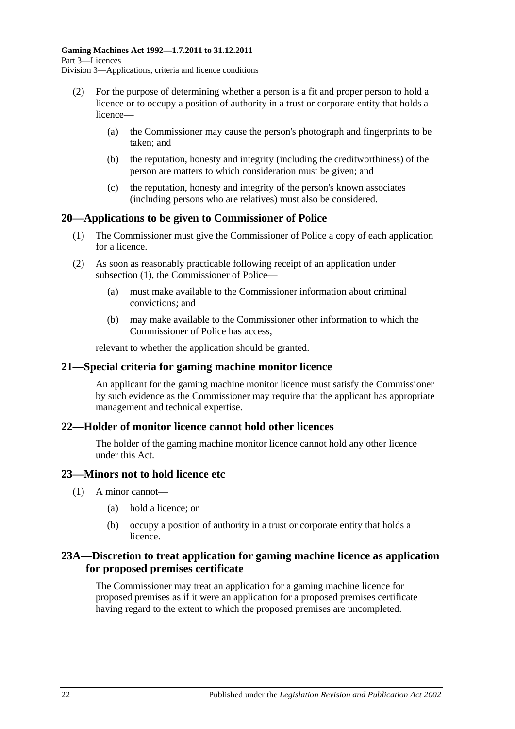- (2) For the purpose of determining whether a person is a fit and proper person to hold a licence or to occupy a position of authority in a trust or corporate entity that holds a licence—
	- (a) the Commissioner may cause the person's photograph and fingerprints to be taken; and
	- (b) the reputation, honesty and integrity (including the creditworthiness) of the person are matters to which consideration must be given; and
	- (c) the reputation, honesty and integrity of the person's known associates (including persons who are relatives) must also be considered.

### <span id="page-21-5"></span><span id="page-21-0"></span>**20—Applications to be given to Commissioner of Police**

- (1) The Commissioner must give the Commissioner of Police a copy of each application for a licence.
- (2) As soon as reasonably practicable following receipt of an application under [subsection](#page-21-5) (1), the Commissioner of Police—
	- (a) must make available to the Commissioner information about criminal convictions; and
	- (b) may make available to the Commissioner other information to which the Commissioner of Police has access,

relevant to whether the application should be granted.

#### <span id="page-21-1"></span>**21—Special criteria for gaming machine monitor licence**

An applicant for the gaming machine monitor licence must satisfy the Commissioner by such evidence as the Commissioner may require that the applicant has appropriate management and technical expertise.

#### <span id="page-21-2"></span>**22—Holder of monitor licence cannot hold other licences**

The holder of the gaming machine monitor licence cannot hold any other licence under this Act.

### <span id="page-21-3"></span>**23—Minors not to hold licence etc**

- (1) A minor cannot—
	- (a) hold a licence; or
	- (b) occupy a position of authority in a trust or corporate entity that holds a licence.

### <span id="page-21-4"></span>**23A—Discretion to treat application for gaming machine licence as application for proposed premises certificate**

The Commissioner may treat an application for a gaming machine licence for proposed premises as if it were an application for a proposed premises certificate having regard to the extent to which the proposed premises are uncompleted.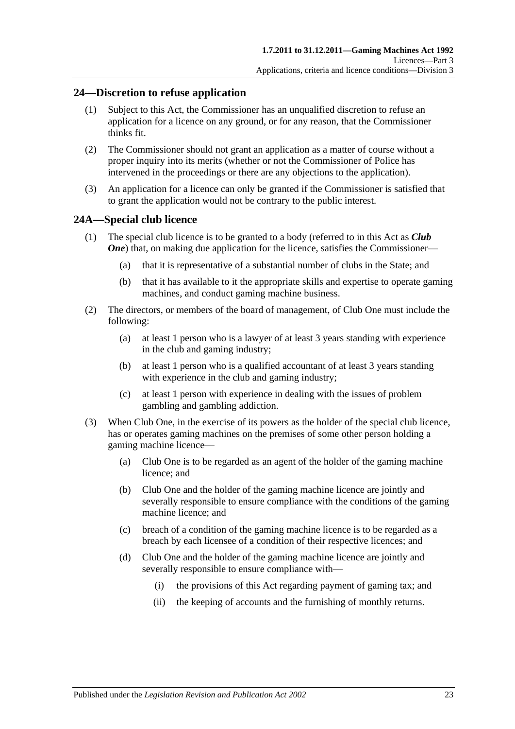### <span id="page-22-0"></span>**24—Discretion to refuse application**

- (1) Subject to this Act, the Commissioner has an unqualified discretion to refuse an application for a licence on any ground, or for any reason, that the Commissioner thinks fit.
- (2) The Commissioner should not grant an application as a matter of course without a proper inquiry into its merits (whether or not the Commissioner of Police has intervened in the proceedings or there are any objections to the application).
- (3) An application for a licence can only be granted if the Commissioner is satisfied that to grant the application would not be contrary to the public interest.

#### <span id="page-22-1"></span>**24A—Special club licence**

- (1) The special club licence is to be granted to a body (referred to in this Act as *Club*  **One**) that, on making due application for the licence, satisfies the Commissioner—
	- (a) that it is representative of a substantial number of clubs in the State; and
	- (b) that it has available to it the appropriate skills and expertise to operate gaming machines, and conduct gaming machine business.
- (2) The directors, or members of the board of management, of Club One must include the following:
	- (a) at least 1 person who is a lawyer of at least 3 years standing with experience in the club and gaming industry;
	- (b) at least 1 person who is a qualified accountant of at least 3 years standing with experience in the club and gaming industry;
	- (c) at least 1 person with experience in dealing with the issues of problem gambling and gambling addiction.
- (3) When Club One, in the exercise of its powers as the holder of the special club licence, has or operates gaming machines on the premises of some other person holding a gaming machine licence—
	- (a) Club One is to be regarded as an agent of the holder of the gaming machine licence; and
	- (b) Club One and the holder of the gaming machine licence are jointly and severally responsible to ensure compliance with the conditions of the gaming machine licence; and
	- (c) breach of a condition of the gaming machine licence is to be regarded as a breach by each licensee of a condition of their respective licences; and
	- (d) Club One and the holder of the gaming machine licence are jointly and severally responsible to ensure compliance with—
		- (i) the provisions of this Act regarding payment of gaming tax; and
		- (ii) the keeping of accounts and the furnishing of monthly returns.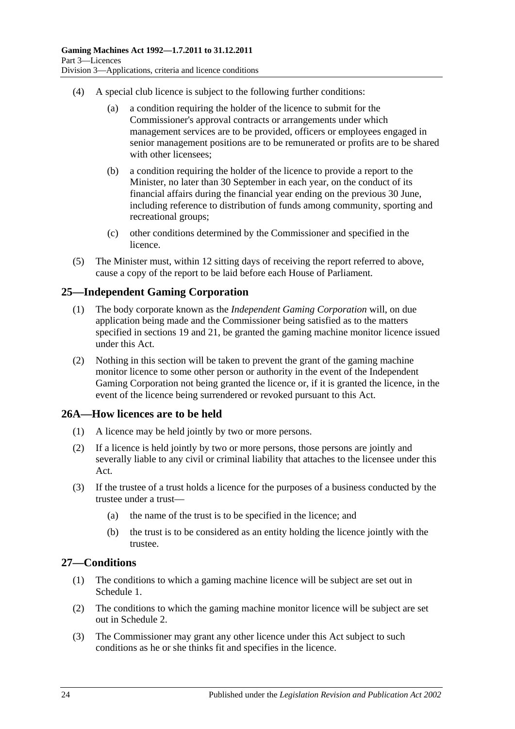- (4) A special club licence is subject to the following further conditions:
	- (a) a condition requiring the holder of the licence to submit for the Commissioner's approval contracts or arrangements under which management services are to be provided, officers or employees engaged in senior management positions are to be remunerated or profits are to be shared with other licensees;
	- (b) a condition requiring the holder of the licence to provide a report to the Minister, no later than 30 September in each year, on the conduct of its financial affairs during the financial year ending on the previous 30 June, including reference to distribution of funds among community, sporting and recreational groups;
	- (c) other conditions determined by the Commissioner and specified in the licence.
- (5) The Minister must, within 12 sitting days of receiving the report referred to above, cause a copy of the report to be laid before each House of Parliament.

### <span id="page-23-0"></span>**25—Independent Gaming Corporation**

- (1) The body corporate known as the *Independent Gaming Corporation* will, on due application being made and the Commissioner being satisfied as to the matters specified in [sections](#page-20-2) 19 and [21,](#page-21-1) be granted the gaming machine monitor licence issued under this Act.
- (2) Nothing in this section will be taken to prevent the grant of the gaming machine monitor licence to some other person or authority in the event of the Independent Gaming Corporation not being granted the licence or, if it is granted the licence, in the event of the licence being surrendered or revoked pursuant to this Act.

### <span id="page-23-1"></span>**26A—How licences are to be held**

- (1) A licence may be held jointly by two or more persons.
- (2) If a licence is held jointly by two or more persons, those persons are jointly and severally liable to any civil or criminal liability that attaches to the licensee under this Act.
- (3) If the trustee of a trust holds a licence for the purposes of a business conducted by the trustee under a trust—
	- (a) the name of the trust is to be specified in the licence; and
	- (b) the trust is to be considered as an entity holding the licence jointly with the trustee.

### <span id="page-23-2"></span>**27—Conditions**

- (1) The conditions to which a gaming machine licence will be subject are set out in [Schedule 1.](#page-70-2)
- (2) The conditions to which the gaming machine monitor licence will be subject are set out in [Schedule 2.](#page-71-0)
- (3) The Commissioner may grant any other licence under this Act subject to such conditions as he or she thinks fit and specifies in the licence.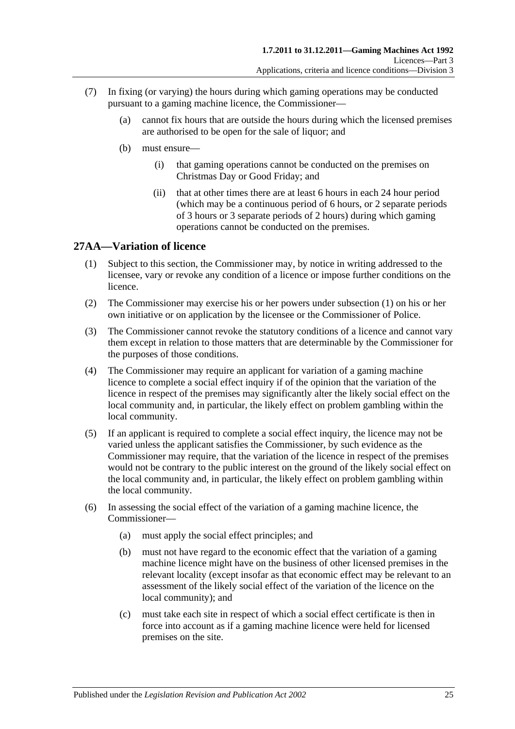- (7) In fixing (or varying) the hours during which gaming operations may be conducted pursuant to a gaming machine licence, the Commissioner—
	- (a) cannot fix hours that are outside the hours during which the licensed premises are authorised to be open for the sale of liquor; and
	- (b) must ensure—
		- (i) that gaming operations cannot be conducted on the premises on Christmas Day or Good Friday; and
		- (ii) that at other times there are at least 6 hours in each 24 hour period (which may be a continuous period of 6 hours, or 2 separate periods of 3 hours or 3 separate periods of 2 hours) during which gaming operations cannot be conducted on the premises.

### <span id="page-24-1"></span><span id="page-24-0"></span>**27AA—Variation of licence**

- (1) Subject to this section, the Commissioner may, by notice in writing addressed to the licensee, vary or revoke any condition of a licence or impose further conditions on the licence.
- (2) The Commissioner may exercise his or her powers under [subsection](#page-24-1) (1) on his or her own initiative or on application by the licensee or the Commissioner of Police.
- (3) The Commissioner cannot revoke the statutory conditions of a licence and cannot vary them except in relation to those matters that are determinable by the Commissioner for the purposes of those conditions.
- (4) The Commissioner may require an applicant for variation of a gaming machine licence to complete a social effect inquiry if of the opinion that the variation of the licence in respect of the premises may significantly alter the likely social effect on the local community and, in particular, the likely effect on problem gambling within the local community.
- (5) If an applicant is required to complete a social effect inquiry, the licence may not be varied unless the applicant satisfies the Commissioner, by such evidence as the Commissioner may require, that the variation of the licence in respect of the premises would not be contrary to the public interest on the ground of the likely social effect on the local community and, in particular, the likely effect on problem gambling within the local community.
- (6) In assessing the social effect of the variation of a gaming machine licence, the Commissioner—
	- (a) must apply the social effect principles; and
	- (b) must not have regard to the economic effect that the variation of a gaming machine licence might have on the business of other licensed premises in the relevant locality (except insofar as that economic effect may be relevant to an assessment of the likely social effect of the variation of the licence on the local community); and
	- (c) must take each site in respect of which a social effect certificate is then in force into account as if a gaming machine licence were held for licensed premises on the site.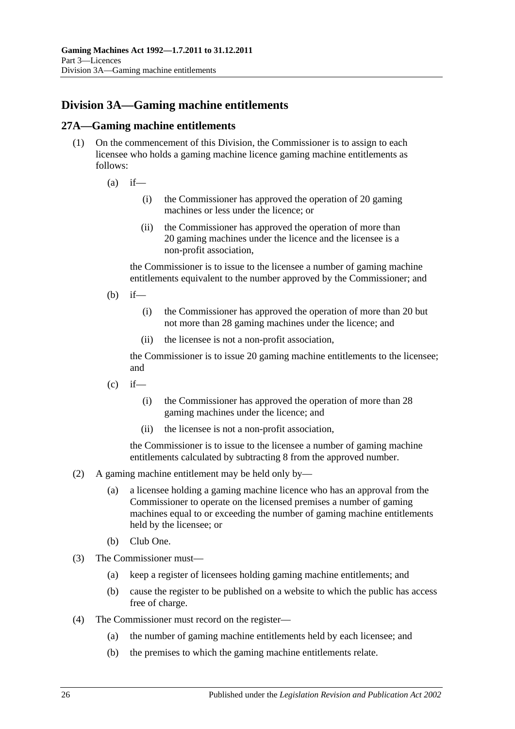## <span id="page-25-0"></span>**Division 3A—Gaming machine entitlements**

### <span id="page-25-1"></span>**27A—Gaming machine entitlements**

- (1) On the commencement of this Division, the Commissioner is to assign to each licensee who holds a gaming machine licence gaming machine entitlements as follows:
	- $(a)$  if—
		- (i) the Commissioner has approved the operation of 20 gaming machines or less under the licence; or
		- (ii) the Commissioner has approved the operation of more than 20 gaming machines under the licence and the licensee is a non-profit association,

the Commissioner is to issue to the licensee a number of gaming machine entitlements equivalent to the number approved by the Commissioner; and

- $(h)$  if—
	- (i) the Commissioner has approved the operation of more than 20 but not more than 28 gaming machines under the licence; and
	- (ii) the licensee is not a non-profit association,

the Commissioner is to issue 20 gaming machine entitlements to the licensee; and

- $(c)$  if—
	- (i) the Commissioner has approved the operation of more than 28 gaming machines under the licence; and
	- (ii) the licensee is not a non-profit association,

the Commissioner is to issue to the licensee a number of gaming machine entitlements calculated by subtracting 8 from the approved number.

- (2) A gaming machine entitlement may be held only by—
	- (a) a licensee holding a gaming machine licence who has an approval from the Commissioner to operate on the licensed premises a number of gaming machines equal to or exceeding the number of gaming machine entitlements held by the licensee; or
	- (b) Club One.
- (3) The Commissioner must—
	- (a) keep a register of licensees holding gaming machine entitlements; and
	- (b) cause the register to be published on a website to which the public has access free of charge.
- (4) The Commissioner must record on the register—
	- (a) the number of gaming machine entitlements held by each licensee; and
	- (b) the premises to which the gaming machine entitlements relate.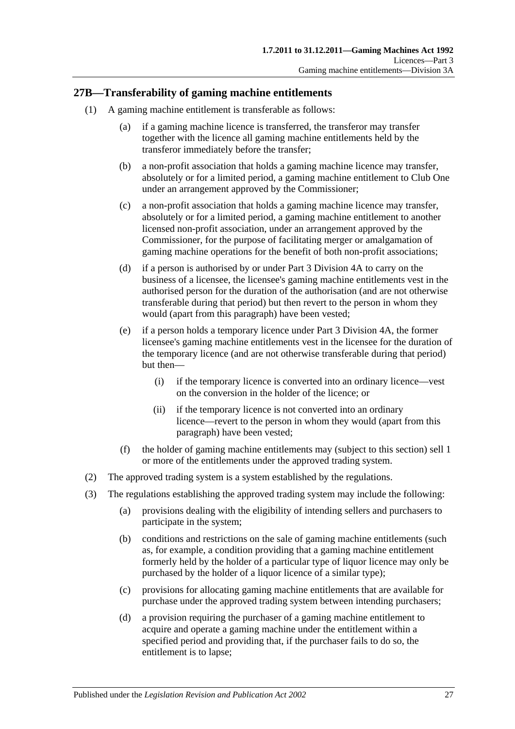### <span id="page-26-0"></span>**27B—Transferability of gaming machine entitlements**

- <span id="page-26-2"></span><span id="page-26-1"></span>(1) A gaming machine entitlement is transferable as follows:
	- (a) if a gaming machine licence is transferred, the transferor may transfer together with the licence all gaming machine entitlements held by the transferor immediately before the transfer;
	- (b) a non-profit association that holds a gaming machine licence may transfer, absolutely or for a limited period, a gaming machine entitlement to Club One under an arrangement approved by the Commissioner;
	- (c) a non-profit association that holds a gaming machine licence may transfer, absolutely or for a limited period, a gaming machine entitlement to another licensed non-profit association, under an arrangement approved by the Commissioner, for the purpose of facilitating merger or amalgamation of gaming machine operations for the benefit of both non-profit associations;
	- (d) if a person is authorised by or under [Part 3 Division 4A](#page-31-1) to carry on the business of a licensee, the licensee's gaming machine entitlements vest in the authorised person for the duration of the authorisation (and are not otherwise transferable during that period) but then revert to the person in whom they would (apart from this paragraph) have been vested;
	- (e) if a person holds a temporary licence under [Part 3 Division 4A,](#page-31-1) the former licensee's gaming machine entitlements vest in the licensee for the duration of the temporary licence (and are not otherwise transferable during that period) but then—
		- (i) if the temporary licence is converted into an ordinary licence—vest on the conversion in the holder of the licence; or
		- (ii) if the temporary licence is not converted into an ordinary licence—revert to the person in whom they would (apart from this paragraph) have been vested;
	- (f) the holder of gaming machine entitlements may (subject to this section) sell 1 or more of the entitlements under the approved trading system.
- <span id="page-26-3"></span>(2) The approved trading system is a system established by the regulations.
- (3) The regulations establishing the approved trading system may include the following:
	- (a) provisions dealing with the eligibility of intending sellers and purchasers to participate in the system;
	- (b) conditions and restrictions on the sale of gaming machine entitlements (such as, for example, a condition providing that a gaming machine entitlement formerly held by the holder of a particular type of liquor licence may only be purchased by the holder of a liquor licence of a similar type);
	- (c) provisions for allocating gaming machine entitlements that are available for purchase under the approved trading system between intending purchasers;
	- (d) a provision requiring the purchaser of a gaming machine entitlement to acquire and operate a gaming machine under the entitlement within a specified period and providing that, if the purchaser fails to do so, the entitlement is to lapse;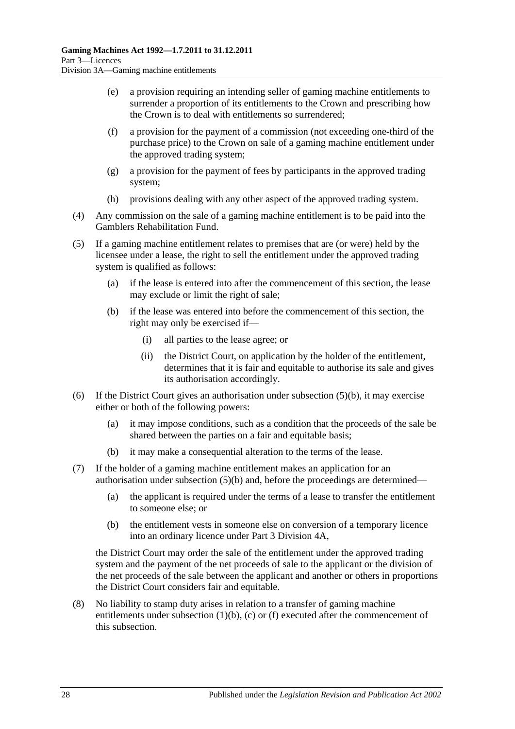- (e) a provision requiring an intending seller of gaming machine entitlements to surrender a proportion of its entitlements to the Crown and prescribing how the Crown is to deal with entitlements so surrendered;
- (f) a provision for the payment of a commission (not exceeding one-third of the purchase price) to the Crown on sale of a gaming machine entitlement under the approved trading system;
- (g) a provision for the payment of fees by participants in the approved trading system;
- (h) provisions dealing with any other aspect of the approved trading system.
- (4) Any commission on the sale of a gaming machine entitlement is to be paid into the Gamblers Rehabilitation Fund.
- <span id="page-27-0"></span>(5) If a gaming machine entitlement relates to premises that are (or were) held by the licensee under a lease, the right to sell the entitlement under the approved trading system is qualified as follows:
	- (a) if the lease is entered into after the commencement of this section, the lease may exclude or limit the right of sale;
	- (b) if the lease was entered into before the commencement of this section, the right may only be exercised if—
		- (i) all parties to the lease agree; or
		- (ii) the District Court, on application by the holder of the entitlement, determines that it is fair and equitable to authorise its sale and gives its authorisation accordingly.
- (6) If the District Court gives an authorisation under [subsection](#page-27-0)  $(5)(b)$ , it may exercise either or both of the following powers:
	- (a) it may impose conditions, such as a condition that the proceeds of the sale be shared between the parties on a fair and equitable basis;
	- (b) it may make a consequential alteration to the terms of the lease.
- (7) If the holder of a gaming machine entitlement makes an application for an authorisation under [subsection](#page-27-0)  $(5)(b)$  and, before the proceedings are determined—
	- (a) the applicant is required under the terms of a lease to transfer the entitlement to someone else; or
	- (b) the entitlement vests in someone else on conversion of a temporary licence into an ordinary licence under [Part 3 Division 4A,](#page-31-1)

the District Court may order the sale of the entitlement under the approved trading system and the payment of the net proceeds of sale to the applicant or the division of the net proceeds of the sale between the applicant and another or others in proportions the District Court considers fair and equitable.

(8) No liability to stamp duty arises in relation to a transfer of gaming machine entitlements under [subsection](#page-26-1)  $(1)(b)$ ,  $(c)$  or  $(f)$  executed after the commencement of this subsection.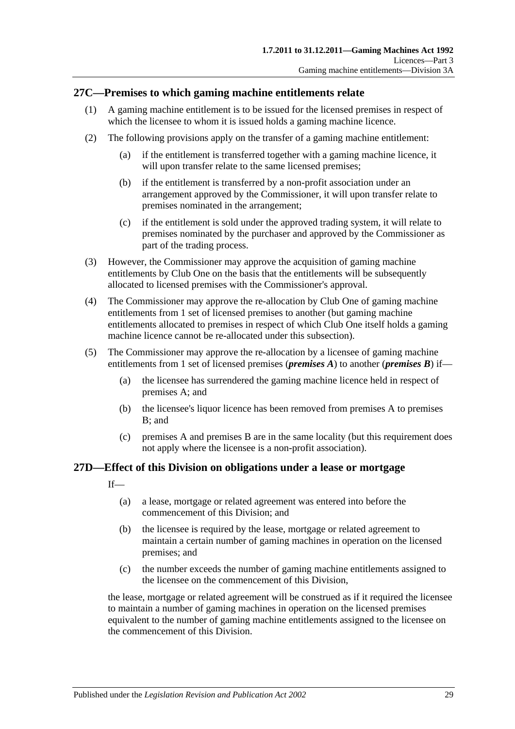### <span id="page-28-0"></span>**27C—Premises to which gaming machine entitlements relate**

- (1) A gaming machine entitlement is to be issued for the licensed premises in respect of which the licensee to whom it is issued holds a gaming machine licence.
- (2) The following provisions apply on the transfer of a gaming machine entitlement:
	- (a) if the entitlement is transferred together with a gaming machine licence, it will upon transfer relate to the same licensed premises;
	- (b) if the entitlement is transferred by a non-profit association under an arrangement approved by the Commissioner, it will upon transfer relate to premises nominated in the arrangement;
	- (c) if the entitlement is sold under the approved trading system, it will relate to premises nominated by the purchaser and approved by the Commissioner as part of the trading process.
- (3) However, the Commissioner may approve the acquisition of gaming machine entitlements by Club One on the basis that the entitlements will be subsequently allocated to licensed premises with the Commissioner's approval.
- (4) The Commissioner may approve the re-allocation by Club One of gaming machine entitlements from 1 set of licensed premises to another (but gaming machine entitlements allocated to premises in respect of which Club One itself holds a gaming machine licence cannot be re-allocated under this subsection).
- (5) The Commissioner may approve the re-allocation by a licensee of gaming machine entitlements from 1 set of licensed premises (*premises A*) to another (*premises B*) if—
	- (a) the licensee has surrendered the gaming machine licence held in respect of premises A; and
	- (b) the licensee's liquor licence has been removed from premises A to premises B; and
	- (c) premises A and premises B are in the same locality (but this requirement does not apply where the licensee is a non-profit association).

### <span id="page-28-1"></span>**27D—Effect of this Division on obligations under a lease or mortgage**

- If—
	- (a) a lease, mortgage or related agreement was entered into before the commencement of this Division; and
	- (b) the licensee is required by the lease, mortgage or related agreement to maintain a certain number of gaming machines in operation on the licensed premises; and
	- (c) the number exceeds the number of gaming machine entitlements assigned to the licensee on the commencement of this Division,

the lease, mortgage or related agreement will be construed as if it required the licensee to maintain a number of gaming machines in operation on the licensed premises equivalent to the number of gaming machine entitlements assigned to the licensee on the commencement of this Division.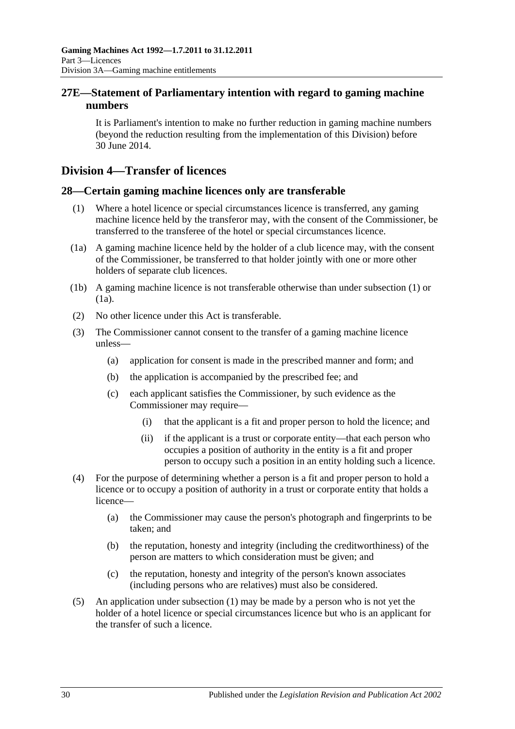### <span id="page-29-0"></span>**27E—Statement of Parliamentary intention with regard to gaming machine numbers**

It is Parliament's intention to make no further reduction in gaming machine numbers (beyond the reduction resulting from the implementation of this Division) before 30 June 2014.

### <span id="page-29-1"></span>**Division 4—Transfer of licences**

### <span id="page-29-3"></span><span id="page-29-2"></span>**28—Certain gaming machine licences only are transferable**

- (1) Where a hotel licence or special circumstances licence is transferred, any gaming machine licence held by the transferor may, with the consent of the Commissioner, be transferred to the transferee of the hotel or special circumstances licence.
- <span id="page-29-4"></span>(1a) A gaming machine licence held by the holder of a club licence may, with the consent of the Commissioner, be transferred to that holder jointly with one or more other holders of separate club licences.
- (1b) A gaming machine licence is not transferable otherwise than under [subsection](#page-29-3) (1) or [\(1a\).](#page-29-4)
- (2) No other licence under this Act is transferable.
- (3) The Commissioner cannot consent to the transfer of a gaming machine licence unless—
	- (a) application for consent is made in the prescribed manner and form; and
	- (b) the application is accompanied by the prescribed fee; and
	- (c) each applicant satisfies the Commissioner, by such evidence as the Commissioner may require—
		- (i) that the applicant is a fit and proper person to hold the licence; and
		- (ii) if the applicant is a trust or corporate entity—that each person who occupies a position of authority in the entity is a fit and proper person to occupy such a position in an entity holding such a licence.
- (4) For the purpose of determining whether a person is a fit and proper person to hold a licence or to occupy a position of authority in a trust or corporate entity that holds a licence—
	- (a) the Commissioner may cause the person's photograph and fingerprints to be taken; and
	- (b) the reputation, honesty and integrity (including the creditworthiness) of the person are matters to which consideration must be given; and
	- (c) the reputation, honesty and integrity of the person's known associates (including persons who are relatives) must also be considered.
- (5) An application under [subsection](#page-29-3) (1) may be made by a person who is not yet the holder of a hotel licence or special circumstances licence but who is an applicant for the transfer of such a licence.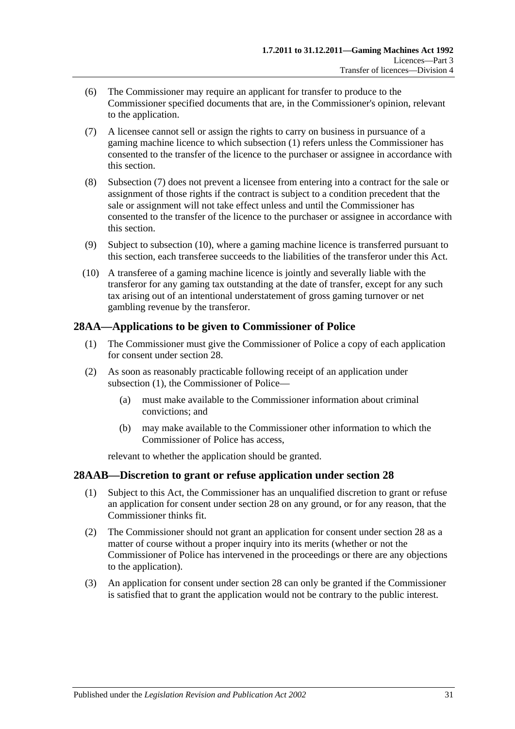- (6) The Commissioner may require an applicant for transfer to produce to the Commissioner specified documents that are, in the Commissioner's opinion, relevant to the application.
- <span id="page-30-2"></span>(7) A licensee cannot sell or assign the rights to carry on business in pursuance of a gaming machine licence to which [subsection](#page-29-3) (1) refers unless the Commissioner has consented to the transfer of the licence to the purchaser or assignee in accordance with this section.
- (8) [Subsection](#page-30-2) (7) does not prevent a licensee from entering into a contract for the sale or assignment of those rights if the contract is subject to a condition precedent that the sale or assignment will not take effect unless and until the Commissioner has consented to the transfer of the licence to the purchaser or assignee in accordance with this section.
- (9) Subject to [subsection](#page-30-3) (10), where a gaming machine licence is transferred pursuant to this section, each transferee succeeds to the liabilities of the transferor under this Act.
- <span id="page-30-3"></span>(10) A transferee of a gaming machine licence is jointly and severally liable with the transferor for any gaming tax outstanding at the date of transfer, except for any such tax arising out of an intentional understatement of gross gaming turnover or net gambling revenue by the transferor.

### <span id="page-30-4"></span><span id="page-30-0"></span>**28AA—Applications to be given to Commissioner of Police**

- (1) The Commissioner must give the Commissioner of Police a copy of each application for consent under [section](#page-29-2) 28.
- (2) As soon as reasonably practicable following receipt of an application under [subsection](#page-30-4) (1), the Commissioner of Police—
	- (a) must make available to the Commissioner information about criminal convictions; and
	- (b) may make available to the Commissioner other information to which the Commissioner of Police has access,

relevant to whether the application should be granted.

### <span id="page-30-1"></span>**28AAB—Discretion to grant or refuse application under [section](#page-29-2) 28**

- (1) Subject to this Act, the Commissioner has an unqualified discretion to grant or refuse an application for consent under [section](#page-29-2) 28 on any ground, or for any reason, that the Commissioner thinks fit.
- (2) The Commissioner should not grant an application for consent under [section](#page-29-2) 28 as a matter of course without a proper inquiry into its merits (whether or not the Commissioner of Police has intervened in the proceedings or there are any objections to the application).
- (3) An application for consent under [section](#page-29-2) 28 can only be granted if the Commissioner is satisfied that to grant the application would not be contrary to the public interest.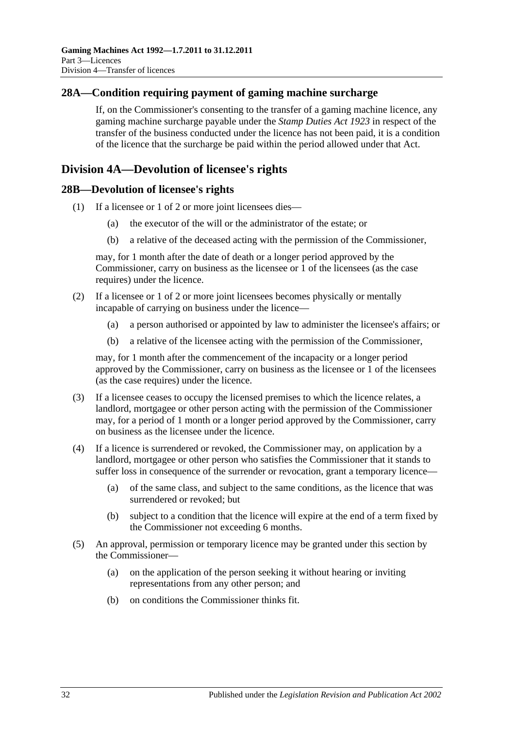### <span id="page-31-0"></span>**28A—Condition requiring payment of gaming machine surcharge**

If, on the Commissioner's consenting to the transfer of a gaming machine licence, any gaming machine surcharge payable under the *[Stamp Duties Act](http://www.legislation.sa.gov.au/index.aspx?action=legref&type=act&legtitle=Stamp%20Duties%20Act%201923) 1923* in respect of the transfer of the business conducted under the licence has not been paid, it is a condition of the licence that the surcharge be paid within the period allowed under that Act.

### <span id="page-31-1"></span>**Division 4A—Devolution of licensee's rights**

### <span id="page-31-2"></span>**28B—Devolution of licensee's rights**

- (1) If a licensee or 1 of 2 or more joint licensees dies—
	- (a) the executor of the will or the administrator of the estate; or
	- (b) a relative of the deceased acting with the permission of the Commissioner,

may, for 1 month after the date of death or a longer period approved by the Commissioner, carry on business as the licensee or 1 of the licensees (as the case requires) under the licence.

- (2) If a licensee or 1 of 2 or more joint licensees becomes physically or mentally incapable of carrying on business under the licence—
	- (a) a person authorised or appointed by law to administer the licensee's affairs; or
	- (b) a relative of the licensee acting with the permission of the Commissioner,

may, for 1 month after the commencement of the incapacity or a longer period approved by the Commissioner, carry on business as the licensee or 1 of the licensees (as the case requires) under the licence.

- (3) If a licensee ceases to occupy the licensed premises to which the licence relates, a landlord, mortgagee or other person acting with the permission of the Commissioner may, for a period of 1 month or a longer period approved by the Commissioner, carry on business as the licensee under the licence.
- (4) If a licence is surrendered or revoked, the Commissioner may, on application by a landlord, mortgagee or other person who satisfies the Commissioner that it stands to suffer loss in consequence of the surrender or revocation, grant a temporary licence—
	- (a) of the same class, and subject to the same conditions, as the licence that was surrendered or revoked; but
	- (b) subject to a condition that the licence will expire at the end of a term fixed by the Commissioner not exceeding 6 months.
- <span id="page-31-3"></span>(5) An approval, permission or temporary licence may be granted under this section by the Commissioner—
	- (a) on the application of the person seeking it without hearing or inviting representations from any other person; and
	- (b) on conditions the Commissioner thinks fit.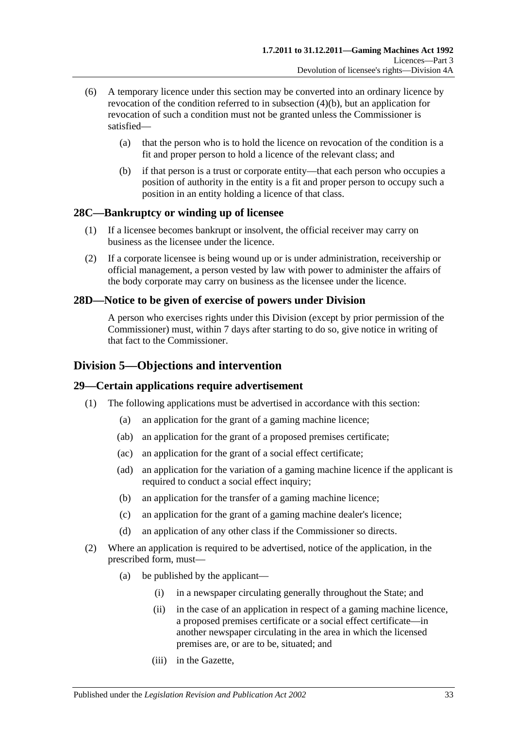- (6) A temporary licence under this section may be converted into an ordinary licence by revocation of the condition referred to in [subsection](#page-31-3) (4)(b), but an application for revocation of such a condition must not be granted unless the Commissioner is satisfied—
	- (a) that the person who is to hold the licence on revocation of the condition is a fit and proper person to hold a licence of the relevant class; and
	- (b) if that person is a trust or corporate entity—that each person who occupies a position of authority in the entity is a fit and proper person to occupy such a position in an entity holding a licence of that class.

### <span id="page-32-0"></span>**28C—Bankruptcy or winding up of licensee**

- (1) If a licensee becomes bankrupt or insolvent, the official receiver may carry on business as the licensee under the licence.
- (2) If a corporate licensee is being wound up or is under administration, receivership or official management, a person vested by law with power to administer the affairs of the body corporate may carry on business as the licensee under the licence.

### <span id="page-32-1"></span>**28D—Notice to be given of exercise of powers under Division**

A person who exercises rights under this Division (except by prior permission of the Commissioner) must, within 7 days after starting to do so, give notice in writing of that fact to the Commissioner.

### <span id="page-32-2"></span>**Division 5—Objections and intervention**

### <span id="page-32-3"></span>**29—Certain applications require advertisement**

- (1) The following applications must be advertised in accordance with this section:
	- (a) an application for the grant of a gaming machine licence;
	- (ab) an application for the grant of a proposed premises certificate;
	- (ac) an application for the grant of a social effect certificate;
	- (ad) an application for the variation of a gaming machine licence if the applicant is required to conduct a social effect inquiry;
	- (b) an application for the transfer of a gaming machine licence;
	- (c) an application for the grant of a gaming machine dealer's licence;
	- (d) an application of any other class if the Commissioner so directs.
- <span id="page-32-4"></span>(2) Where an application is required to be advertised, notice of the application, in the prescribed form, must—
	- (a) be published by the applicant—
		- (i) in a newspaper circulating generally throughout the State; and
		- (ii) in the case of an application in respect of a gaming machine licence, a proposed premises certificate or a social effect certificate—in another newspaper circulating in the area in which the licensed premises are, or are to be, situated; and
		- (iii) in the Gazette,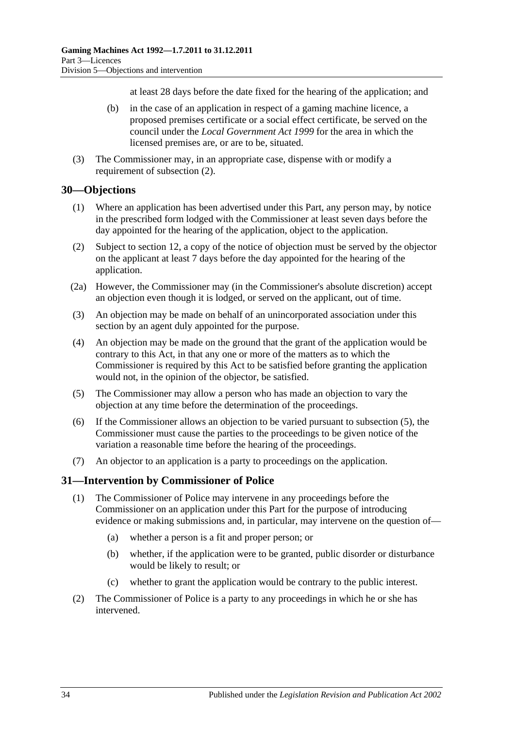at least 28 days before the date fixed for the hearing of the application; and

- (b) in the case of an application in respect of a gaming machine licence, a proposed premises certificate or a social effect certificate, be served on the council under the *[Local Government Act](http://www.legislation.sa.gov.au/index.aspx?action=legref&type=act&legtitle=Local%20Government%20Act%201999) 1999* for the area in which the licensed premises are, or are to be, situated.
- (3) The Commissioner may, in an appropriate case, dispense with or modify a requirement of [subsection](#page-32-4) (2).

#### <span id="page-33-0"></span>**30—Objections**

- (1) Where an application has been advertised under this Part, any person may, by notice in the prescribed form lodged with the Commissioner at least seven days before the day appointed for the hearing of the application, object to the application.
- (2) Subject to [section](#page-13-2) 12, a copy of the notice of objection must be served by the objector on the applicant at least 7 days before the day appointed for the hearing of the application.
- (2a) However, the Commissioner may (in the Commissioner's absolute discretion) accept an objection even though it is lodged, or served on the applicant, out of time.
- (3) An objection may be made on behalf of an unincorporated association under this section by an agent duly appointed for the purpose.
- (4) An objection may be made on the ground that the grant of the application would be contrary to this Act, in that any one or more of the matters as to which the Commissioner is required by this Act to be satisfied before granting the application would not, in the opinion of the objector, be satisfied.
- <span id="page-33-2"></span>(5) The Commissioner may allow a person who has made an objection to vary the objection at any time before the determination of the proceedings.
- (6) If the Commissioner allows an objection to be varied pursuant to [subsection](#page-33-2) (5), the Commissioner must cause the parties to the proceedings to be given notice of the variation a reasonable time before the hearing of the proceedings.
- (7) An objector to an application is a party to proceedings on the application.

### <span id="page-33-1"></span>**31—Intervention by Commissioner of Police**

- (1) The Commissioner of Police may intervene in any proceedings before the Commissioner on an application under this Part for the purpose of introducing evidence or making submissions and, in particular, may intervene on the question of—
	- (a) whether a person is a fit and proper person; or
	- (b) whether, if the application were to be granted, public disorder or disturbance would be likely to result; or
	- (c) whether to grant the application would be contrary to the public interest.
- (2) The Commissioner of Police is a party to any proceedings in which he or she has intervened.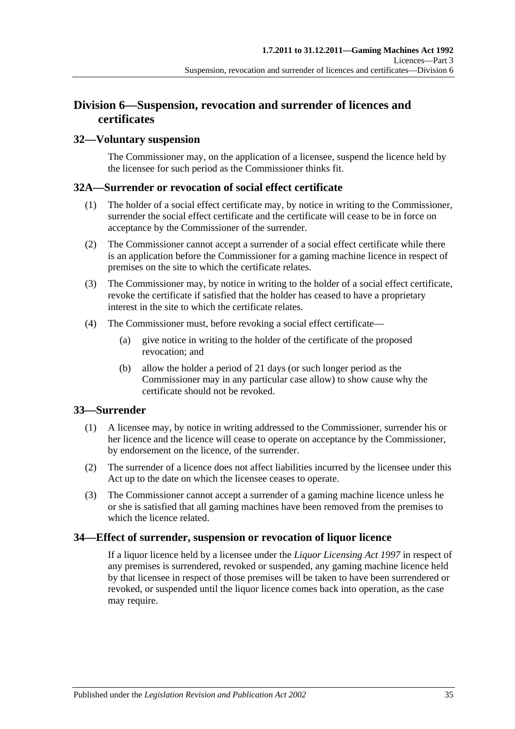### <span id="page-34-0"></span>**Division 6—Suspension, revocation and surrender of licences and certificates**

### <span id="page-34-1"></span>**32—Voluntary suspension**

The Commissioner may, on the application of a licensee, suspend the licence held by the licensee for such period as the Commissioner thinks fit.

### <span id="page-34-2"></span>**32A—Surrender or revocation of social effect certificate**

- (1) The holder of a social effect certificate may, by notice in writing to the Commissioner, surrender the social effect certificate and the certificate will cease to be in force on acceptance by the Commissioner of the surrender.
- (2) The Commissioner cannot accept a surrender of a social effect certificate while there is an application before the Commissioner for a gaming machine licence in respect of premises on the site to which the certificate relates.
- (3) The Commissioner may, by notice in writing to the holder of a social effect certificate, revoke the certificate if satisfied that the holder has ceased to have a proprietary interest in the site to which the certificate relates.
- (4) The Commissioner must, before revoking a social effect certificate—
	- (a) give notice in writing to the holder of the certificate of the proposed revocation; and
	- (b) allow the holder a period of 21 days (or such longer period as the Commissioner may in any particular case allow) to show cause why the certificate should not be revoked.

### <span id="page-34-3"></span>**33—Surrender**

- (1) A licensee may, by notice in writing addressed to the Commissioner, surrender his or her licence and the licence will cease to operate on acceptance by the Commissioner, by endorsement on the licence, of the surrender.
- (2) The surrender of a licence does not affect liabilities incurred by the licensee under this Act up to the date on which the licensee ceases to operate.
- (3) The Commissioner cannot accept a surrender of a gaming machine licence unless he or she is satisfied that all gaming machines have been removed from the premises to which the licence related.

### <span id="page-34-4"></span>**34—Effect of surrender, suspension or revocation of liquor licence**

If a liquor licence held by a licensee under the *[Liquor Licensing Act](http://www.legislation.sa.gov.au/index.aspx?action=legref&type=act&legtitle=Liquor%20Licensing%20Act%201997) 1997* in respect of any premises is surrendered, revoked or suspended, any gaming machine licence held by that licensee in respect of those premises will be taken to have been surrendered or revoked, or suspended until the liquor licence comes back into operation, as the case may require.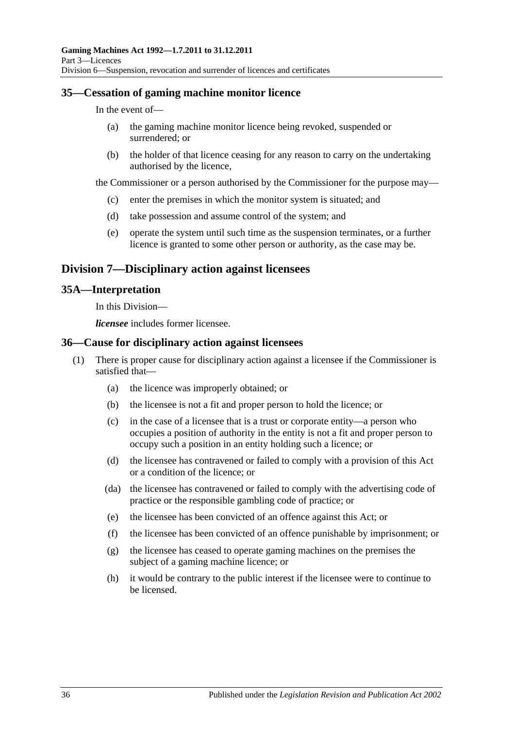### <span id="page-35-0"></span>**35—Cessation of gaming machine monitor licence**

In the event of—

- (a) the gaming machine monitor licence being revoked, suspended or surrendered; or
- (b) the holder of that licence ceasing for any reason to carry on the undertaking authorised by the licence,

the Commissioner or a person authorised by the Commissioner for the purpose may—

- (c) enter the premises in which the monitor system is situated; and
- (d) take possession and assume control of the system; and
- (e) operate the system until such time as the suspension terminates, or a further licence is granted to some other person or authority, as the case may be.

### <span id="page-35-1"></span>**Division 7—Disciplinary action against licensees**

### <span id="page-35-2"></span>**35A—Interpretation**

In this Division—

*licensee* includes former licensee.

### <span id="page-35-3"></span>**36—Cause for disciplinary action against licensees**

- (1) There is proper cause for disciplinary action against a licensee if the Commissioner is satisfied that—
	- (a) the licence was improperly obtained; or
	- (b) the licensee is not a fit and proper person to hold the licence; or
	- (c) in the case of a licensee that is a trust or corporate entity—a person who occupies a position of authority in the entity is not a fit and proper person to occupy such a position in an entity holding such a licence; or
	- (d) the licensee has contravened or failed to comply with a provision of this Act or a condition of the licence; or
	- (da) the licensee has contravened or failed to comply with the advertising code of practice or the responsible gambling code of practice; or
	- (e) the licensee has been convicted of an offence against this Act; or
	- (f) the licensee has been convicted of an offence punishable by imprisonment; or
	- (g) the licensee has ceased to operate gaming machines on the premises the subject of a gaming machine licence; or
	- (h) it would be contrary to the public interest if the licensee were to continue to be licensed.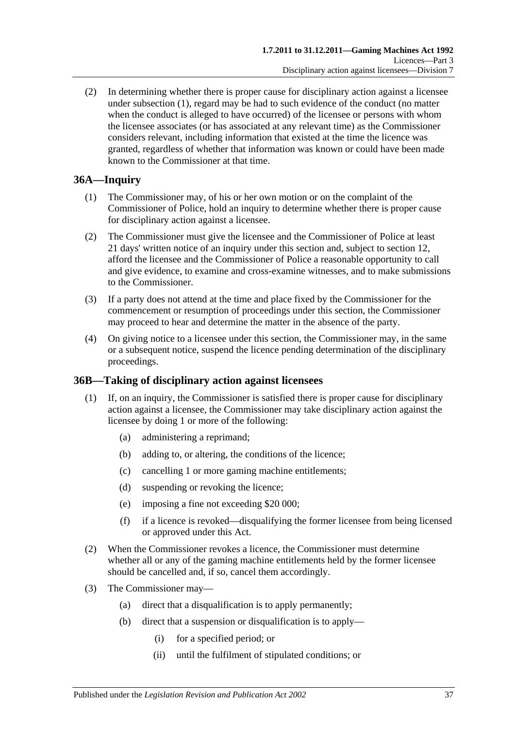(2) In determining whether there is proper cause for disciplinary action against a licensee under [subsection](#page-35-0) (1), regard may be had to such evidence of the conduct (no matter when the conduct is alleged to have occurred) of the licensee or persons with whom the licensee associates (or has associated at any relevant time) as the Commissioner considers relevant, including information that existed at the time the licence was granted, regardless of whether that information was known or could have been made known to the Commissioner at that time.

# **36A—Inquiry**

- (1) The Commissioner may, of his or her own motion or on the complaint of the Commissioner of Police, hold an inquiry to determine whether there is proper cause for disciplinary action against a licensee.
- (2) The Commissioner must give the licensee and the Commissioner of Police at least 21 days' written notice of an inquiry under this section and, subject to [section](#page-13-0) 12, afford the licensee and the Commissioner of Police a reasonable opportunity to call and give evidence, to examine and cross-examine witnesses, and to make submissions to the Commissioner.
- (3) If a party does not attend at the time and place fixed by the Commissioner for the commencement or resumption of proceedings under this section, the Commissioner may proceed to hear and determine the matter in the absence of the party.
- (4) On giving notice to a licensee under this section, the Commissioner may, in the same or a subsequent notice, suspend the licence pending determination of the disciplinary proceedings.

# **36B—Taking of disciplinary action against licensees**

- (1) If, on an inquiry, the Commissioner is satisfied there is proper cause for disciplinary action against a licensee, the Commissioner may take disciplinary action against the licensee by doing 1 or more of the following:
	- (a) administering a reprimand;
	- (b) adding to, or altering, the conditions of the licence;
	- (c) cancelling 1 or more gaming machine entitlements;
	- (d) suspending or revoking the licence;
	- (e) imposing a fine not exceeding \$20 000;
	- (f) if a licence is revoked—disqualifying the former licensee from being licensed or approved under this Act.
- (2) When the Commissioner revokes a licence, the Commissioner must determine whether all or any of the gaming machine entitlements held by the former licensee should be cancelled and, if so, cancel them accordingly.
- (3) The Commissioner may—
	- (a) direct that a disqualification is to apply permanently;
	- (b) direct that a suspension or disqualification is to apply—
		- (i) for a specified period; or
		- (ii) until the fulfilment of stipulated conditions; or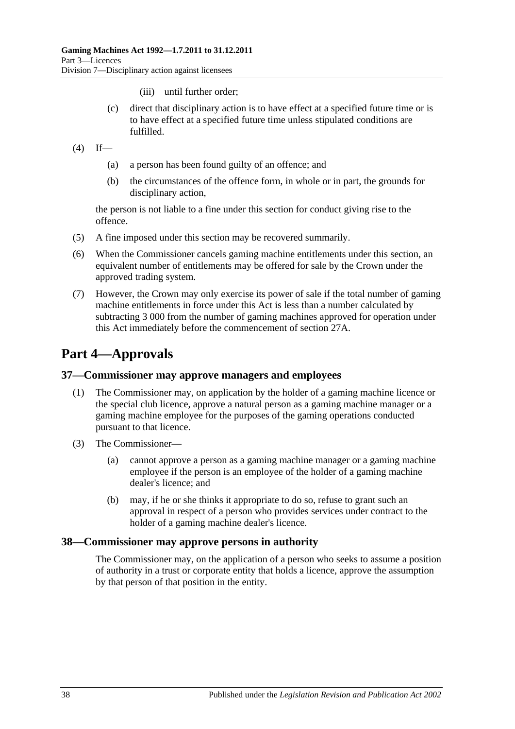- (iii) until further order;
- (c) direct that disciplinary action is to have effect at a specified future time or is to have effect at a specified future time unless stipulated conditions are fulfilled.
- $(4)$  If—
	- (a) a person has been found guilty of an offence; and
	- (b) the circumstances of the offence form, in whole or in part, the grounds for disciplinary action,

the person is not liable to a fine under this section for conduct giving rise to the offence.

- (5) A fine imposed under this section may be recovered summarily.
- (6) When the Commissioner cancels gaming machine entitlements under this section, an equivalent number of entitlements may be offered for sale by the Crown under the approved trading system.
- (7) However, the Crown may only exercise its power of sale if the total number of gaming machine entitlements in force under this Act is less than a number calculated by subtracting 3 000 from the number of gaming machines approved for operation under this Act immediately before the commencement of [section](#page-25-0) 27A.

# **Part 4—Approvals**

#### **37—Commissioner may approve managers and employees**

- (1) The Commissioner may, on application by the holder of a gaming machine licence or the special club licence, approve a natural person as a gaming machine manager or a gaming machine employee for the purposes of the gaming operations conducted pursuant to that licence.
- (3) The Commissioner—
	- (a) cannot approve a person as a gaming machine manager or a gaming machine employee if the person is an employee of the holder of a gaming machine dealer's licence; and
	- (b) may, if he or she thinks it appropriate to do so, refuse to grant such an approval in respect of a person who provides services under contract to the holder of a gaming machine dealer's licence.

#### **38—Commissioner may approve persons in authority**

The Commissioner may, on the application of a person who seeks to assume a position of authority in a trust or corporate entity that holds a licence, approve the assumption by that person of that position in the entity.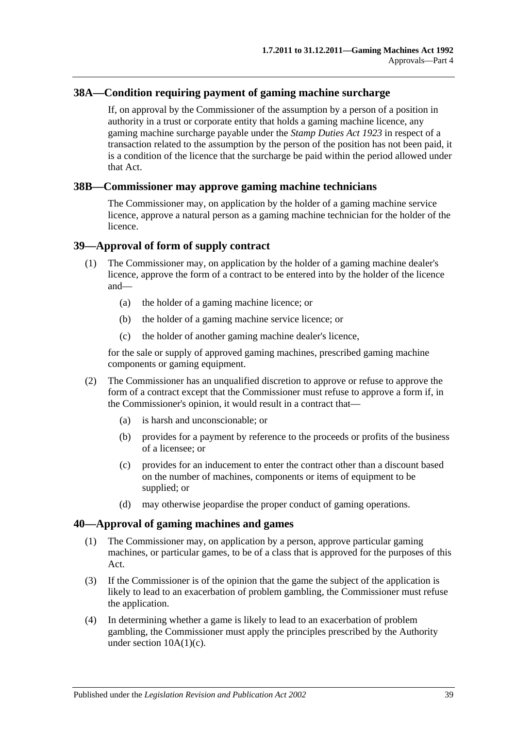# **38A—Condition requiring payment of gaming machine surcharge**

If, on approval by the Commissioner of the assumption by a person of a position in authority in a trust or corporate entity that holds a gaming machine licence, any gaming machine surcharge payable under the *[Stamp Duties Act](http://www.legislation.sa.gov.au/index.aspx?action=legref&type=act&legtitle=Stamp%20Duties%20Act%201923) 1923* in respect of a transaction related to the assumption by the person of the position has not been paid, it is a condition of the licence that the surcharge be paid within the period allowed under that Act.

## **38B—Commissioner may approve gaming machine technicians**

The Commissioner may, on application by the holder of a gaming machine service licence, approve a natural person as a gaming machine technician for the holder of the licence.

## <span id="page-38-0"></span>**39—Approval of form of supply contract**

- (1) The Commissioner may, on application by the holder of a gaming machine dealer's licence, approve the form of a contract to be entered into by the holder of the licence and—
	- (a) the holder of a gaming machine licence; or
	- (b) the holder of a gaming machine service licence; or
	- (c) the holder of another gaming machine dealer's licence,

for the sale or supply of approved gaming machines, prescribed gaming machine components or gaming equipment.

- (2) The Commissioner has an unqualified discretion to approve or refuse to approve the form of a contract except that the Commissioner must refuse to approve a form if, in the Commissioner's opinion, it would result in a contract that—
	- (a) is harsh and unconscionable; or
	- (b) provides for a payment by reference to the proceeds or profits of the business of a licensee; or
	- (c) provides for an inducement to enter the contract other than a discount based on the number of machines, components or items of equipment to be supplied; or
	- (d) may otherwise jeopardise the proper conduct of gaming operations.

#### <span id="page-38-1"></span>**40—Approval of gaming machines and games**

- (1) The Commissioner may, on application by a person, approve particular gaming machines, or particular games, to be of a class that is approved for the purposes of this Act.
- (3) If the Commissioner is of the opinion that the game the subject of the application is likely to lead to an exacerbation of problem gambling, the Commissioner must refuse the application.
- (4) In determining whether a game is likely to lead to an exacerbation of problem gambling, the Commissioner must apply the principles prescribed by the Authority under section  $10A(1)(c)$ .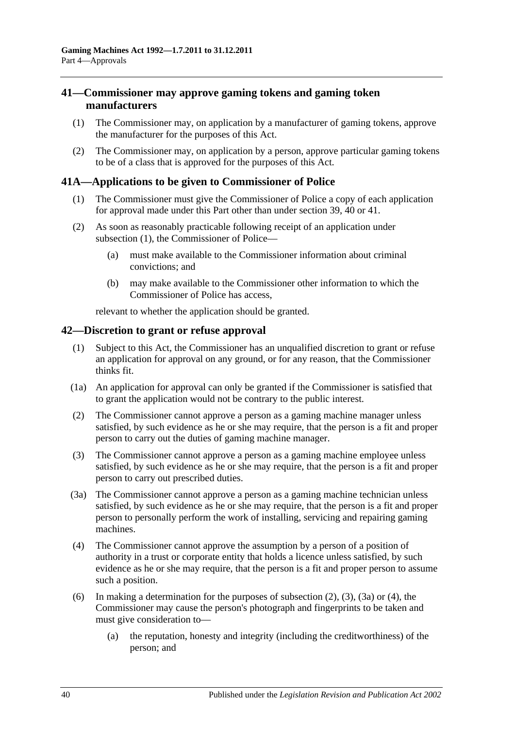## <span id="page-39-0"></span>**41—Commissioner may approve gaming tokens and gaming token manufacturers**

- (1) The Commissioner may, on application by a manufacturer of gaming tokens, approve the manufacturer for the purposes of this Act.
- (2) The Commissioner may, on application by a person, approve particular gaming tokens to be of a class that is approved for the purposes of this Act.

## **41A—Applications to be given to Commissioner of Police**

- (1) The Commissioner must give the Commissioner of Police a copy of each application for approval made under this Part other than under [section](#page-38-0) 39, [40](#page-38-1) or [41.](#page-39-0)
- (2) As soon as reasonably practicable following receipt of an application under [subsection](#page-21-0) (1), the Commissioner of Police—
	- (a) must make available to the Commissioner information about criminal convictions; and
	- (b) may make available to the Commissioner other information to which the Commissioner of Police has access,

relevant to whether the application should be granted.

#### <span id="page-39-5"></span>**42—Discretion to grant or refuse approval**

- (1) Subject to this Act, the Commissioner has an unqualified discretion to grant or refuse an application for approval on any ground, or for any reason, that the Commissioner thinks fit.
- (1a) An application for approval can only be granted if the Commissioner is satisfied that to grant the application would not be contrary to the public interest.
- <span id="page-39-1"></span>(2) The Commissioner cannot approve a person as a gaming machine manager unless satisfied, by such evidence as he or she may require, that the person is a fit and proper person to carry out the duties of gaming machine manager.
- <span id="page-39-2"></span>(3) The Commissioner cannot approve a person as a gaming machine employee unless satisfied, by such evidence as he or she may require, that the person is a fit and proper person to carry out prescribed duties.
- <span id="page-39-3"></span>(3a) The Commissioner cannot approve a person as a gaming machine technician unless satisfied, by such evidence as he or she may require, that the person is a fit and proper person to personally perform the work of installing, servicing and repairing gaming machines.
- <span id="page-39-4"></span>(4) The Commissioner cannot approve the assumption by a person of a position of authority in a trust or corporate entity that holds a licence unless satisfied, by such evidence as he or she may require, that the person is a fit and proper person to assume such a position.
- (6) In making a determination for the purposes of [subsection](#page-39-1) (2), [\(3\),](#page-39-2) [\(3a\)](#page-39-3) or [\(4\),](#page-39-4) the Commissioner may cause the person's photograph and fingerprints to be taken and must give consideration to—
	- (a) the reputation, honesty and integrity (including the creditworthiness) of the person; and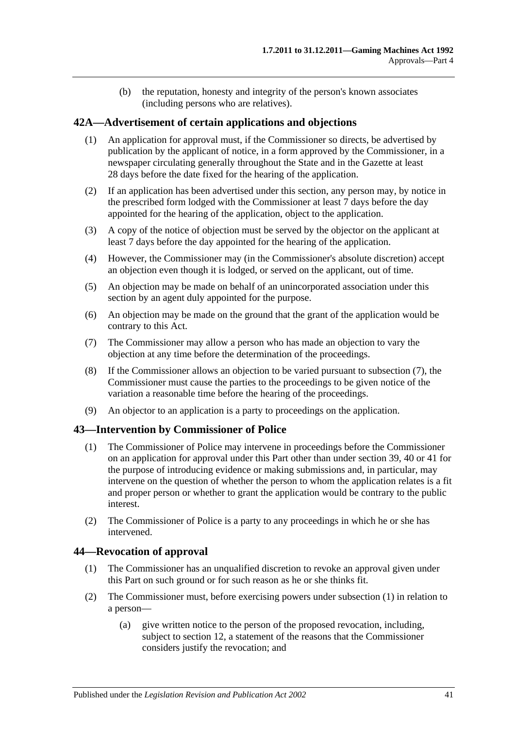(b) the reputation, honesty and integrity of the person's known associates (including persons who are relatives).

# **42A—Advertisement of certain applications and objections**

- (1) An application for approval must, if the Commissioner so directs, be advertised by publication by the applicant of notice, in a form approved by the Commissioner, in a newspaper circulating generally throughout the State and in the Gazette at least 28 days before the date fixed for the hearing of the application.
- (2) If an application has been advertised under this section, any person may, by notice in the prescribed form lodged with the Commissioner at least 7 days before the day appointed for the hearing of the application, object to the application.
- (3) A copy of the notice of objection must be served by the objector on the applicant at least 7 days before the day appointed for the hearing of the application.
- (4) However, the Commissioner may (in the Commissioner's absolute discretion) accept an objection even though it is lodged, or served on the applicant, out of time.
- (5) An objection may be made on behalf of an unincorporated association under this section by an agent duly appointed for the purpose.
- (6) An objection may be made on the ground that the grant of the application would be contrary to this Act.
- <span id="page-40-0"></span>(7) The Commissioner may allow a person who has made an objection to vary the objection at any time before the determination of the proceedings.
- (8) If the Commissioner allows an objection to be varied pursuant to [subsection](#page-40-0) (7), the Commissioner must cause the parties to the proceedings to be given notice of the variation a reasonable time before the hearing of the proceedings.
- (9) An objector to an application is a party to proceedings on the application.

## **43—Intervention by Commissioner of Police**

- (1) The Commissioner of Police may intervene in proceedings before the Commissioner on an application for approval under this Part other than under [section](#page-38-0) 39, [40](#page-38-1) or [41](#page-39-0) for the purpose of introducing evidence or making submissions and, in particular, may intervene on the question of whether the person to whom the application relates is a fit and proper person or whether to grant the application would be contrary to the public interest.
- (2) The Commissioner of Police is a party to any proceedings in which he or she has intervened.

## <span id="page-40-1"></span>**44—Revocation of approval**

- (1) The Commissioner has an unqualified discretion to revoke an approval given under this Part on such ground or for such reason as he or she thinks fit.
- (2) The Commissioner must, before exercising powers under [subsection](#page-40-1) (1) in relation to a person—
	- (a) give written notice to the person of the proposed revocation, including, subject to [section](#page-13-0) 12, a statement of the reasons that the Commissioner considers justify the revocation; and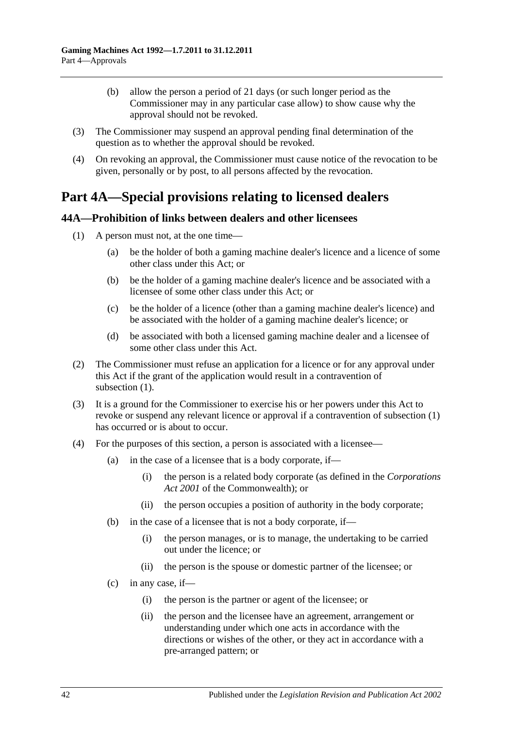- (b) allow the person a period of 21 days (or such longer period as the Commissioner may in any particular case allow) to show cause why the approval should not be revoked.
- (3) The Commissioner may suspend an approval pending final determination of the question as to whether the approval should be revoked.
- (4) On revoking an approval, the Commissioner must cause notice of the revocation to be given, personally or by post, to all persons affected by the revocation.

# **Part 4A—Special provisions relating to licensed dealers**

## <span id="page-41-0"></span>**44A—Prohibition of links between dealers and other licensees**

- (1) A person must not, at the one time—
	- (a) be the holder of both a gaming machine dealer's licence and a licence of some other class under this Act; or
	- (b) be the holder of a gaming machine dealer's licence and be associated with a licensee of some other class under this Act; or
	- (c) be the holder of a licence (other than a gaming machine dealer's licence) and be associated with the holder of a gaming machine dealer's licence; or
	- (d) be associated with both a licensed gaming machine dealer and a licensee of some other class under this Act.
- (2) The Commissioner must refuse an application for a licence or for any approval under this Act if the grant of the application would result in a contravention of [subsection](#page-41-0)  $(1)$ .
- (3) It is a ground for the Commissioner to exercise his or her powers under this Act to revoke or suspend any relevant licence or approval if a contravention of [subsection](#page-41-0) (1) has occurred or is about to occur.
- (4) For the purposes of this section, a person is associated with a licensee—
	- (a) in the case of a licensee that is a body corporate, if—
		- (i) the person is a related body corporate (as defined in the *Corporations Act 2001* of the Commonwealth); or
		- (ii) the person occupies a position of authority in the body corporate;
	- (b) in the case of a licensee that is not a body corporate, if—
		- (i) the person manages, or is to manage, the undertaking to be carried out under the licence; or
		- (ii) the person is the spouse or domestic partner of the licensee; or
	- $(c)$  in any case, if
		- (i) the person is the partner or agent of the licensee; or
		- (ii) the person and the licensee have an agreement, arrangement or understanding under which one acts in accordance with the directions or wishes of the other, or they act in accordance with a pre-arranged pattern; or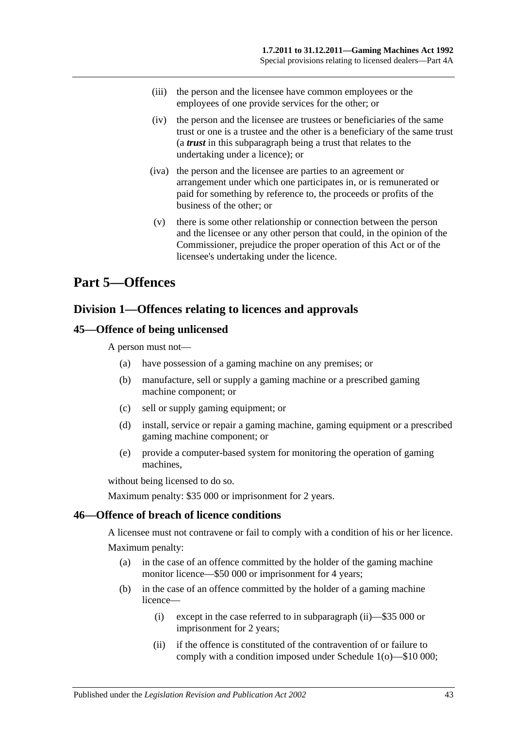- (iii) the person and the licensee have common employees or the employees of one provide services for the other; or
- (iv) the person and the licensee are trustees or beneficiaries of the same trust or one is a trustee and the other is a beneficiary of the same trust (a *trust* in this subparagraph being a trust that relates to the undertaking under a licence); or
- (iva) the person and the licensee are parties to an agreement or arrangement under which one participates in, or is remunerated or paid for something by reference to, the proceeds or profits of the business of the other; or
- (v) there is some other relationship or connection between the person and the licensee or any other person that could, in the opinion of the Commissioner, prejudice the proper operation of this Act or of the licensee's undertaking under the licence.

# **Part 5—Offences**

# **Division 1—Offences relating to licences and approvals**

# **45—Offence of being unlicensed**

A person must not—

- (a) have possession of a gaming machine on any premises; or
- (b) manufacture, sell or supply a gaming machine or a prescribed gaming machine component; or
- (c) sell or supply gaming equipment; or
- (d) install, service or repair a gaming machine, gaming equipment or a prescribed gaming machine component; or
- (e) provide a computer-based system for monitoring the operation of gaming machines,

without being licensed to do so.

Maximum penalty: \$35 000 or imprisonment for 2 years.

## **46—Offence of breach of licence conditions**

A licensee must not contravene or fail to comply with a condition of his or her licence. Maximum penalty:

- (a) in the case of an offence committed by the holder of the gaming machine monitor licence—\$50 000 or imprisonment for 4 years;
- <span id="page-42-0"></span>(b) in the case of an offence committed by the holder of a gaming machine licence—
	- (i) except in the case referred to in [subparagraph](#page-42-0) (ii)—\$35 000 or imprisonment for 2 years;
	- (ii) if the offence is constituted of the contravention of or failure to comply with a condition imposed under [Schedule 1\(](#page-70-0)o)—\$10 000;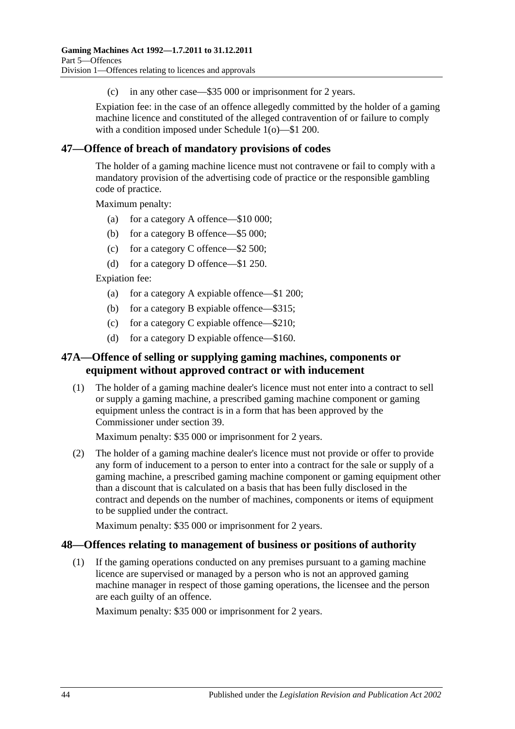(c) in any other case—\$35 000 or imprisonment for 2 years.

Expiation fee: in the case of an offence allegedly committed by the holder of a gaming machine licence and constituted of the alleged contravention of or failure to comply with a condition imposed under [Schedule 1\(](#page-70-0)o)—\$1 200.

# **47—Offence of breach of mandatory provisions of codes**

The holder of a gaming machine licence must not contravene or fail to comply with a mandatory provision of the advertising code of practice or the responsible gambling code of practice.

Maximum penalty:

- (a) for a category A offence—\$10 000;
- (b) for a category B offence—\$5 000;
- (c) for a category C offence—\$2 500;
- (d) for a category D offence—\$1 250.

Expiation fee:

- (a) for a category A expiable offence—\$1 200;
- (b) for a category B expiable offence—\$315;
- (c) for a category C expiable offence—\$210;
- (d) for a category D expiable offence—\$160.

# **47A—Offence of selling or supplying gaming machines, components or equipment without approved contract or with inducement**

(1) The holder of a gaming machine dealer's licence must not enter into a contract to sell or supply a gaming machine, a prescribed gaming machine component or gaming equipment unless the contract is in a form that has been approved by the Commissioner under [section](#page-38-0) 39.

Maximum penalty: \$35 000 or imprisonment for 2 years.

(2) The holder of a gaming machine dealer's licence must not provide or offer to provide any form of inducement to a person to enter into a contract for the sale or supply of a gaming machine, a prescribed gaming machine component or gaming equipment other than a discount that is calculated on a basis that has been fully disclosed in the contract and depends on the number of machines, components or items of equipment to be supplied under the contract.

Maximum penalty: \$35 000 or imprisonment for 2 years.

#### **48—Offences relating to management of business or positions of authority**

(1) If the gaming operations conducted on any premises pursuant to a gaming machine licence are supervised or managed by a person who is not an approved gaming machine manager in respect of those gaming operations, the licensee and the person are each guilty of an offence.

Maximum penalty: \$35 000 or imprisonment for 2 years.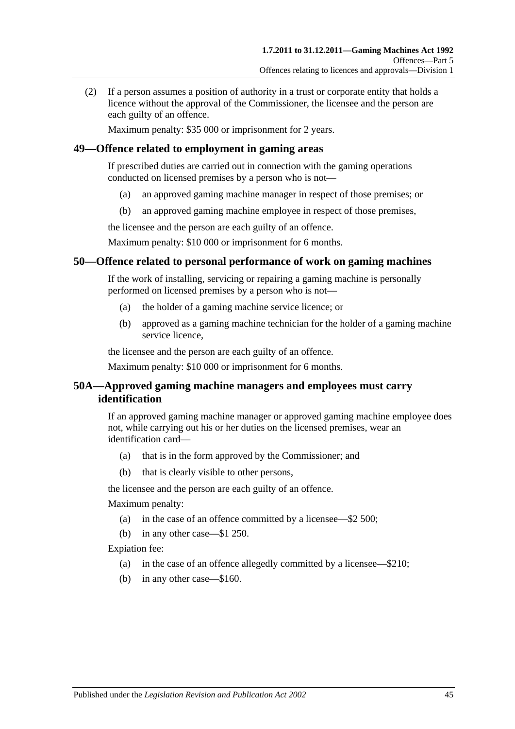(2) If a person assumes a position of authority in a trust or corporate entity that holds a licence without the approval of the Commissioner, the licensee and the person are each guilty of an offence.

Maximum penalty: \$35 000 or imprisonment for 2 years.

## **49—Offence related to employment in gaming areas**

If prescribed duties are carried out in connection with the gaming operations conducted on licensed premises by a person who is not—

- (a) an approved gaming machine manager in respect of those premises; or
- (b) an approved gaming machine employee in respect of those premises,

the licensee and the person are each guilty of an offence.

Maximum penalty: \$10 000 or imprisonment for 6 months.

## **50—Offence related to personal performance of work on gaming machines**

If the work of installing, servicing or repairing a gaming machine is personally performed on licensed premises by a person who is not—

- (a) the holder of a gaming machine service licence; or
- (b) approved as a gaming machine technician for the holder of a gaming machine service licence,

the licensee and the person are each guilty of an offence.

Maximum penalty: \$10 000 or imprisonment for 6 months.

## **50A—Approved gaming machine managers and employees must carry identification**

If an approved gaming machine manager or approved gaming machine employee does not, while carrying out his or her duties on the licensed premises, wear an identification card—

- (a) that is in the form approved by the Commissioner; and
- (b) that is clearly visible to other persons,

the licensee and the person are each guilty of an offence.

Maximum penalty:

- (a) in the case of an offence committed by a licensee—\$2 500;
- (b) in any other case—\$1 250.

Expiation fee:

- (a) in the case of an offence allegedly committed by a licensee—\$210;
- (b) in any other case—\$160.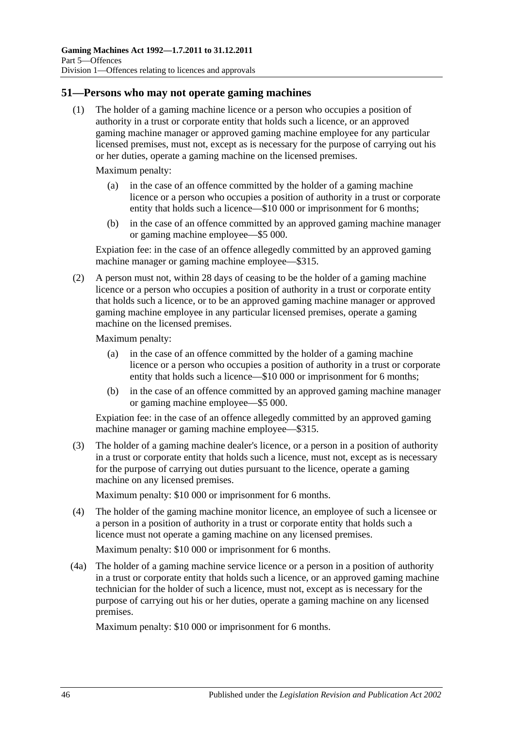## **51—Persons who may not operate gaming machines**

(1) The holder of a gaming machine licence or a person who occupies a position of authority in a trust or corporate entity that holds such a licence, or an approved gaming machine manager or approved gaming machine employee for any particular licensed premises, must not, except as is necessary for the purpose of carrying out his or her duties, operate a gaming machine on the licensed premises.

Maximum penalty:

- (a) in the case of an offence committed by the holder of a gaming machine licence or a person who occupies a position of authority in a trust or corporate entity that holds such a licence—\$10 000 or imprisonment for 6 months;
- (b) in the case of an offence committed by an approved gaming machine manager or gaming machine employee—\$5 000.

Expiation fee: in the case of an offence allegedly committed by an approved gaming machine manager or gaming machine employee—\$315.

(2) A person must not, within 28 days of ceasing to be the holder of a gaming machine licence or a person who occupies a position of authority in a trust or corporate entity that holds such a licence, or to be an approved gaming machine manager or approved gaming machine employee in any particular licensed premises, operate a gaming machine on the licensed premises.

Maximum penalty:

- (a) in the case of an offence committed by the holder of a gaming machine licence or a person who occupies a position of authority in a trust or corporate entity that holds such a licence—\$10 000 or imprisonment for 6 months;
- (b) in the case of an offence committed by an approved gaming machine manager or gaming machine employee—\$5 000.

Expiation fee: in the case of an offence allegedly committed by an approved gaming machine manager or gaming machine employee—\$315.

(3) The holder of a gaming machine dealer's licence, or a person in a position of authority in a trust or corporate entity that holds such a licence, must not, except as is necessary for the purpose of carrying out duties pursuant to the licence, operate a gaming machine on any licensed premises.

Maximum penalty: \$10 000 or imprisonment for 6 months.

(4) The holder of the gaming machine monitor licence, an employee of such a licensee or a person in a position of authority in a trust or corporate entity that holds such a licence must not operate a gaming machine on any licensed premises.

Maximum penalty: \$10 000 or imprisonment for 6 months.

(4a) The holder of a gaming machine service licence or a person in a position of authority in a trust or corporate entity that holds such a licence, or an approved gaming machine technician for the holder of such a licence, must not, except as is necessary for the purpose of carrying out his or her duties, operate a gaming machine on any licensed premises.

Maximum penalty: \$10 000 or imprisonment for 6 months.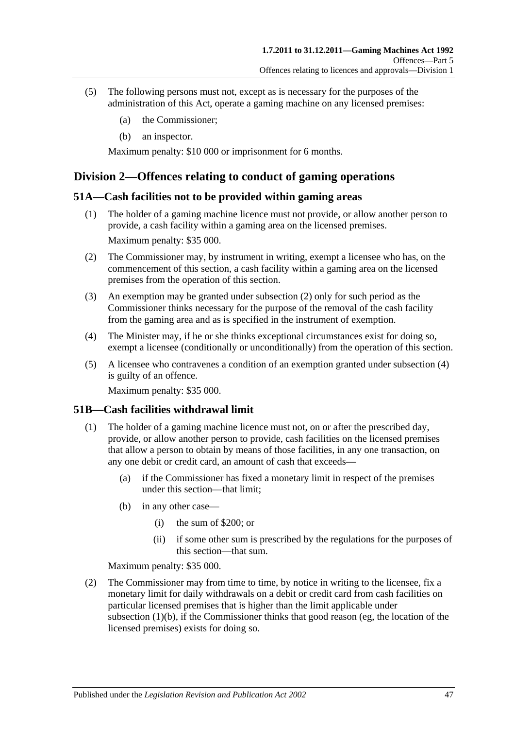- (5) The following persons must not, except as is necessary for the purposes of the administration of this Act, operate a gaming machine on any licensed premises:
	- (a) the Commissioner;
	- (b) an inspector.

Maximum penalty: \$10 000 or imprisonment for 6 months.

# **Division 2—Offences relating to conduct of gaming operations**

## **51A—Cash facilities not to be provided within gaming areas**

- (1) The holder of a gaming machine licence must not provide, or allow another person to provide, a cash facility within a gaming area on the licensed premises. Maximum penalty: \$35 000.
- <span id="page-46-0"></span>(2) The Commissioner may, by instrument in writing, exempt a licensee who has, on the commencement of this section, a cash facility within a gaming area on the licensed premises from the operation of this section.
- (3) An exemption may be granted under [subsection](#page-46-0) (2) only for such period as the Commissioner thinks necessary for the purpose of the removal of the cash facility from the gaming area and as is specified in the instrument of exemption.
- <span id="page-46-1"></span>(4) The Minister may, if he or she thinks exceptional circumstances exist for doing so, exempt a licensee (conditionally or unconditionally) from the operation of this section.
- (5) A licensee who contravenes a condition of an exemption granted under [subsection](#page-46-1) (4) is guilty of an offence.

Maximum penalty: \$35 000.

## <span id="page-46-3"></span>**51B—Cash facilities withdrawal limit**

- <span id="page-46-2"></span>(1) The holder of a gaming machine licence must not, on or after the prescribed day, provide, or allow another person to provide, cash facilities on the licensed premises that allow a person to obtain by means of those facilities, in any one transaction, on any one debit or credit card, an amount of cash that exceeds—
	- (a) if the Commissioner has fixed a monetary limit in respect of the premises under this section—that limit;
	- (b) in any other case—
		- (i) the sum of \$200; or
		- (ii) if some other sum is prescribed by the regulations for the purposes of this section—that sum.

Maximum penalty: \$35 000.

(2) The Commissioner may from time to time, by notice in writing to the licensee, fix a monetary limit for daily withdrawals on a debit or credit card from cash facilities on particular licensed premises that is higher than the limit applicable under [subsection](#page-46-2) (1)(b), if the Commissioner thinks that good reason (eg, the location of the licensed premises) exists for doing so.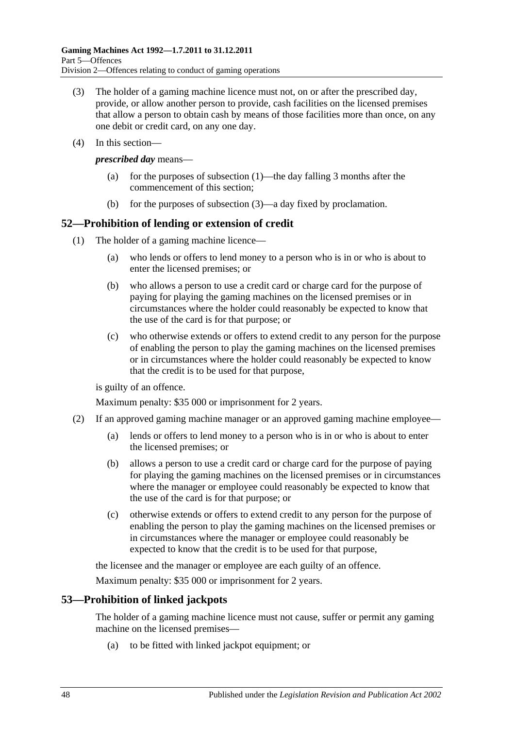- <span id="page-47-0"></span>(3) The holder of a gaming machine licence must not, on or after the prescribed day, provide, or allow another person to provide, cash facilities on the licensed premises that allow a person to obtain cash by means of those facilities more than once, on any one debit or credit card, on any one day.
- (4) In this section—

*prescribed day* means—

- (a) for the purposes of [subsection](#page-46-3) (1)—the day falling 3 months after the commencement of this section;
- (b) for the purposes of [subsection](#page-47-0) (3)—a day fixed by proclamation.

# **52—Prohibition of lending or extension of credit**

- (1) The holder of a gaming machine licence—
	- (a) who lends or offers to lend money to a person who is in or who is about to enter the licensed premises; or
	- (b) who allows a person to use a credit card or charge card for the purpose of paying for playing the gaming machines on the licensed premises or in circumstances where the holder could reasonably be expected to know that the use of the card is for that purpose; or
	- (c) who otherwise extends or offers to extend credit to any person for the purpose of enabling the person to play the gaming machines on the licensed premises or in circumstances where the holder could reasonably be expected to know that the credit is to be used for that purpose,

is guilty of an offence.

Maximum penalty: \$35 000 or imprisonment for 2 years.

- (2) If an approved gaming machine manager or an approved gaming machine employee—
	- (a) lends or offers to lend money to a person who is in or who is about to enter the licensed premises; or
	- (b) allows a person to use a credit card or charge card for the purpose of paying for playing the gaming machines on the licensed premises or in circumstances where the manager or employee could reasonably be expected to know that the use of the card is for that purpose; or
	- (c) otherwise extends or offers to extend credit to any person for the purpose of enabling the person to play the gaming machines on the licensed premises or in circumstances where the manager or employee could reasonably be expected to know that the credit is to be used for that purpose,

the licensee and the manager or employee are each guilty of an offence.

Maximum penalty: \$35 000 or imprisonment for 2 years.

# **53—Prohibition of linked jackpots**

The holder of a gaming machine licence must not cause, suffer or permit any gaming machine on the licensed premises—

(a) to be fitted with linked jackpot equipment; or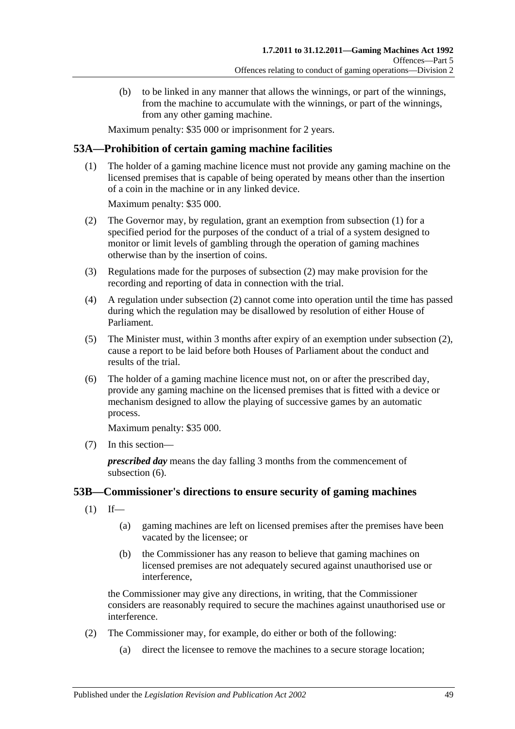(b) to be linked in any manner that allows the winnings, or part of the winnings, from the machine to accumulate with the winnings, or part of the winnings, from any other gaming machine.

Maximum penalty: \$35 000 or imprisonment for 2 years.

# <span id="page-48-0"></span>**53A—Prohibition of certain gaming machine facilities**

(1) The holder of a gaming machine licence must not provide any gaming machine on the licensed premises that is capable of being operated by means other than the insertion of a coin in the machine or in any linked device.

Maximum penalty: \$35 000.

- <span id="page-48-1"></span>(2) The Governor may, by regulation, grant an exemption from [subsection](#page-48-0) (1) for a specified period for the purposes of the conduct of a trial of a system designed to monitor or limit levels of gambling through the operation of gaming machines otherwise than by the insertion of coins.
- (3) Regulations made for the purposes of [subsection](#page-48-1) (2) may make provision for the recording and reporting of data in connection with the trial.
- (4) A regulation under [subsection](#page-48-1) (2) cannot come into operation until the time has passed during which the regulation may be disallowed by resolution of either House of Parliament.
- (5) The Minister must, within 3 months after expiry of an exemption under [subsection](#page-48-1) (2), cause a report to be laid before both Houses of Parliament about the conduct and results of the trial.
- <span id="page-48-2"></span>(6) The holder of a gaming machine licence must not, on or after the prescribed day, provide any gaming machine on the licensed premises that is fitted with a device or mechanism designed to allow the playing of successive games by an automatic process.

Maximum penalty: \$35 000.

(7) In this section—

*prescribed day* means the day falling 3 months from the commencement of [subsection](#page-48-2) (6).

# **53B—Commissioner's directions to ensure security of gaming machines**

- $(1)$  If—
	- (a) gaming machines are left on licensed premises after the premises have been vacated by the licensee; or
	- (b) the Commissioner has any reason to believe that gaming machines on licensed premises are not adequately secured against unauthorised use or interference,

the Commissioner may give any directions, in writing, that the Commissioner considers are reasonably required to secure the machines against unauthorised use or interference.

- (2) The Commissioner may, for example, do either or both of the following:
	- (a) direct the licensee to remove the machines to a secure storage location;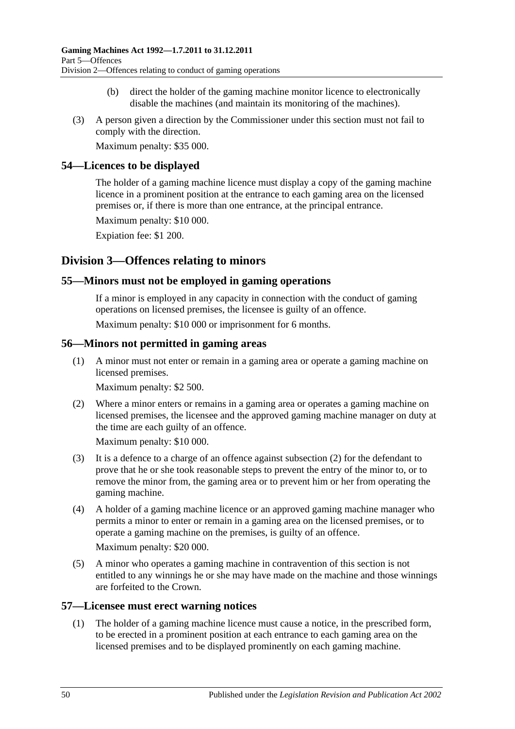- (b) direct the holder of the gaming machine monitor licence to electronically disable the machines (and maintain its monitoring of the machines).
- (3) A person given a direction by the Commissioner under this section must not fail to comply with the direction.

Maximum penalty: \$35 000.

## **54—Licences to be displayed**

The holder of a gaming machine licence must display a copy of the gaming machine licence in a prominent position at the entrance to each gaming area on the licensed premises or, if there is more than one entrance, at the principal entrance.

Maximum penalty: \$10 000.

Expiation fee: \$1 200.

# **Division 3—Offences relating to minors**

## **55—Minors must not be employed in gaming operations**

If a minor is employed in any capacity in connection with the conduct of gaming operations on licensed premises, the licensee is guilty of an offence.

Maximum penalty: \$10 000 or imprisonment for 6 months.

## **56—Minors not permitted in gaming areas**

(1) A minor must not enter or remain in a gaming area or operate a gaming machine on licensed premises.

Maximum penalty: \$2 500.

<span id="page-49-0"></span>(2) Where a minor enters or remains in a gaming area or operates a gaming machine on licensed premises, the licensee and the approved gaming machine manager on duty at the time are each guilty of an offence.

Maximum penalty: \$10 000.

- (3) It is a defence to a charge of an offence against [subsection](#page-49-0) (2) for the defendant to prove that he or she took reasonable steps to prevent the entry of the minor to, or to remove the minor from, the gaming area or to prevent him or her from operating the gaming machine.
- (4) A holder of a gaming machine licence or an approved gaming machine manager who permits a minor to enter or remain in a gaming area on the licensed premises, or to operate a gaming machine on the premises, is guilty of an offence.

Maximum penalty: \$20 000.

(5) A minor who operates a gaming machine in contravention of this section is not entitled to any winnings he or she may have made on the machine and those winnings are forfeited to the Crown.

#### <span id="page-49-1"></span>**57—Licensee must erect warning notices**

(1) The holder of a gaming machine licence must cause a notice, in the prescribed form, to be erected in a prominent position at each entrance to each gaming area on the licensed premises and to be displayed prominently on each gaming machine.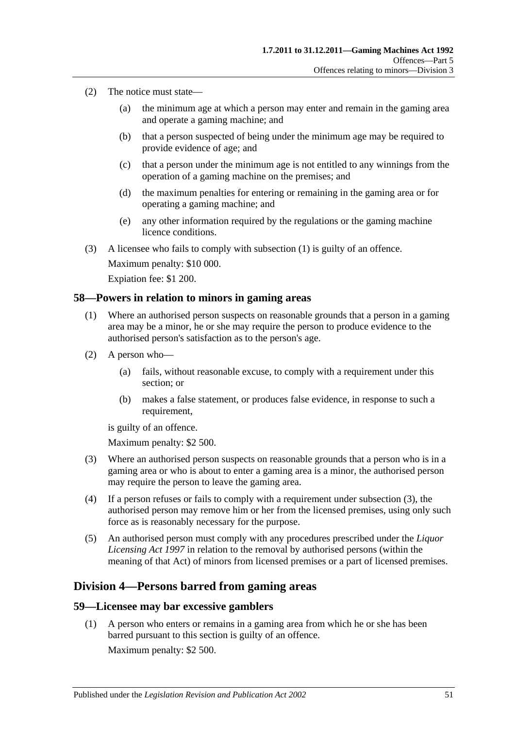- (2) The notice must state—
	- (a) the minimum age at which a person may enter and remain in the gaming area and operate a gaming machine; and
	- (b) that a person suspected of being under the minimum age may be required to provide evidence of age; and
	- (c) that a person under the minimum age is not entitled to any winnings from the operation of a gaming machine on the premises; and
	- (d) the maximum penalties for entering or remaining in the gaming area or for operating a gaming machine; and
	- (e) any other information required by the regulations or the gaming machine licence conditions.
- (3) A licensee who fails to comply with [subsection](#page-49-1) (1) is guilty of an offence.

Maximum penalty: \$10 000. Expiation fee: \$1 200.

#### **58—Powers in relation to minors in gaming areas**

- (1) Where an authorised person suspects on reasonable grounds that a person in a gaming area may be a minor, he or she may require the person to produce evidence to the authorised person's satisfaction as to the person's age.
- (2) A person who—
	- (a) fails, without reasonable excuse, to comply with a requirement under this section; or
	- (b) makes a false statement, or produces false evidence, in response to such a requirement,

is guilty of an offence.

Maximum penalty: \$2 500.

- <span id="page-50-0"></span>(3) Where an authorised person suspects on reasonable grounds that a person who is in a gaming area or who is about to enter a gaming area is a minor, the authorised person may require the person to leave the gaming area.
- (4) If a person refuses or fails to comply with a requirement under [subsection](#page-50-0) (3), the authorised person may remove him or her from the licensed premises, using only such force as is reasonably necessary for the purpose.
- (5) An authorised person must comply with any procedures prescribed under the *[Liquor](http://www.legislation.sa.gov.au/index.aspx?action=legref&type=act&legtitle=Liquor%20Licensing%20Act%201997)  [Licensing Act](http://www.legislation.sa.gov.au/index.aspx?action=legref&type=act&legtitle=Liquor%20Licensing%20Act%201997) 1997* in relation to the removal by authorised persons (within the meaning of that Act) of minors from licensed premises or a part of licensed premises.

## **Division 4—Persons barred from gaming areas**

#### <span id="page-50-1"></span>**59—Licensee may bar excessive gamblers**

(1) A person who enters or remains in a gaming area from which he or she has been barred pursuant to this section is guilty of an offence.

Maximum penalty: \$2 500.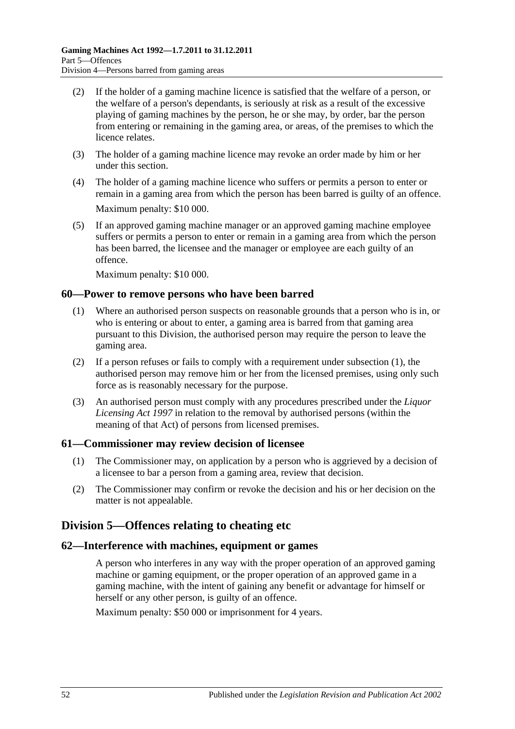- (2) If the holder of a gaming machine licence is satisfied that the welfare of a person, or the welfare of a person's dependants, is seriously at risk as a result of the excessive playing of gaming machines by the person, he or she may, by order, bar the person from entering or remaining in the gaming area, or areas, of the premises to which the licence relates.
- (3) The holder of a gaming machine licence may revoke an order made by him or her under this section.
- (4) The holder of a gaming machine licence who suffers or permits a person to enter or remain in a gaming area from which the person has been barred is guilty of an offence. Maximum penalty: \$10 000.
- (5) If an approved gaming machine manager or an approved gaming machine employee suffers or permits a person to enter or remain in a gaming area from which the person has been barred, the licensee and the manager or employee are each guilty of an offence.

Maximum penalty: \$10 000.

## <span id="page-51-0"></span>**60—Power to remove persons who have been barred**

- (1) Where an authorised person suspects on reasonable grounds that a person who is in, or who is entering or about to enter, a gaming area is barred from that gaming area pursuant to this Division, the authorised person may require the person to leave the gaming area.
- (2) If a person refuses or fails to comply with a requirement under [subsection](#page-51-0) (1), the authorised person may remove him or her from the licensed premises, using only such force as is reasonably necessary for the purpose.
- (3) An authorised person must comply with any procedures prescribed under the *[Liquor](http://www.legislation.sa.gov.au/index.aspx?action=legref&type=act&legtitle=Liquor%20Licensing%20Act%201997)  [Licensing Act](http://www.legislation.sa.gov.au/index.aspx?action=legref&type=act&legtitle=Liquor%20Licensing%20Act%201997) 1997* in relation to the removal by authorised persons (within the meaning of that Act) of persons from licensed premises.

#### **61—Commissioner may review decision of licensee**

- (1) The Commissioner may, on application by a person who is aggrieved by a decision of a licensee to bar a person from a gaming area, review that decision.
- (2) The Commissioner may confirm or revoke the decision and his or her decision on the matter is not appealable.

# **Division 5—Offences relating to cheating etc**

#### **62—Interference with machines, equipment or games**

A person who interferes in any way with the proper operation of an approved gaming machine or gaming equipment, or the proper operation of an approved game in a gaming machine, with the intent of gaining any benefit or advantage for himself or herself or any other person, is guilty of an offence.

Maximum penalty: \$50 000 or imprisonment for 4 years.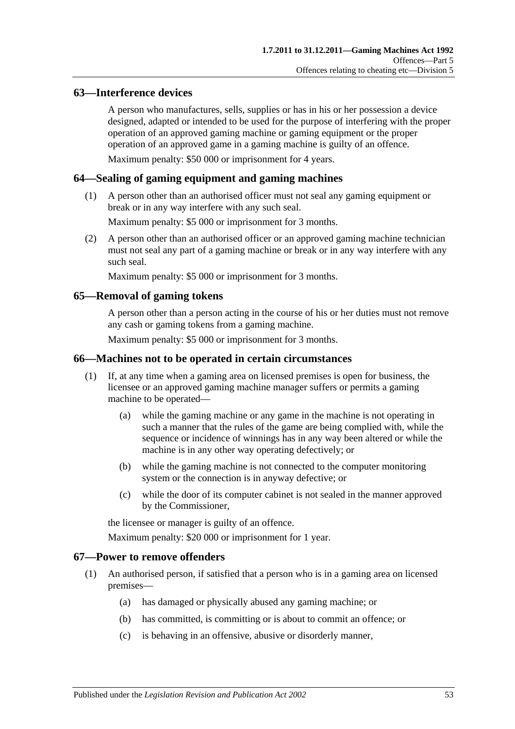## **63—Interference devices**

A person who manufactures, sells, supplies or has in his or her possession a device designed, adapted or intended to be used for the purpose of interfering with the proper operation of an approved gaming machine or gaming equipment or the proper operation of an approved game in a gaming machine is guilty of an offence.

Maximum penalty: \$50 000 or imprisonment for 4 years.

## **64—Sealing of gaming equipment and gaming machines**

(1) A person other than an authorised officer must not seal any gaming equipment or break or in any way interfere with any such seal.

Maximum penalty: \$5 000 or imprisonment for 3 months.

(2) A person other than an authorised officer or an approved gaming machine technician must not seal any part of a gaming machine or break or in any way interfere with any such seal.

Maximum penalty: \$5 000 or imprisonment for 3 months.

## **65—Removal of gaming tokens**

A person other than a person acting in the course of his or her duties must not remove any cash or gaming tokens from a gaming machine.

Maximum penalty: \$5 000 or imprisonment for 3 months.

### **66—Machines not to be operated in certain circumstances**

- (1) If, at any time when a gaming area on licensed premises is open for business, the licensee or an approved gaming machine manager suffers or permits a gaming machine to be operated—
	- (a) while the gaming machine or any game in the machine is not operating in such a manner that the rules of the game are being complied with, while the sequence or incidence of winnings has in any way been altered or while the machine is in any other way operating defectively; or
	- (b) while the gaming machine is not connected to the computer monitoring system or the connection is in anyway defective; or
	- (c) while the door of its computer cabinet is not sealed in the manner approved by the Commissioner,

the licensee or manager is guilty of an offence.

Maximum penalty: \$20 000 or imprisonment for 1 year.

#### <span id="page-52-0"></span>**67—Power to remove offenders**

- (1) An authorised person, if satisfied that a person who is in a gaming area on licensed premises—
	- (a) has damaged or physically abused any gaming machine; or
	- (b) has committed, is committing or is about to commit an offence; or
	- (c) is behaving in an offensive, abusive or disorderly manner,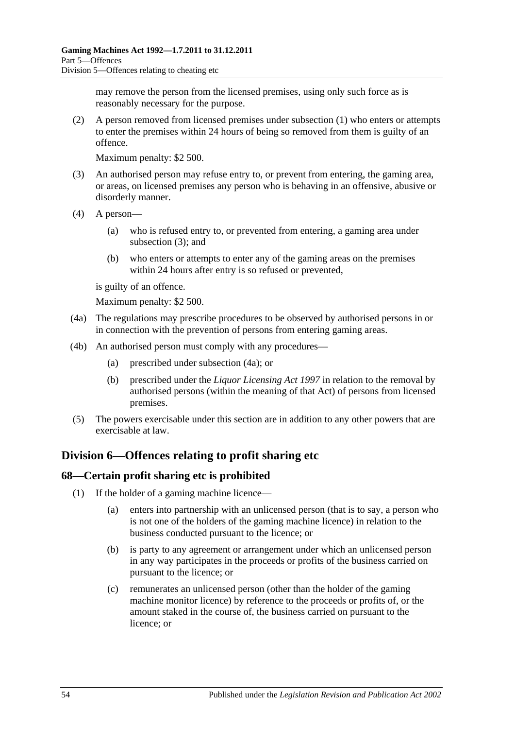may remove the person from the licensed premises, using only such force as is reasonably necessary for the purpose.

(2) A person removed from licensed premises under [subsection](#page-52-0) (1) who enters or attempts to enter the premises within 24 hours of being so removed from them is guilty of an offence.

Maximum penalty: \$2 500.

- <span id="page-53-0"></span>(3) An authorised person may refuse entry to, or prevent from entering, the gaming area, or areas, on licensed premises any person who is behaving in an offensive, abusive or disorderly manner.
- (4) A person—
	- (a) who is refused entry to, or prevented from entering, a gaming area under [subsection](#page-53-0) (3); and
	- (b) who enters or attempts to enter any of the gaming areas on the premises within 24 hours after entry is so refused or prevented,

is guilty of an offence.

Maximum penalty: \$2 500.

- <span id="page-53-1"></span>(4a) The regulations may prescribe procedures to be observed by authorised persons in or in connection with the prevention of persons from entering gaming areas.
- (4b) An authorised person must comply with any procedures—
	- (a) prescribed under [subsection](#page-53-1) (4a); or
	- (b) prescribed under the *[Liquor Licensing Act](http://www.legislation.sa.gov.au/index.aspx?action=legref&type=act&legtitle=Liquor%20Licensing%20Act%201997) 1997* in relation to the removal by authorised persons (within the meaning of that Act) of persons from licensed premises.
- (5) The powers exercisable under this section are in addition to any other powers that are exercisable at law.

# **Division 6—Offences relating to profit sharing etc**

## <span id="page-53-2"></span>**68—Certain profit sharing etc is prohibited**

- (1) If the holder of a gaming machine licence—
	- (a) enters into partnership with an unlicensed person (that is to say, a person who is not one of the holders of the gaming machine licence) in relation to the business conducted pursuant to the licence; or
	- (b) is party to any agreement or arrangement under which an unlicensed person in any way participates in the proceeds or profits of the business carried on pursuant to the licence; or
	- (c) remunerates an unlicensed person (other than the holder of the gaming machine monitor licence) by reference to the proceeds or profits of, or the amount staked in the course of, the business carried on pursuant to the licence; or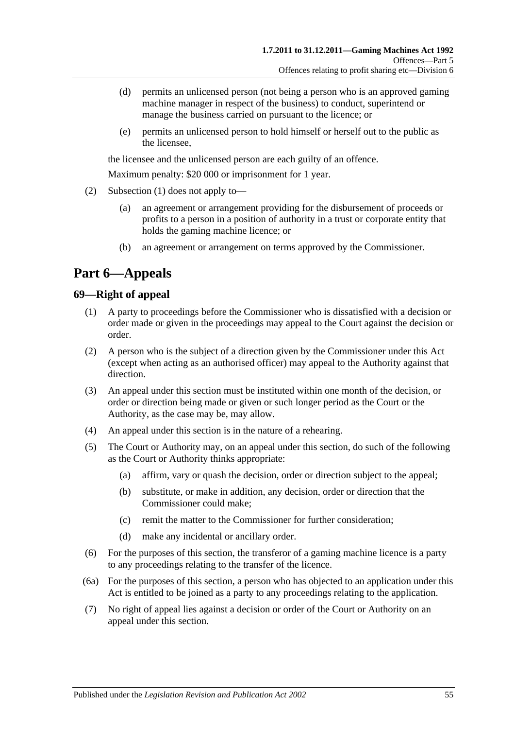- (d) permits an unlicensed person (not being a person who is an approved gaming machine manager in respect of the business) to conduct, superintend or manage the business carried on pursuant to the licence; or
- (e) permits an unlicensed person to hold himself or herself out to the public as the licensee,

the licensee and the unlicensed person are each guilty of an offence.

Maximum penalty: \$20 000 or imprisonment for 1 year.

- (2) [Subsection](#page-53-2) (1) does not apply to—
	- (a) an agreement or arrangement providing for the disbursement of proceeds or profits to a person in a position of authority in a trust or corporate entity that holds the gaming machine licence; or
	- (b) an agreement or arrangement on terms approved by the Commissioner.

# **Part 6—Appeals**

## **69—Right of appeal**

- (1) A party to proceedings before the Commissioner who is dissatisfied with a decision or order made or given in the proceedings may appeal to the Court against the decision or order.
- (2) A person who is the subject of a direction given by the Commissioner under this Act (except when acting as an authorised officer) may appeal to the Authority against that direction.
- (3) An appeal under this section must be instituted within one month of the decision, or order or direction being made or given or such longer period as the Court or the Authority, as the case may be, may allow.
- (4) An appeal under this section is in the nature of a rehearing.
- (5) The Court or Authority may, on an appeal under this section, do such of the following as the Court or Authority thinks appropriate:
	- (a) affirm, vary or quash the decision, order or direction subject to the appeal;
	- (b) substitute, or make in addition, any decision, order or direction that the Commissioner could make;
	- (c) remit the matter to the Commissioner for further consideration;
	- (d) make any incidental or ancillary order.
- (6) For the purposes of this section, the transferor of a gaming machine licence is a party to any proceedings relating to the transfer of the licence.
- (6a) For the purposes of this section, a person who has objected to an application under this Act is entitled to be joined as a party to any proceedings relating to the application.
- (7) No right of appeal lies against a decision or order of the Court or Authority on an appeal under this section.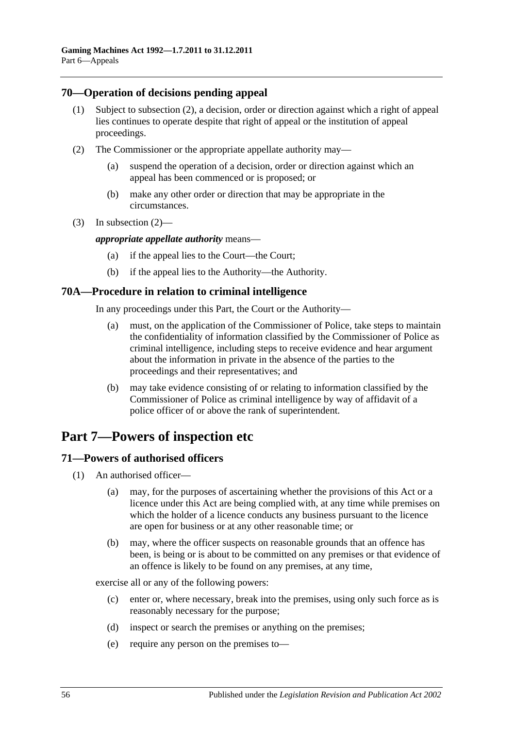## **70—Operation of decisions pending appeal**

- (1) Subject to [subsection](#page-55-0) (2), a decision, order or direction against which a right of appeal lies continues to operate despite that right of appeal or the institution of appeal proceedings.
- <span id="page-55-0"></span>(2) The Commissioner or the appropriate appellate authority may—
	- (a) suspend the operation of a decision, order or direction against which an appeal has been commenced or is proposed; or
	- (b) make any other order or direction that may be appropriate in the circumstances.
- (3) In [subsection](#page-55-0) (2)—

#### *appropriate appellate authority* means—

- (a) if the appeal lies to the Court—the Court;
- (b) if the appeal lies to the Authority—the Authority.

#### **70A—Procedure in relation to criminal intelligence**

In any proceedings under this Part, the Court or the Authority—

- (a) must, on the application of the Commissioner of Police, take steps to maintain the confidentiality of information classified by the Commissioner of Police as criminal intelligence, including steps to receive evidence and hear argument about the information in private in the absence of the parties to the proceedings and their representatives; and
- (b) may take evidence consisting of or relating to information classified by the Commissioner of Police as criminal intelligence by way of affidavit of a police officer of or above the rank of superintendent.

# **Part 7—Powers of inspection etc**

# **71—Powers of authorised officers**

- (1) An authorised officer—
	- (a) may, for the purposes of ascertaining whether the provisions of this Act or a licence under this Act are being complied with, at any time while premises on which the holder of a licence conducts any business pursuant to the licence are open for business or at any other reasonable time; or
	- (b) may, where the officer suspects on reasonable grounds that an offence has been, is being or is about to be committed on any premises or that evidence of an offence is likely to be found on any premises, at any time,

<span id="page-55-1"></span>exercise all or any of the following powers:

- (c) enter or, where necessary, break into the premises, using only such force as is reasonably necessary for the purpose;
- (d) inspect or search the premises or anything on the premises;
- (e) require any person on the premises to—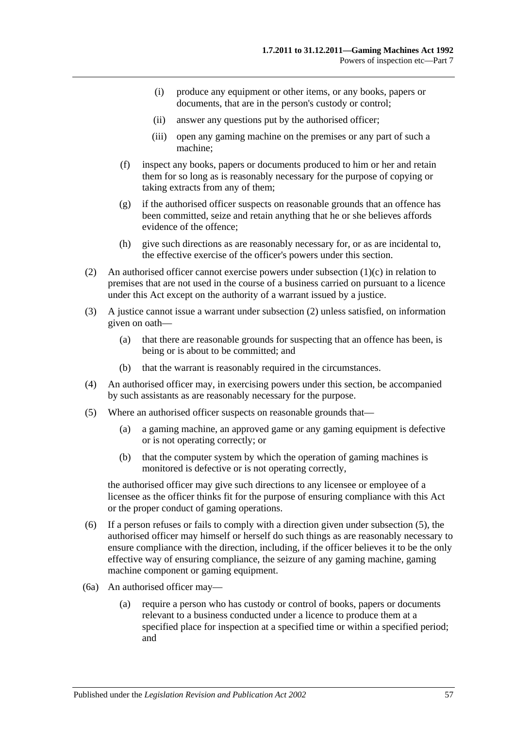- (i) produce any equipment or other items, or any books, papers or documents, that are in the person's custody or control;
- (ii) answer any questions put by the authorised officer;
- (iii) open any gaming machine on the premises or any part of such a machine;
- (f) inspect any books, papers or documents produced to him or her and retain them for so long as is reasonably necessary for the purpose of copying or taking extracts from any of them;
- (g) if the authorised officer suspects on reasonable grounds that an offence has been committed, seize and retain anything that he or she believes affords evidence of the offence;
- (h) give such directions as are reasonably necessary for, or as are incidental to, the effective exercise of the officer's powers under this section.
- <span id="page-56-0"></span>(2) An authorised officer cannot exercise powers under [subsection](#page-55-1) (1)(c) in relation to premises that are not used in the course of a business carried on pursuant to a licence under this Act except on the authority of a warrant issued by a justice.
- (3) A justice cannot issue a warrant under [subsection](#page-56-0) (2) unless satisfied, on information given on oath—
	- (a) that there are reasonable grounds for suspecting that an offence has been, is being or is about to be committed; and
	- (b) that the warrant is reasonably required in the circumstances.
- (4) An authorised officer may, in exercising powers under this section, be accompanied by such assistants as are reasonably necessary for the purpose.
- <span id="page-56-1"></span>(5) Where an authorised officer suspects on reasonable grounds that—
	- (a) a gaming machine, an approved game or any gaming equipment is defective or is not operating correctly; or
	- (b) that the computer system by which the operation of gaming machines is monitored is defective or is not operating correctly,

the authorised officer may give such directions to any licensee or employee of a licensee as the officer thinks fit for the purpose of ensuring compliance with this Act or the proper conduct of gaming operations.

- (6) If a person refuses or fails to comply with a direction given under [subsection](#page-56-1) (5), the authorised officer may himself or herself do such things as are reasonably necessary to ensure compliance with the direction, including, if the officer believes it to be the only effective way of ensuring compliance, the seizure of any gaming machine, gaming machine component or gaming equipment.
- (6a) An authorised officer may—
	- (a) require a person who has custody or control of books, papers or documents relevant to a business conducted under a licence to produce them at a specified place for inspection at a specified time or within a specified period; and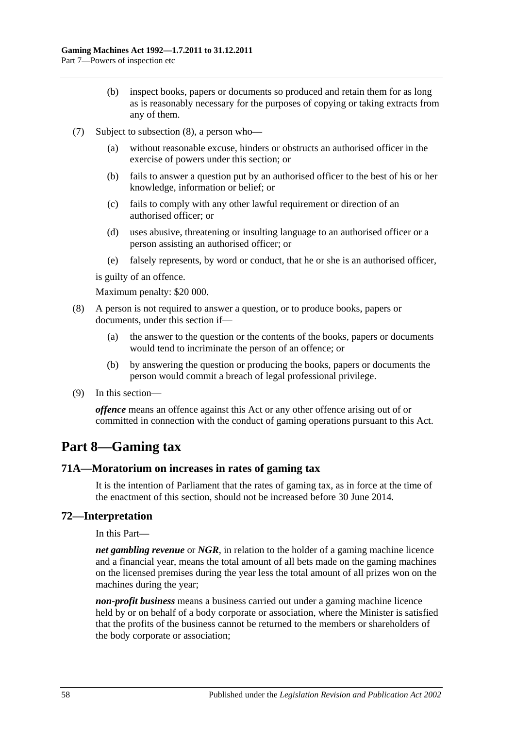- (b) inspect books, papers or documents so produced and retain them for as long as is reasonably necessary for the purposes of copying or taking extracts from any of them.
- (7) Subject to [subsection](#page-57-0) (8), a person who—
	- (a) without reasonable excuse, hinders or obstructs an authorised officer in the exercise of powers under this section; or
	- (b) fails to answer a question put by an authorised officer to the best of his or her knowledge, information or belief; or
	- (c) fails to comply with any other lawful requirement or direction of an authorised officer; or
	- (d) uses abusive, threatening or insulting language to an authorised officer or a person assisting an authorised officer; or
	- (e) falsely represents, by word or conduct, that he or she is an authorised officer,

is guilty of an offence.

Maximum penalty: \$20 000.

- <span id="page-57-0"></span>(8) A person is not required to answer a question, or to produce books, papers or documents, under this section if—
	- (a) the answer to the question or the contents of the books, papers or documents would tend to incriminate the person of an offence; or
	- (b) by answering the question or producing the books, papers or documents the person would commit a breach of legal professional privilege.
- (9) In this section—

*offence* means an offence against this Act or any other offence arising out of or committed in connection with the conduct of gaming operations pursuant to this Act.

# **Part 8—Gaming tax**

#### **71A—Moratorium on increases in rates of gaming tax**

It is the intention of Parliament that the rates of gaming tax, as in force at the time of the enactment of this section, should not be increased before 30 June 2014.

## **72—Interpretation**

In this Part—

*net gambling revenue* or *NGR*, in relation to the holder of a gaming machine licence and a financial year, means the total amount of all bets made on the gaming machines on the licensed premises during the year less the total amount of all prizes won on the machines during the year;

*non-profit business* means a business carried out under a gaming machine licence held by or on behalf of a body corporate or association, where the Minister is satisfied that the profits of the business cannot be returned to the members or shareholders of the body corporate or association;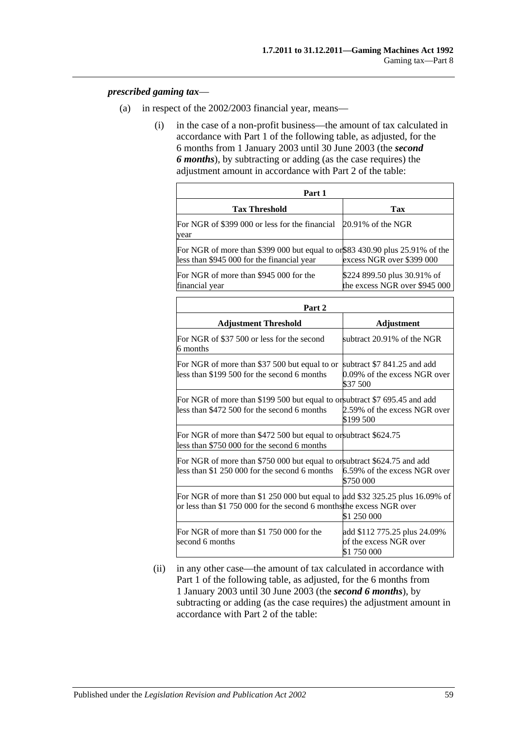#### *prescribed gaming tax*—

- (a) in respect of the 2002/2003 financial year, means—
	- (i) in the case of a non-profit business—the amount of tax calculated in accordance with Part 1 of the following table, as adjusted, for the 6 months from 1 January 2003 until 30 June 2003 (the *second 6 months*), by subtracting or adding (as the case requires) the adjustment amount in accordance with Part 2 of the table:

| Part 1                                                                                                                                               |                                                                         |  |
|------------------------------------------------------------------------------------------------------------------------------------------------------|-------------------------------------------------------------------------|--|
| <b>Tax Threshold</b>                                                                                                                                 | Tax                                                                     |  |
| For NGR of \$399 000 or less for the financial<br>vear                                                                                               | $20.91\%$ of the NGR                                                    |  |
| For NGR of more than \$399 000 but equal to or \$83 430.90 plus 25.91% of the<br>less than \$945 000 for the financial year                          | excess NGR over \$399 000                                               |  |
| For NGR of more than \$945 000 for the<br>financial year                                                                                             | \$224 899.50 plus 30.91% of<br>the excess NGR over \$945 000            |  |
| Part 2                                                                                                                                               |                                                                         |  |
| <b>Adjustment Threshold</b>                                                                                                                          | Adjustment                                                              |  |
| For NGR of \$37 500 or less for the second<br>6 months                                                                                               | subtract 20.91% of the NGR                                              |  |
| For NGR of more than \$37 500 but equal to or<br>less than \$199 500 for the second 6 months                                                         | subtract \$7 841.25 and add<br>0.09% of the excess NGR over<br>\$37 500 |  |
| For NGR of more than \$199 500 but equal to or subtract \$7 695.45 and add<br>less than \$472 500 for the second 6 months                            | 2.59% of the excess NGR over<br>\$199 500                               |  |
| For NGR of more than \$472 500 but equal to or subtract \$624.75<br>less than \$750 000 for the second 6 months                                      |                                                                         |  |
| For NGR of more than \$750 000 but equal to or subtract \$624.75 and add<br>less than \$1 250 000 for the second 6 months                            | 6.59% of the excess NGR over<br>\$750 000                               |  |
| For NGR of more than \$1 250 000 but equal to add \$32 325.25 plus 16.09% of<br>or less than \$1 750 000 for the second 6 months the excess NGR over | \$1 250 000                                                             |  |
| For NGR of more than \$1 750 000 for the<br>second 6 months                                                                                          | add \$112 775.25 plus 24.09%<br>of the excess NGR over<br>\$1 750 000   |  |

(ii) in any other case—the amount of tax calculated in accordance with Part 1 of the following table, as adjusted, for the 6 months from 1 January 2003 until 30 June 2003 (the *second 6 months*), by subtracting or adding (as the case requires) the adjustment amount in accordance with Part 2 of the table: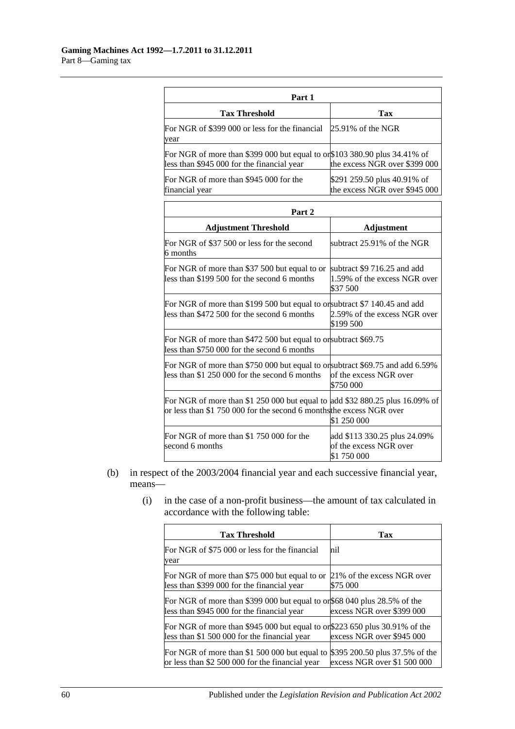| Part 1                                                                                                                  |                                                              |  |
|-------------------------------------------------------------------------------------------------------------------------|--------------------------------------------------------------|--|
| <b>Tax Threshold</b>                                                                                                    | Tax                                                          |  |
| For NGR of \$399 000 or less for the financial<br>year                                                                  | $25.91\%$ of the NGR                                         |  |
| For NGR of more than \$399 000 but equal to or\$103 380.90 plus 34.41% of<br>less than \$945 000 for the financial year | the excess NGR over \$399 000                                |  |
| For NGR of more than \$945 000 for the<br>financial year                                                                | \$291 259.50 plus 40.91% of<br>the excess NGR over \$945 000 |  |

| Part <sub>2</sub>                                                                                                                                    |                                                                         |  |
|------------------------------------------------------------------------------------------------------------------------------------------------------|-------------------------------------------------------------------------|--|
| <b>Adjustment Threshold</b>                                                                                                                          | <b>Adjustment</b>                                                       |  |
| For NGR of \$37 500 or less for the second<br>6 months                                                                                               | subtract 25.91% of the NGR                                              |  |
| For NGR of more than \$37 500 but equal to or<br>less than \$199 500 for the second 6 months                                                         | subtract \$9 716.25 and add<br>1.59% of the excess NGR over<br>\$37 500 |  |
| For NGR of more than \$199 500 but equal to or subtract \$7 140.45 and add<br>less than \$472 500 for the second 6 months                            | 2.59% of the excess NGR over<br>\$199 500                               |  |
| For NGR of more than \$472 500 but equal to or subtract \$69.75<br>less than \$750 000 for the second 6 months                                       |                                                                         |  |
| For NGR of more than \$750 000 but equal to or subtract \$69.75 and add 6.59%<br>less than \$1 250 000 for the second 6 months                       | of the excess NGR over<br>\$750 000                                     |  |
| For NGR of more than \$1 250 000 but equal to add \$32 880.25 plus 16.09% of<br>or less than \$1 750 000 for the second 6 months the excess NGR over | \$1 250 000                                                             |  |
| For NGR of more than \$1 750 000 for the<br>second 6 months                                                                                          | add \$113 330.25 plus 24.09%<br>of the excess NGR over<br>\$1 750 000   |  |

- (b) in respect of the 2003/2004 financial year and each successive financial year, means—
	- (i) in the case of a non-profit business—the amount of tax calculated in accordance with the following table:

| <b>Tax Threshold</b>                                                                                                           | Tax                                                           |
|--------------------------------------------------------------------------------------------------------------------------------|---------------------------------------------------------------|
| For NGR of \$75 000 or less for the financial<br>year                                                                          | nil                                                           |
| For NGR of more than \$75 000 but equal to or<br>less than \$399 000 for the financial year                                    | 21% of the excess NGR over<br>\$75 000                        |
| For NGR of more than \$399 000 but equal to or \$68 040 plus 28.5% of the<br>less than \$945 000 for the financial year        | excess NGR over \$399 000                                     |
| For NGR of more than \$945 000 but equal to or \$223 650 plus $30.91\%$ of the<br>less than \$1 500 000 for the financial year | excess NGR over \$945 000                                     |
| For NGR of more than \$1 500 000 but equal to<br>or less than \$2 500 000 for the financial year                               | \$395 200.50 plus 37.5% of the<br>excess NGR over \$1 500 000 |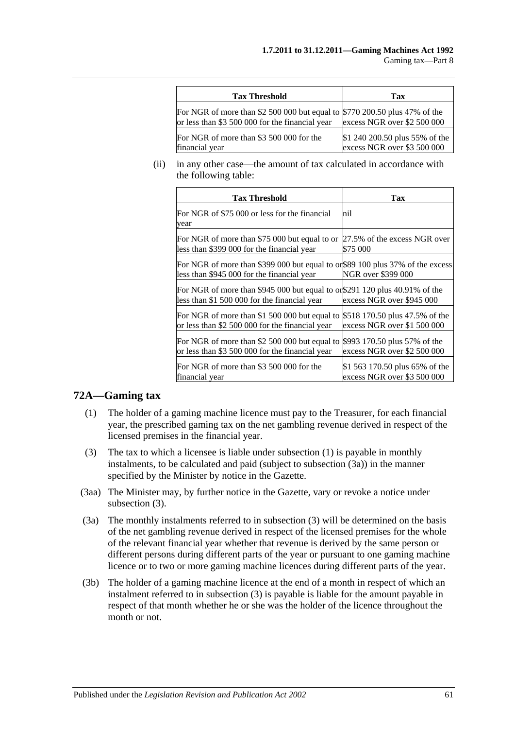| <b>Tax Threshold</b>                                                                                                          | Tax                                                           |
|-------------------------------------------------------------------------------------------------------------------------------|---------------------------------------------------------------|
| For NGR of more than \$2 500 000 but equal to \$770 200.50 plus 47% of the<br>or less than \$3 500 000 for the financial year | excess NGR over \$2 500 000                                   |
| For NGR of more than \$3 500 000 for the<br>financial year                                                                    | \$1 240 200.50 plus 55% of the<br>excess NGR over \$3 500 000 |

(ii) in any other case—the amount of tax calculated in accordance with the following table:

| <b>Tax Threshold</b>                                                                                                         | Tax                            |
|------------------------------------------------------------------------------------------------------------------------------|--------------------------------|
| For NGR of \$75 000 or less for the financial<br>year                                                                        | mil                            |
| For NGR of more than \$75 000 but equal to or                                                                                | 27.5% of the excess NGR over   |
| less than \$399 000 for the financial year                                                                                   | \$75 000                       |
| For NGR of more than \$399 000 but equal to or \$89 100 plus 37% of the excess<br>less than \$945 000 for the financial year | <b>NGR</b> over \$399 000      |
| For NGR of more than \$945 000 but equal to or \$291 120 plus 40.91% of the<br>less than \$1 500 000 for the financial year  | excess NGR over \$945 000      |
| For NGR of more than \$1 500 000 but equal to                                                                                | \$518 170.50 plus 47.5% of the |
| or less than \$2 500 000 for the financial year                                                                              | excess NGR over \$1 500 000    |
| For NGR of more than \$2 500 000 but equal to                                                                                | \$993 170.50 plus 57% of the   |
| or less than \$3 500 000 for the financial year                                                                              | excess NGR over \$2 500 000    |
| For NGR of more than \$3 500 000 for the                                                                                     | \$1 563 170.50 plus 65% of the |
| financial year                                                                                                               | excess NGR over \$3 500 000    |

## <span id="page-60-0"></span>**72A—Gaming tax**

- (1) The holder of a gaming machine licence must pay to the Treasurer, for each financial year, the prescribed gaming tax on the net gambling revenue derived in respect of the licensed premises in the financial year.
- <span id="page-60-2"></span>(3) The tax to which a licensee is liable under [subsection](#page-60-0) (1) is payable in monthly instalments, to be calculated and paid (subject to [subsection](#page-60-1) (3a)) in the manner specified by the Minister by notice in the Gazette.
- (3aa) The Minister may, by further notice in the Gazette, vary or revoke a notice under [subsection](#page-60-2) (3).
- <span id="page-60-1"></span>(3a) The monthly instalments referred to in [subsection](#page-60-2) (3) will be determined on the basis of the net gambling revenue derived in respect of the licensed premises for the whole of the relevant financial year whether that revenue is derived by the same person or different persons during different parts of the year or pursuant to one gaming machine licence or to two or more gaming machine licences during different parts of the year.
- (3b) The holder of a gaming machine licence at the end of a month in respect of which an instalment referred to in [subsection](#page-60-2) (3) is payable is liable for the amount payable in respect of that month whether he or she was the holder of the licence throughout the month or not.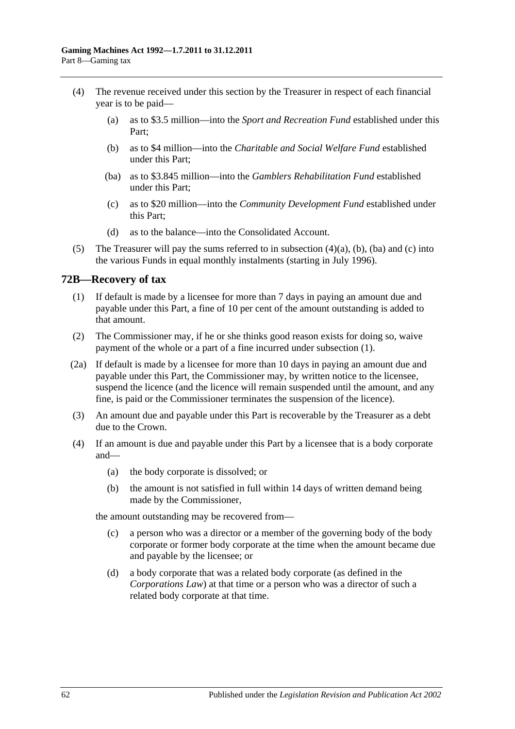- <span id="page-61-2"></span><span id="page-61-1"></span><span id="page-61-0"></span>(4) The revenue received under this section by the Treasurer in respect of each financial year is to be paid—
	- (a) as to \$3.5 million—into the *Sport and Recreation Fund* established under this Part;
	- (b) as to \$4 million—into the *Charitable and Social Welfare Fund* established under this Part;
	- (ba) as to \$3.845 million—into the *Gamblers Rehabilitation Fund* established under this Part;
	- (c) as to \$20 million—into the *Community Development Fund* established under this Part;
	- (d) as to the balance—into the Consolidated Account.
- <span id="page-61-3"></span>(5) The Treasurer will pay the sums referred to in [subsection](#page-61-0)  $(4)(a)$ ,  $(b)$ ,  $(ba)$  and  $(c)$  into the various Funds in equal monthly instalments (starting in July 1996).

## <span id="page-61-4"></span>**72B—Recovery of tax**

- (1) If default is made by a licensee for more than 7 days in paying an amount due and payable under this Part, a fine of 10 per cent of the amount outstanding is added to that amount.
- (2) The Commissioner may, if he or she thinks good reason exists for doing so, waive payment of the whole or a part of a fine incurred under [subsection](#page-61-4) (1).
- (2a) If default is made by a licensee for more than 10 days in paying an amount due and payable under this Part, the Commissioner may, by written notice to the licensee, suspend the licence (and the licence will remain suspended until the amount, and any fine, is paid or the Commissioner terminates the suspension of the licence).
- (3) An amount due and payable under this Part is recoverable by the Treasurer as a debt due to the Crown.
- (4) If an amount is due and payable under this Part by a licensee that is a body corporate and—
	- (a) the body corporate is dissolved; or
	- (b) the amount is not satisfied in full within 14 days of written demand being made by the Commissioner,

the amount outstanding may be recovered from—

- (c) a person who was a director or a member of the governing body of the body corporate or former body corporate at the time when the amount became due and payable by the licensee; or
- (d) a body corporate that was a related body corporate (as defined in the *Corporations Law*) at that time or a person who was a director of such a related body corporate at that time.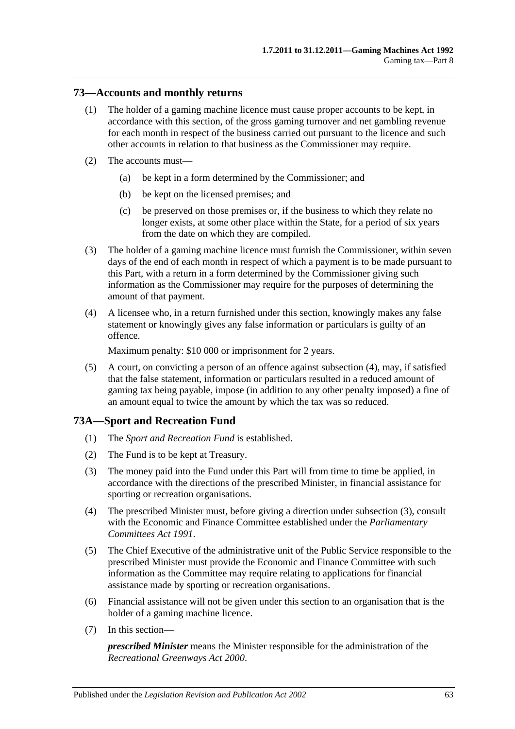## **73—Accounts and monthly returns**

- (1) The holder of a gaming machine licence must cause proper accounts to be kept, in accordance with this section, of the gross gaming turnover and net gambling revenue for each month in respect of the business carried out pursuant to the licence and such other accounts in relation to that business as the Commissioner may require.
- (2) The accounts must—
	- (a) be kept in a form determined by the Commissioner; and
	- (b) be kept on the licensed premises; and
	- (c) be preserved on those premises or, if the business to which they relate no longer exists, at some other place within the State, for a period of six years from the date on which they are compiled.
- (3) The holder of a gaming machine licence must furnish the Commissioner, within seven days of the end of each month in respect of which a payment is to be made pursuant to this Part, with a return in a form determined by the Commissioner giving such information as the Commissioner may require for the purposes of determining the amount of that payment.
- <span id="page-62-0"></span>(4) A licensee who, in a return furnished under this section, knowingly makes any false statement or knowingly gives any false information or particulars is guilty of an offence.

Maximum penalty: \$10 000 or imprisonment for 2 years.

(5) A court, on convicting a person of an offence against [subsection](#page-62-0) (4), may, if satisfied that the false statement, information or particulars resulted in a reduced amount of gaming tax being payable, impose (in addition to any other penalty imposed) a fine of an amount equal to twice the amount by which the tax was so reduced.

## **73A—Sport and Recreation Fund**

- (1) The *Sport and Recreation Fund* is established.
- (2) The Fund is to be kept at Treasury.
- <span id="page-62-1"></span>(3) The money paid into the Fund under this Part will from time to time be applied, in accordance with the directions of the prescribed Minister, in financial assistance for sporting or recreation organisations.
- (4) The prescribed Minister must, before giving a direction under [subsection](#page-62-1) (3), consult with the Economic and Finance Committee established under the *[Parliamentary](http://www.legislation.sa.gov.au/index.aspx?action=legref&type=act&legtitle=Parliamentary%20Committees%20Act%201991)  [Committees Act](http://www.legislation.sa.gov.au/index.aspx?action=legref&type=act&legtitle=Parliamentary%20Committees%20Act%201991) 1991*.
- (5) The Chief Executive of the administrative unit of the Public Service responsible to the prescribed Minister must provide the Economic and Finance Committee with such information as the Committee may require relating to applications for financial assistance made by sporting or recreation organisations.
- (6) Financial assistance will not be given under this section to an organisation that is the holder of a gaming machine licence.
- (7) In this section—

*prescribed Minister* means the Minister responsible for the administration of the *[Recreational Greenways Act](http://www.legislation.sa.gov.au/index.aspx?action=legref&type=act&legtitle=Recreational%20Greenways%20Act%202000) 2000*.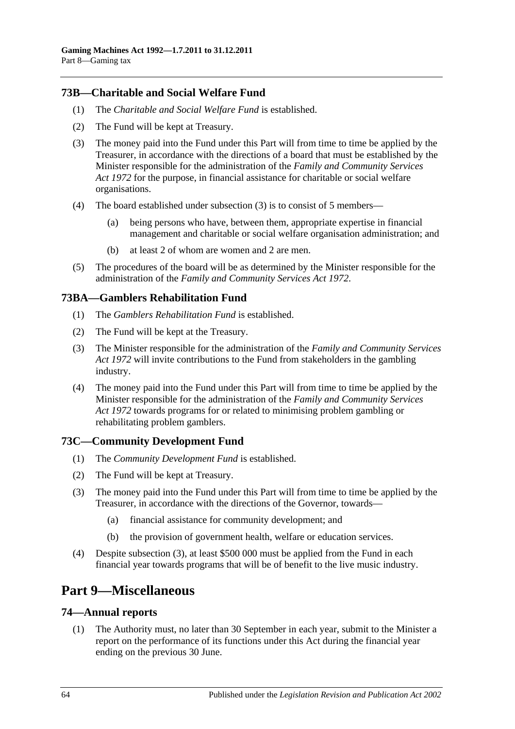# **73B—Charitable and Social Welfare Fund**

- (1) The *Charitable and Social Welfare Fund* is established.
- (2) The Fund will be kept at Treasury.
- <span id="page-63-0"></span>(3) The money paid into the Fund under this Part will from time to time be applied by the Treasurer, in accordance with the directions of a board that must be established by the Minister responsible for the administration of the *[Family and Community Services](http://www.legislation.sa.gov.au/index.aspx?action=legref&type=act&legtitle=Family%20and%20Community%20Services%20Act%201972)  Act [1972](http://www.legislation.sa.gov.au/index.aspx?action=legref&type=act&legtitle=Family%20and%20Community%20Services%20Act%201972)* for the purpose, in financial assistance for charitable or social welfare organisations.
- (4) The board established under [subsection](#page-63-0) (3) is to consist of 5 members—
	- (a) being persons who have, between them, appropriate expertise in financial management and charitable or social welfare organisation administration; and
	- (b) at least 2 of whom are women and 2 are men.
- (5) The procedures of the board will be as determined by the Minister responsible for the administration of the *[Family and Community Services Act](http://www.legislation.sa.gov.au/index.aspx?action=legref&type=act&legtitle=Family%20and%20Community%20Services%20Act%201972) 1972*.

## **73BA—Gamblers Rehabilitation Fund**

- (1) The *Gamblers Rehabilitation Fund* is established.
- (2) The Fund will be kept at the Treasury.
- (3) The Minister responsible for the administration of the *[Family and Community Services](http://www.legislation.sa.gov.au/index.aspx?action=legref&type=act&legtitle=Family%20and%20Community%20Services%20Act%201972)  Act [1972](http://www.legislation.sa.gov.au/index.aspx?action=legref&type=act&legtitle=Family%20and%20Community%20Services%20Act%201972)* will invite contributions to the Fund from stakeholders in the gambling industry.
- (4) The money paid into the Fund under this Part will from time to time be applied by the Minister responsible for the administration of the *[Family and Community Services](http://www.legislation.sa.gov.au/index.aspx?action=legref&type=act&legtitle=Family%20and%20Community%20Services%20Act%201972)  Act [1972](http://www.legislation.sa.gov.au/index.aspx?action=legref&type=act&legtitle=Family%20and%20Community%20Services%20Act%201972)* towards programs for or related to minimising problem gambling or rehabilitating problem gamblers.

## **73C—Community Development Fund**

- (1) The *Community Development Fund* is established.
- (2) The Fund will be kept at Treasury.
- <span id="page-63-1"></span>(3) The money paid into the Fund under this Part will from time to time be applied by the Treasurer, in accordance with the directions of the Governor, towards—
	- (a) financial assistance for community development; and
	- (b) the provision of government health, welfare or education services.
- (4) Despite [subsection](#page-63-1) (3), at least \$500 000 must be applied from the Fund in each financial year towards programs that will be of benefit to the live music industry.

# **Part 9—Miscellaneous**

#### **74—Annual reports**

(1) The Authority must, no later than 30 September in each year, submit to the Minister a report on the performance of its functions under this Act during the financial year ending on the previous 30 June.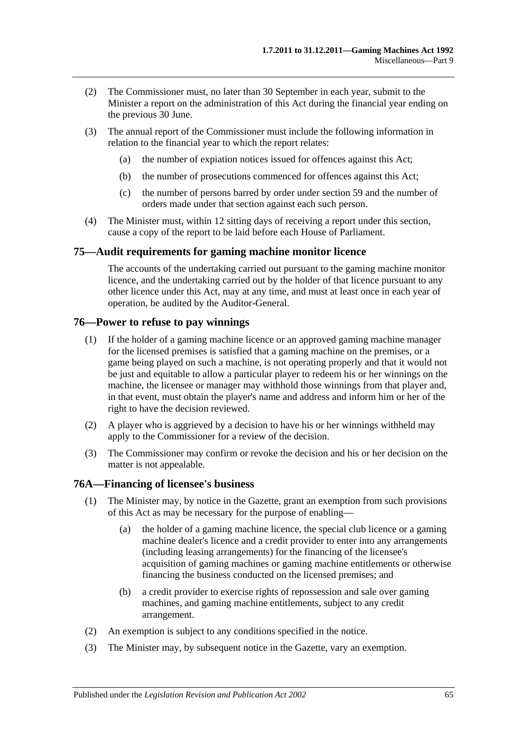- (2) The Commissioner must, no later than 30 September in each year, submit to the Minister a report on the administration of this Act during the financial year ending on the previous 30 June.
- (3) The annual report of the Commissioner must include the following information in relation to the financial year to which the report relates:
	- (a) the number of expiation notices issued for offences against this Act;
	- (b) the number of prosecutions commenced for offences against this Act;
	- (c) the number of persons barred by order under [section](#page-50-1) 59 and the number of orders made under that section against each such person.
- (4) The Minister must, within 12 sitting days of receiving a report under this section, cause a copy of the report to be laid before each House of Parliament.

## **75—Audit requirements for gaming machine monitor licence**

The accounts of the undertaking carried out pursuant to the gaming machine monitor licence, and the undertaking carried out by the holder of that licence pursuant to any other licence under this Act, may at any time, and must at least once in each year of operation, be audited by the Auditor-General.

### **76—Power to refuse to pay winnings**

- (1) If the holder of a gaming machine licence or an approved gaming machine manager for the licensed premises is satisfied that a gaming machine on the premises, or a game being played on such a machine, is not operating properly and that it would not be just and equitable to allow a particular player to redeem his or her winnings on the machine, the licensee or manager may withhold those winnings from that player and, in that event, must obtain the player's name and address and inform him or her of the right to have the decision reviewed.
- (2) A player who is aggrieved by a decision to have his or her winnings withheld may apply to the Commissioner for a review of the decision.
- (3) The Commissioner may confirm or revoke the decision and his or her decision on the matter is not appealable.

#### **76A—Financing of licensee's business**

- (1) The Minister may, by notice in the Gazette, grant an exemption from such provisions of this Act as may be necessary for the purpose of enabling—
	- (a) the holder of a gaming machine licence, the special club licence or a gaming machine dealer's licence and a credit provider to enter into any arrangements (including leasing arrangements) for the financing of the licensee's acquisition of gaming machines or gaming machine entitlements or otherwise financing the business conducted on the licensed premises; and
	- (b) a credit provider to exercise rights of repossession and sale over gaming machines, and gaming machine entitlements, subject to any credit arrangement.
- (2) An exemption is subject to any conditions specified in the notice.
- (3) The Minister may, by subsequent notice in the Gazette, vary an exemption.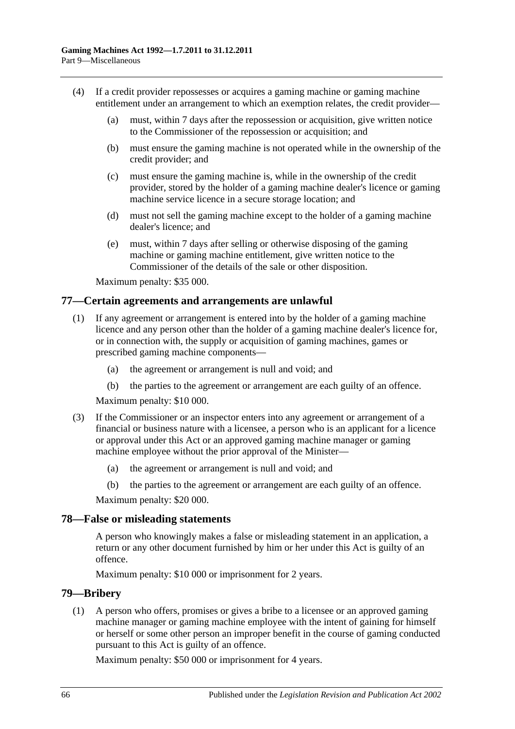- (4) If a credit provider repossesses or acquires a gaming machine or gaming machine entitlement under an arrangement to which an exemption relates, the credit provider—
	- (a) must, within 7 days after the repossession or acquisition, give written notice to the Commissioner of the repossession or acquisition; and
	- (b) must ensure the gaming machine is not operated while in the ownership of the credit provider; and
	- (c) must ensure the gaming machine is, while in the ownership of the credit provider, stored by the holder of a gaming machine dealer's licence or gaming machine service licence in a secure storage location; and
	- (d) must not sell the gaming machine except to the holder of a gaming machine dealer's licence; and
	- (e) must, within 7 days after selling or otherwise disposing of the gaming machine or gaming machine entitlement, give written notice to the Commissioner of the details of the sale or other disposition.

Maximum penalty: \$35 000.

## **77—Certain agreements and arrangements are unlawful**

- (1) If any agreement or arrangement is entered into by the holder of a gaming machine licence and any person other than the holder of a gaming machine dealer's licence for, or in connection with, the supply or acquisition of gaming machines, games or prescribed gaming machine components—
	- (a) the agreement or arrangement is null and void; and
	- (b) the parties to the agreement or arrangement are each guilty of an offence.

Maximum penalty: \$10 000.

- (3) If the Commissioner or an inspector enters into any agreement or arrangement of a financial or business nature with a licensee, a person who is an applicant for a licence or approval under this Act or an approved gaming machine manager or gaming machine employee without the prior approval of the Minister—
	- (a) the agreement or arrangement is null and void; and
	- (b) the parties to the agreement or arrangement are each guilty of an offence.

Maximum penalty: \$20 000.

#### **78—False or misleading statements**

A person who knowingly makes a false or misleading statement in an application, a return or any other document furnished by him or her under this Act is guilty of an offence.

Maximum penalty: \$10 000 or imprisonment for 2 years.

#### **79—Bribery**

(1) A person who offers, promises or gives a bribe to a licensee or an approved gaming machine manager or gaming machine employee with the intent of gaining for himself or herself or some other person an improper benefit in the course of gaming conducted pursuant to this Act is guilty of an offence.

Maximum penalty: \$50 000 or imprisonment for 4 years.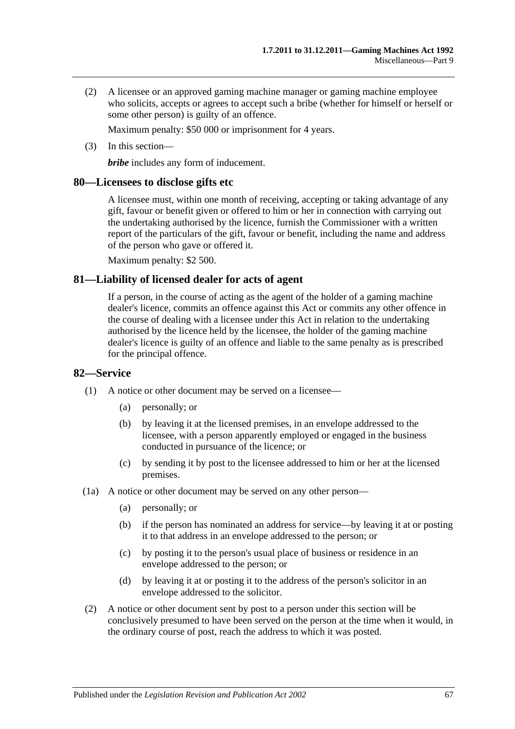(2) A licensee or an approved gaming machine manager or gaming machine employee who solicits, accepts or agrees to accept such a bribe (whether for himself or herself or some other person) is guilty of an offence.

Maximum penalty: \$50 000 or imprisonment for 4 years.

(3) In this section—

*bribe* includes any form of inducement.

## **80—Licensees to disclose gifts etc**

A licensee must, within one month of receiving, accepting or taking advantage of any gift, favour or benefit given or offered to him or her in connection with carrying out the undertaking authorised by the licence, furnish the Commissioner with a written report of the particulars of the gift, favour or benefit, including the name and address of the person who gave or offered it.

Maximum penalty: \$2 500.

## **81—Liability of licensed dealer for acts of agent**

If a person, in the course of acting as the agent of the holder of a gaming machine dealer's licence, commits an offence against this Act or commits any other offence in the course of dealing with a licensee under this Act in relation to the undertaking authorised by the licence held by the licensee, the holder of the gaming machine dealer's licence is guilty of an offence and liable to the same penalty as is prescribed for the principal offence.

#### **82—Service**

- (1) A notice or other document may be served on a licensee—
	- (a) personally; or
	- (b) by leaving it at the licensed premises, in an envelope addressed to the licensee, with a person apparently employed or engaged in the business conducted in pursuance of the licence; or
	- (c) by sending it by post to the licensee addressed to him or her at the licensed premises.
- (1a) A notice or other document may be served on any other person—
	- (a) personally; or
	- (b) if the person has nominated an address for service—by leaving it at or posting it to that address in an envelope addressed to the person; or
	- (c) by posting it to the person's usual place of business or residence in an envelope addressed to the person; or
	- (d) by leaving it at or posting it to the address of the person's solicitor in an envelope addressed to the solicitor.
- (2) A notice or other document sent by post to a person under this section will be conclusively presumed to have been served on the person at the time when it would, in the ordinary course of post, reach the address to which it was posted.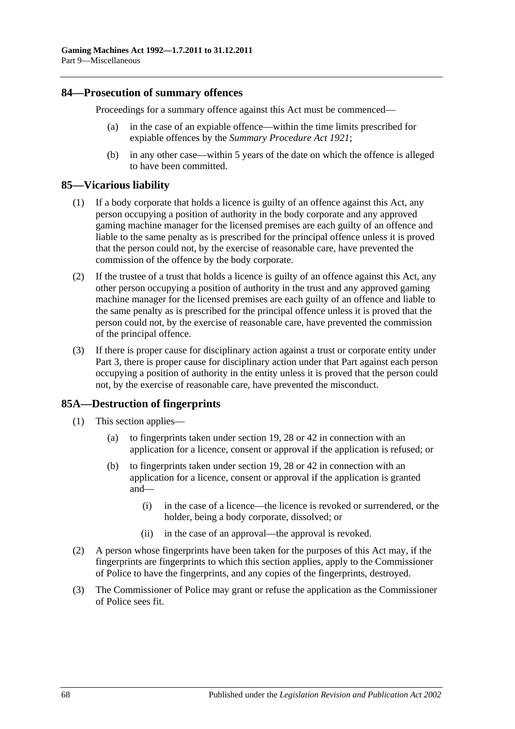### **84—Prosecution of summary offences**

Proceedings for a summary offence against this Act must be commenced—

- (a) in the case of an expiable offence—within the time limits prescribed for expiable offences by the *[Summary Procedure Act](http://www.legislation.sa.gov.au/index.aspx?action=legref&type=act&legtitle=Summary%20Procedure%20Act%201921) 1921*;
- (b) in any other case—within 5 years of the date on which the offence is alleged to have been committed.

## **85—Vicarious liability**

- (1) If a body corporate that holds a licence is guilty of an offence against this Act, any person occupying a position of authority in the body corporate and any approved gaming machine manager for the licensed premises are each guilty of an offence and liable to the same penalty as is prescribed for the principal offence unless it is proved that the person could not, by the exercise of reasonable care, have prevented the commission of the offence by the body corporate.
- (2) If the trustee of a trust that holds a licence is guilty of an offence against this Act, any other person occupying a position of authority in the trust and any approved gaming machine manager for the licensed premises are each guilty of an offence and liable to the same penalty as is prescribed for the principal offence unless it is proved that the person could not, by the exercise of reasonable care, have prevented the commission of the principal offence.
- (3) If there is proper cause for disciplinary action against a trust or corporate entity under [Part 3,](#page-14-0) there is proper cause for disciplinary action under that Part against each person occupying a position of authority in the entity unless it is proved that the person could not, by the exercise of reasonable care, have prevented the misconduct.

## **85A—Destruction of fingerprints**

- (1) This section applies—
	- (a) to fingerprints taken under [section](#page-20-0) 19, [28](#page-29-0) or [42](#page-39-5) in connection with an application for a licence, consent or approval if the application is refused; or
	- (b) to fingerprints taken under [section](#page-20-0) 19, [28](#page-29-0) or [42](#page-39-5) in connection with an application for a licence, consent or approval if the application is granted and—
		- (i) in the case of a licence—the licence is revoked or surrendered, or the holder, being a body corporate, dissolved; or
		- (ii) in the case of an approval—the approval is revoked.
- (2) A person whose fingerprints have been taken for the purposes of this Act may, if the fingerprints are fingerprints to which this section applies, apply to the Commissioner of Police to have the fingerprints, and any copies of the fingerprints, destroyed.
- (3) The Commissioner of Police may grant or refuse the application as the Commissioner of Police sees fit.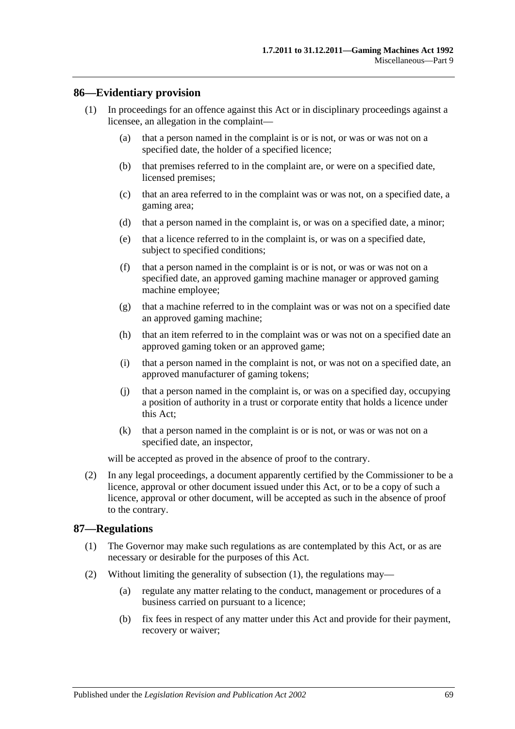## **86—Evidentiary provision**

- (1) In proceedings for an offence against this Act or in disciplinary proceedings against a licensee, an allegation in the complaint—
	- (a) that a person named in the complaint is or is not, or was or was not on a specified date, the holder of a specified licence;
	- (b) that premises referred to in the complaint are, or were on a specified date, licensed premises;
	- (c) that an area referred to in the complaint was or was not, on a specified date, a gaming area;
	- (d) that a person named in the complaint is, or was on a specified date, a minor;
	- (e) that a licence referred to in the complaint is, or was on a specified date, subject to specified conditions;
	- (f) that a person named in the complaint is or is not, or was or was not on a specified date, an approved gaming machine manager or approved gaming machine employee;
	- (g) that a machine referred to in the complaint was or was not on a specified date an approved gaming machine;
	- (h) that an item referred to in the complaint was or was not on a specified date an approved gaming token or an approved game;
	- (i) that a person named in the complaint is not, or was not on a specified date, an approved manufacturer of gaming tokens;
	- (j) that a person named in the complaint is, or was on a specified day, occupying a position of authority in a trust or corporate entity that holds a licence under this Act;
	- (k) that a person named in the complaint is or is not, or was or was not on a specified date, an inspector,

will be accepted as proved in the absence of proof to the contrary.

(2) In any legal proceedings, a document apparently certified by the Commissioner to be a licence, approval or other document issued under this Act, or to be a copy of such a licence, approval or other document, will be accepted as such in the absence of proof to the contrary.

#### <span id="page-68-0"></span>**87—Regulations**

- (1) The Governor may make such regulations as are contemplated by this Act, or as are necessary or desirable for the purposes of this Act.
- (2) Without limiting the generality of [subsection](#page-68-0) (1), the regulations may—
	- (a) regulate any matter relating to the conduct, management or procedures of a business carried on pursuant to a licence;
	- (b) fix fees in respect of any matter under this Act and provide for their payment, recovery or waiver;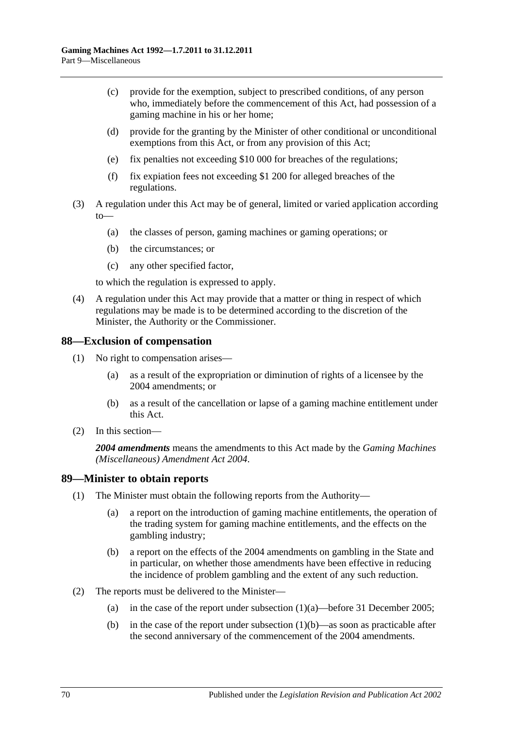- (c) provide for the exemption, subject to prescribed conditions, of any person who, immediately before the commencement of this Act, had possession of a gaming machine in his or her home;
- (d) provide for the granting by the Minister of other conditional or unconditional exemptions from this Act, or from any provision of this Act;
- (e) fix penalties not exceeding \$10 000 for breaches of the regulations;
- (f) fix expiation fees not exceeding \$1 200 for alleged breaches of the regulations.
- (3) A regulation under this Act may be of general, limited or varied application according to—
	- (a) the classes of person, gaming machines or gaming operations; or
	- (b) the circumstances; or
	- (c) any other specified factor,

to which the regulation is expressed to apply.

(4) A regulation under this Act may provide that a matter or thing in respect of which regulations may be made is to be determined according to the discretion of the Minister, the Authority or the Commissioner.

#### **88—Exclusion of compensation**

- (1) No right to compensation arises—
	- (a) as a result of the expropriation or diminution of rights of a licensee by the 2004 amendments; or
	- (b) as a result of the cancellation or lapse of a gaming machine entitlement under this Act.
- (2) In this section—

*2004 amendments* means the amendments to this Act made by the *[Gaming Machines](http://www.legislation.sa.gov.au/index.aspx?action=legref&type=act&legtitle=Gaming%20Machines%20(Miscellaneous)%20Amendment%20Act%202004)  [\(Miscellaneous\) Amendment Act 2004](http://www.legislation.sa.gov.au/index.aspx?action=legref&type=act&legtitle=Gaming%20Machines%20(Miscellaneous)%20Amendment%20Act%202004)*.

#### **89—Minister to obtain reports**

- <span id="page-69-0"></span>(1) The Minister must obtain the following reports from the Authority—
	- (a) a report on the introduction of gaming machine entitlements, the operation of the trading system for gaming machine entitlements, and the effects on the gambling industry;
	- (b) a report on the effects of the 2004 amendments on gambling in the State and in particular, on whether those amendments have been effective in reducing the incidence of problem gambling and the extent of any such reduction.
- <span id="page-69-1"></span>(2) The reports must be delivered to the Minister
	- (a) in the case of the report under [subsection](#page-69-0)  $(1)(a)$ —before 31 December 2005;
	- (b) in the case of the report under [subsection](#page-69-1)  $(1)(b)$ —as soon as practicable after the second anniversary of the commencement of the 2004 amendments.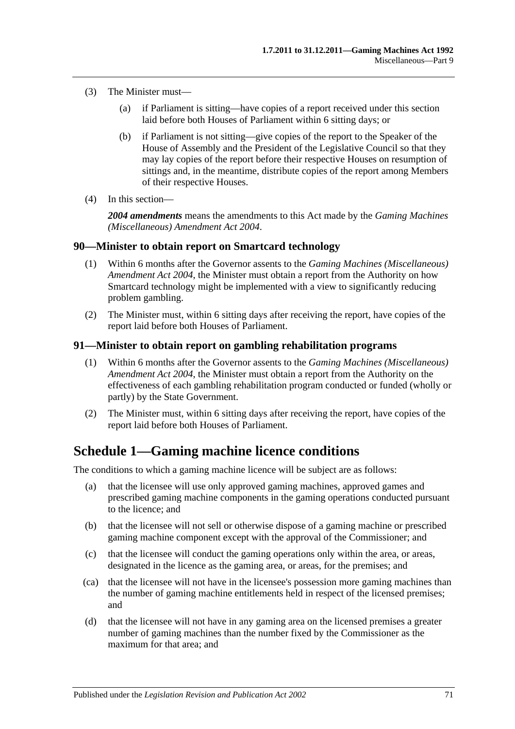- (3) The Minister must—
	- (a) if Parliament is sitting—have copies of a report received under this section laid before both Houses of Parliament within 6 sitting days; or
	- (b) if Parliament is not sitting—give copies of the report to the Speaker of the House of Assembly and the President of the Legislative Council so that they may lay copies of the report before their respective Houses on resumption of sittings and, in the meantime, distribute copies of the report among Members of their respective Houses.
- (4) In this section—

*2004 amendments* means the amendments to this Act made by the *[Gaming Machines](http://www.legislation.sa.gov.au/index.aspx?action=legref&type=act&legtitle=Gaming%20Machines%20(Miscellaneous)%20Amendment%20Act%202004)  [\(Miscellaneous\) Amendment Act 2004](http://www.legislation.sa.gov.au/index.aspx?action=legref&type=act&legtitle=Gaming%20Machines%20(Miscellaneous)%20Amendment%20Act%202004)*.

#### **90—Minister to obtain report on Smartcard technology**

- (1) Within 6 months after the Governor assents to the *[Gaming Machines \(Miscellaneous\)](http://www.legislation.sa.gov.au/index.aspx?action=legref&type=act&legtitle=Gaming%20Machines%20(Miscellaneous)%20Amendment%20Act%202004)  [Amendment Act 2004](http://www.legislation.sa.gov.au/index.aspx?action=legref&type=act&legtitle=Gaming%20Machines%20(Miscellaneous)%20Amendment%20Act%202004)*, the Minister must obtain a report from the Authority on how Smartcard technology might be implemented with a view to significantly reducing problem gambling.
- (2) The Minister must, within 6 sitting days after receiving the report, have copies of the report laid before both Houses of Parliament.

#### **91—Minister to obtain report on gambling rehabilitation programs**

- (1) Within 6 months after the Governor assents to the *[Gaming Machines \(Miscellaneous\)](http://www.legislation.sa.gov.au/index.aspx?action=legref&type=act&legtitle=Gaming%20Machines%20(Miscellaneous)%20Amendment%20Act%202004)  [Amendment Act 2004](http://www.legislation.sa.gov.au/index.aspx?action=legref&type=act&legtitle=Gaming%20Machines%20(Miscellaneous)%20Amendment%20Act%202004)*, the Minister must obtain a report from the Authority on the effectiveness of each gambling rehabilitation program conducted or funded (wholly or partly) by the State Government.
- (2) The Minister must, within 6 sitting days after receiving the report, have copies of the report laid before both Houses of Parliament.

# <span id="page-70-0"></span>**Schedule 1—Gaming machine licence conditions**

The conditions to which a gaming machine licence will be subject are as follows:

- (a) that the licensee will use only approved gaming machines, approved games and prescribed gaming machine components in the gaming operations conducted pursuant to the licence; and
- (b) that the licensee will not sell or otherwise dispose of a gaming machine or prescribed gaming machine component except with the approval of the Commissioner; and
- (c) that the licensee will conduct the gaming operations only within the area, or areas, designated in the licence as the gaming area, or areas, for the premises; and
- (ca) that the licensee will not have in the licensee's possession more gaming machines than the number of gaming machine entitlements held in respect of the licensed premises; and
- (d) that the licensee will not have in any gaming area on the licensed premises a greater number of gaming machines than the number fixed by the Commissioner as the maximum for that area; and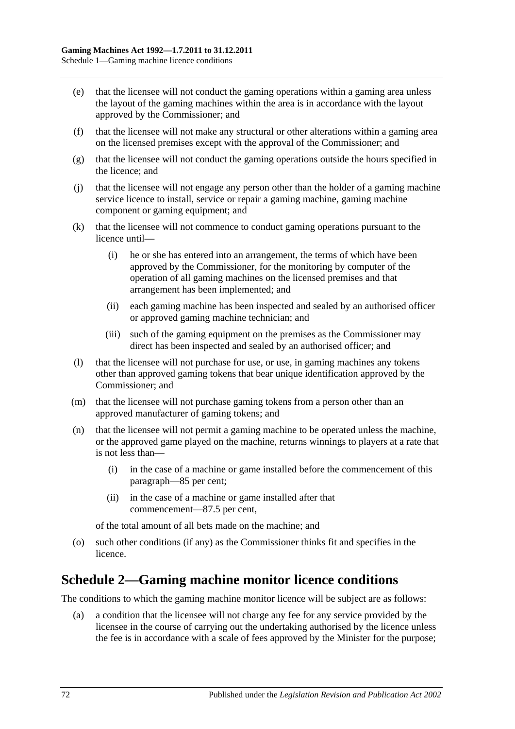- (e) that the licensee will not conduct the gaming operations within a gaming area unless the layout of the gaming machines within the area is in accordance with the layout approved by the Commissioner; and
- (f) that the licensee will not make any structural or other alterations within a gaming area on the licensed premises except with the approval of the Commissioner; and
- (g) that the licensee will not conduct the gaming operations outside the hours specified in the licence; and
- (j) that the licensee will not engage any person other than the holder of a gaming machine service licence to install, service or repair a gaming machine, gaming machine component or gaming equipment; and
- (k) that the licensee will not commence to conduct gaming operations pursuant to the licence until—
	- (i) he or she has entered into an arrangement, the terms of which have been approved by the Commissioner, for the monitoring by computer of the operation of all gaming machines on the licensed premises and that arrangement has been implemented; and
	- (ii) each gaming machine has been inspected and sealed by an authorised officer or approved gaming machine technician; and
	- (iii) such of the gaming equipment on the premises as the Commissioner may direct has been inspected and sealed by an authorised officer; and
- (l) that the licensee will not purchase for use, or use, in gaming machines any tokens other than approved gaming tokens that bear unique identification approved by the Commissioner; and
- (m) that the licensee will not purchase gaming tokens from a person other than an approved manufacturer of gaming tokens; and
- (n) that the licensee will not permit a gaming machine to be operated unless the machine, or the approved game played on the machine, returns winnings to players at a rate that is not less than—
	- (i) in the case of a machine or game installed before the commencement of this paragraph—85 per cent;
	- (ii) in the case of a machine or game installed after that commencement—87.5 per cent,

of the total amount of all bets made on the machine; and

(o) such other conditions (if any) as the Commissioner thinks fit and specifies in the licence.

# **Schedule 2—Gaming machine monitor licence conditions**

The conditions to which the gaming machine monitor licence will be subject are as follows:

(a) a condition that the licensee will not charge any fee for any service provided by the licensee in the course of carrying out the undertaking authorised by the licence unless the fee is in accordance with a scale of fees approved by the Minister for the purpose;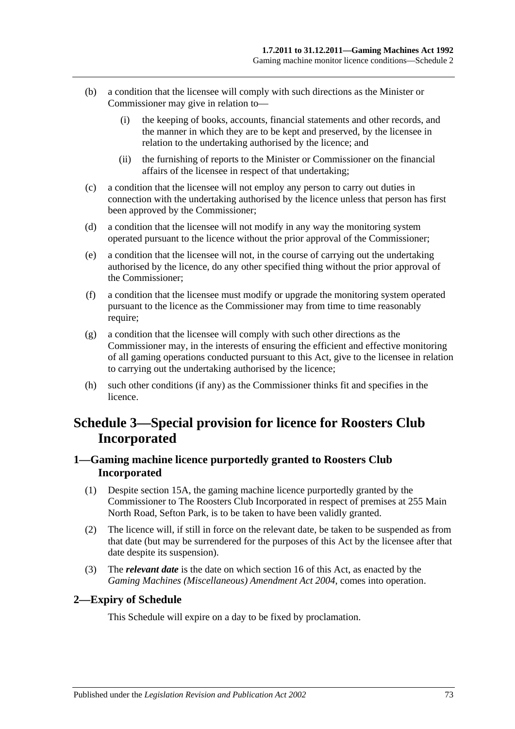- (b) a condition that the licensee will comply with such directions as the Minister or Commissioner may give in relation to—
	- (i) the keeping of books, accounts, financial statements and other records, and the manner in which they are to be kept and preserved, by the licensee in relation to the undertaking authorised by the licence; and
	- (ii) the furnishing of reports to the Minister or Commissioner on the financial affairs of the licensee in respect of that undertaking;
- (c) a condition that the licensee will not employ any person to carry out duties in connection with the undertaking authorised by the licence unless that person has first been approved by the Commissioner;
- (d) a condition that the licensee will not modify in any way the monitoring system operated pursuant to the licence without the prior approval of the Commissioner;
- (e) a condition that the licensee will not, in the course of carrying out the undertaking authorised by the licence, do any other specified thing without the prior approval of the Commissioner;
- (f) a condition that the licensee must modify or upgrade the monitoring system operated pursuant to the licence as the Commissioner may from time to time reasonably require:
- (g) a condition that the licensee will comply with such other directions as the Commissioner may, in the interests of ensuring the efficient and effective monitoring of all gaming operations conducted pursuant to this Act, give to the licensee in relation to carrying out the undertaking authorised by the licence;
- (h) such other conditions (if any) as the Commissioner thinks fit and specifies in the licence.

# **Schedule 3—Special provision for licence for Roosters Club Incorporated**

### **1—Gaming machine licence purportedly granted to Roosters Club Incorporated**

- (1) Despite [section](#page-17-0) 15A, the gaming machine licence purportedly granted by the Commissioner to The Roosters Club Incorporated in respect of premises at 255 Main North Road, Sefton Park, is to be taken to have been validly granted.
- (2) The licence will, if still in force on the relevant date, be taken to be suspended as from that date (but may be surrendered for the purposes of this Act by the licensee after that date despite its suspension).
- (3) The *relevant date* is the date on which [section](#page-17-1) 16 of this Act, as enacted by the *[Gaming Machines \(Miscellaneous\) Amendment Act 2004](http://www.legislation.sa.gov.au/index.aspx?action=legref&type=act&legtitle=Gaming%20Machines%20(Miscellaneous)%20Amendment%20Act%202004)*, comes into operation.

#### **2—Expiry of Schedule**

This Schedule will expire on a day to be fixed by proclamation.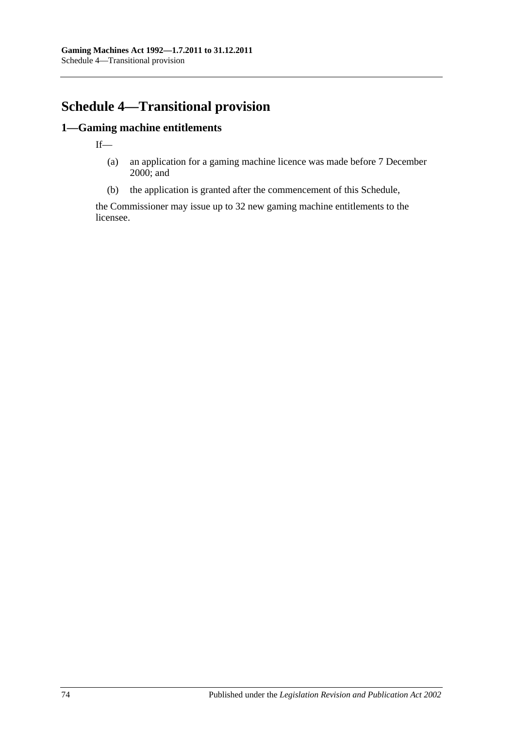# **Schedule 4—Transitional provision**

## **1—Gaming machine entitlements**

If—

- (a) an application for a gaming machine licence was made before 7 December 2000; and
- (b) the application is granted after the commencement of this Schedule,

the Commissioner may issue up to 32 new gaming machine entitlements to the licensee.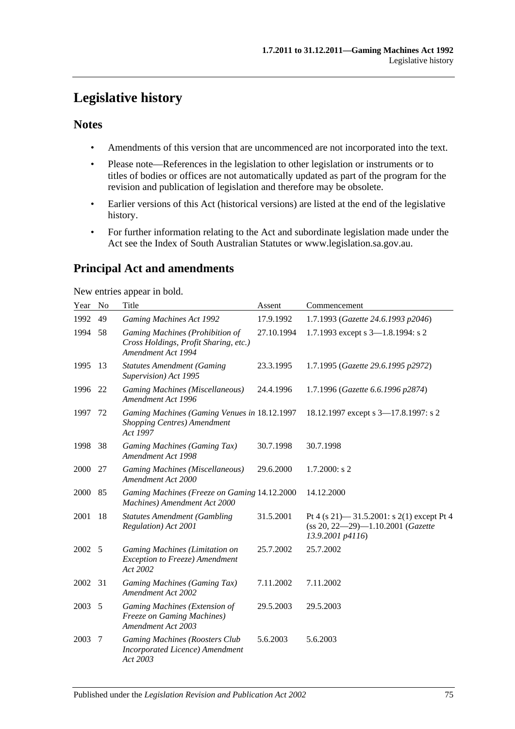# **Legislative history**

### **Notes**

- Amendments of this version that are uncommenced are not incorporated into the text.
- Please note—References in the legislation to other legislation or instruments or to titles of bodies or offices are not automatically updated as part of the program for the revision and publication of legislation and therefore may be obsolete.
- Earlier versions of this Act (historical versions) are listed at the end of the legislative history.
- For further information relating to the Act and subordinate legislation made under the Act see the Index of South Australian Statutes or www.legislation.sa.gov.au.

## **Principal Act and amendments**

New entries appear in bold.

| Year | N <sub>0</sub> | Title                                                                                          | Assent     | Commencement                                                                                           |
|------|----------------|------------------------------------------------------------------------------------------------|------------|--------------------------------------------------------------------------------------------------------|
| 1992 | 49             | <b>Gaming Machines Act 1992</b>                                                                | 17.9.1992  | 1.7.1993 (Gazette 24.6.1993 p2046)                                                                     |
| 1994 | 58             | Gaming Machines (Prohibition of<br>Cross Holdings, Profit Sharing, etc.)<br>Amendment Act 1994 | 27.10.1994 | 1.7.1993 except s 3-1.8.1994: s 2                                                                      |
| 1995 | 13             | <b>Statutes Amendment (Gaming</b><br>Supervision) Act 1995                                     | 23.3.1995  | 1.7.1995 (Gazette 29.6.1995 p2972)                                                                     |
| 1996 | 22             | Gaming Machines (Miscellaneous)<br>Amendment Act 1996                                          | 24.4.1996  | 1.7.1996 (Gazette 6.6.1996 p2874)                                                                      |
| 1997 | 72             | Gaming Machines (Gaming Venues in 18.12.1997<br>Shopping Centres) Amendment<br>Act 1997        |            | 18.12.1997 except s 3-17.8.1997: s 2                                                                   |
| 1998 | 38             | Gaming Machines (Gaming Tax)<br>Amendment Act 1998                                             | 30.7.1998  | 30.7.1998                                                                                              |
| 2000 | 27             | Gaming Machines (Miscellaneous)<br>Amendment Act 2000                                          | 29.6.2000  | $1.7.2000$ : s 2                                                                                       |
| 2000 | 85             | Gaming Machines (Freeze on Gaming 14.12.2000<br>Machines) Amendment Act 2000                   |            | 14.12.2000                                                                                             |
| 2001 | 18             | <b>Statutes Amendment (Gambling</b><br>Regulation) Act 2001                                    | 31.5.2001  | Pt 4 (s 21) $-$ 31.5.2001: s 2(1) except Pt 4<br>(ss 20, 22-29)-1.10.2001 (Gazette<br>13.9.2001 p4116) |
| 2002 | 5              | Gaming Machines (Limitation on<br>Exception to Freeze) Amendment<br>Act 2002                   | 25.7.2002  | 25.7.2002                                                                                              |
| 2002 | 31             | Gaming Machines (Gaming Tax)<br>Amendment Act 2002                                             | 7.11.2002  | 7.11.2002                                                                                              |
| 2003 | 5              | Gaming Machines (Extension of<br><b>Freeze on Gaming Machines)</b><br>Amendment Act 2003       | 29.5.2003  | 29.5.2003                                                                                              |
| 2003 | 7              | Gaming Machines (Roosters Club<br>Incorporated Licence) Amendment<br>Act 2003                  | 5.6.2003   | 5.6.2003                                                                                               |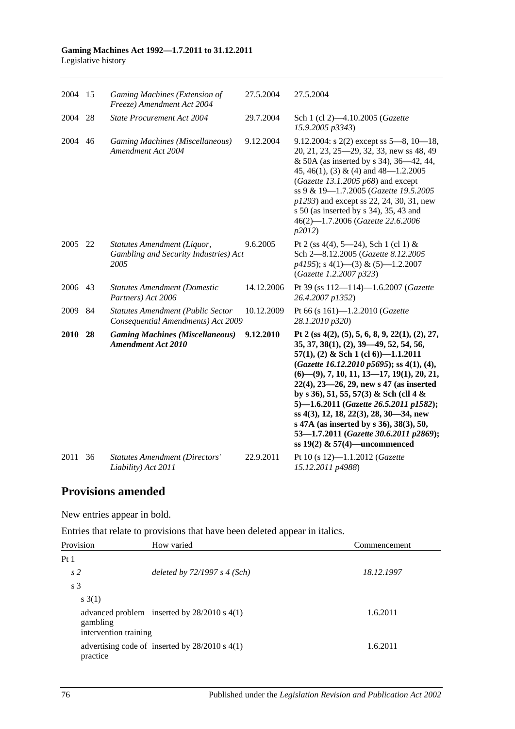| 2004        | 15 | Gaming Machines (Extension of<br>Freeze) Amendment Act 2004                    | 27.5.2004  | 27.5.2004                                                                                                                                                                                                                                                                                                                                                                                                                                                                                                                                   |
|-------------|----|--------------------------------------------------------------------------------|------------|---------------------------------------------------------------------------------------------------------------------------------------------------------------------------------------------------------------------------------------------------------------------------------------------------------------------------------------------------------------------------------------------------------------------------------------------------------------------------------------------------------------------------------------------|
| 2004        | 28 | State Procurement Act 2004                                                     | 29.7.2004  | Sch 1 (cl 2)-4.10.2005 (Gazette<br>15.9.2005 p3343)                                                                                                                                                                                                                                                                                                                                                                                                                                                                                         |
| 2004        | 46 | <b>Gaming Machines (Miscellaneous)</b><br>Amendment Act 2004                   | 9.12.2004  | 9.12.2004: s $2(2)$ except ss $5-8$ , $10-18$ ,<br>20, 21, 23, 25–29, 32, 33, new ss 48, 49<br>& 50A (as inserted by s 34), 36–42, 44,<br>45, 46(1), (3) & (4) and $48 - 1.2.2005$<br>(Gazette 13.1.2005 $p68$ ) and except<br>ss 9 & 19-1.7.2005 (Gazette 19.5.2005<br>$p1293$ ) and except ss 22, 24, 30, 31, new<br>s 50 (as inserted by s $34$ ), $35, 43$ and<br>46(2)-1.7.2006 (Gazette 22.6.2006<br>p2012                                                                                                                            |
| 2005        | 22 | Statutes Amendment (Liquor,<br>Gambling and Security Industries) Act<br>2005   | 9.6.2005   | Pt 2 (ss 4(4), 5—24), Sch 1 (cl 1) &<br>Sch 2-8.12.2005 (Gazette 8.12.2005<br>$p4195$ ; s 4(1)–(3) & (5)–1.2.2007<br>(Gazette 1.2.2007 p323)                                                                                                                                                                                                                                                                                                                                                                                                |
| 2006        | 43 | <b>Statutes Amendment (Domestic</b><br>Partners) Act 2006                      | 14.12.2006 | Pt 39 (ss 112-114)-1.6.2007 (Gazette<br>26.4.2007 p1352)                                                                                                                                                                                                                                                                                                                                                                                                                                                                                    |
| 2009        | 84 | <b>Statutes Amendment (Public Sector</b><br>Consequential Amendments) Act 2009 | 10.12.2009 | Pt 66 (s 161)-1.2.2010 (Gazette<br>28.1.2010 p320)                                                                                                                                                                                                                                                                                                                                                                                                                                                                                          |
| <b>2010</b> | 28 | <b>Gaming Machines (Miscellaneous)</b><br><b>Amendment Act 2010</b>            | 9.12.2010  | Pt 2 (ss 4(2), (5), 5, 6, 8, 9, 22(1), (2), 27,<br>35, 37, 38(1), (2), 39–49, 52, 54, 56,<br>$57(1)$ , (2) & Sch 1 (cl 6))-1.1.2011<br>(Gazette 16.12.2010 p5695); ss 4(1), (4),<br>$(6)$ — $(9)$ , 7, 10, 11, 13—17, 19(1), 20, 21,<br>$22(4)$ , $23-26$ , $29$ , new s 47 (as inserted<br>by s 36), 51, 55, 57(3) & Sch (cll 4 &<br>5)-1.6.2011 (Gazette 26.5.2011 p1582);<br>ss 4(3), 12, 18, 22(3), 28, 30–34, new<br>s 47A (as inserted by s 36), 38(3), 50,<br>53-1.7.2011 (Gazette 30.6.2011 p2869);<br>ss 19(2) & 57(4)—uncommenced |
| 2011        | 36 | <b>Statutes Amendment (Directors'</b><br>Liability) Act 2011                   | 22.9.2011  | Pt 10 (s 12)-1.1.2012 (Gazette<br>15.12.2011 p4988)                                                                                                                                                                                                                                                                                                                                                                                                                                                                                         |

## **Provisions amended**

New entries appear in bold.

Entries that relate to provisions that have been deleted appear in italics.

| Provision                         | How varied                                         | Commencement |
|-----------------------------------|----------------------------------------------------|--------------|
| Pt <sub>1</sub>                   |                                                    |              |
| s <sub>2</sub>                    | deleted by $72/1997 s 4 (Sch)$                     | 18.12.1997   |
| s <sub>3</sub>                    |                                                    |              |
| s(3(1))                           |                                                    |              |
| gambling<br>intervention training | advanced problem inserted by $28/2010$ s 4(1)      | 1.6.2011     |
| practice                          | advertising code of inserted by $28/2010$ s $4(1)$ | 1.6.2011     |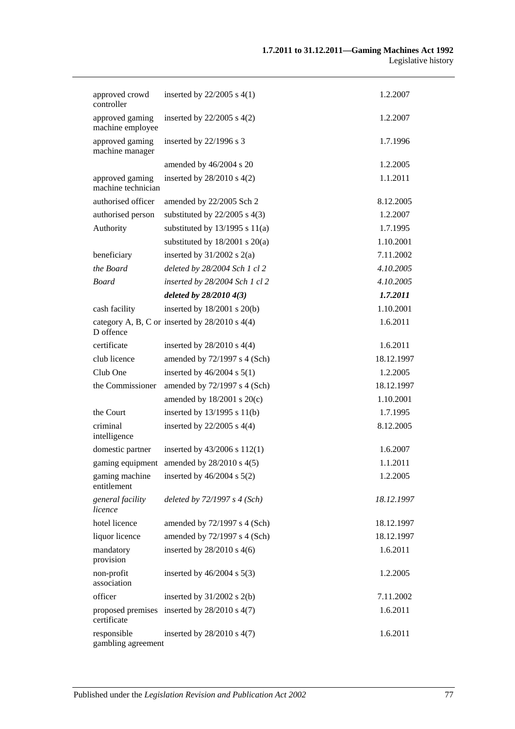| approved crowd<br>controller          | inserted by $22/2005$ s $4(1)$                     | 1.2.2007   |
|---------------------------------------|----------------------------------------------------|------------|
| approved gaming<br>machine employee   | inserted by $22/2005$ s $4(2)$                     | 1.2.2007   |
| approved gaming<br>machine manager    | inserted by $22/1996$ s 3                          | 1.7.1996   |
|                                       | amended by 46/2004 s 20                            | 1.2.2005   |
| approved gaming<br>machine technician | inserted by $28/2010$ s $4(2)$                     | 1.1.2011   |
| authorised officer                    | amended by 22/2005 Sch 2                           | 8.12.2005  |
| authorised person                     | substituted by $22/2005$ s 4(3)                    | 1.2.2007   |
| Authority                             | substituted by $13/1995$ s $11(a)$                 | 1.7.1995   |
|                                       | substituted by $18/2001$ s $20(a)$                 | 1.10.2001  |
| beneficiary                           | inserted by $31/2002$ s $2(a)$                     | 7.11.2002  |
| the Board                             | deleted by 28/2004 Sch 1 cl 2                      | 4.10.2005  |
| <b>Board</b>                          | inserted by 28/2004 Sch 1 cl 2                     | 4.10.2005  |
|                                       | deleted by 28/2010 4(3)                            | 1.7.2011   |
| cash facility                         | inserted by $18/2001$ s $20(b)$                    | 1.10.2001  |
| D offence                             | category A, B, C or inserted by $28/2010$ s $4(4)$ | 1.6.2011   |
| certificate                           | inserted by $28/2010$ s $4(4)$                     | 1.6.2011   |
| club licence                          | amended by 72/1997 s 4 (Sch)                       | 18.12.1997 |
| Club One                              | inserted by $46/2004$ s $5(1)$                     | 1.2.2005   |
| the Commissioner                      | amended by 72/1997 s 4 (Sch)                       | 18.12.1997 |
|                                       | amended by $18/2001$ s $20(c)$                     | 1.10.2001  |
| the Court                             | inserted by 13/1995 s 11(b)                        | 1.7.1995   |
| criminal<br>intelligence              | inserted by $22/2005$ s $4(4)$                     | 8.12.2005  |
| domestic partner                      | inserted by 43/2006 s 112(1)                       | 1.6.2007   |
| gaming equipment                      | amended by 28/2010 s 4(5)                          | 1.1.2011   |
| gaming machine<br>entitlement         | inserted by $46/2004$ s $5(2)$                     | 1.2.2005   |
| general facility<br>licence           | deleted by $72/1997 s 4 (Sch)$                     | 18.12.1997 |
| hotel licence                         | amended by 72/1997 s 4 (Sch)                       | 18.12.1997 |
| liquor licence                        | amended by 72/1997 s 4 (Sch)                       | 18.12.1997 |
| mandatory<br>provision                | inserted by $28/2010$ s $4(6)$                     | 1.6.2011   |
| non-profit<br>association             | inserted by $46/2004$ s $5(3)$                     | 1.2.2005   |
| officer                               | inserted by $31/2002$ s $2(b)$                     | 7.11.2002  |
| proposed premises<br>certificate      | inserted by $28/2010$ s $4(7)$                     | 1.6.2011   |
| responsible<br>gambling agreement     | inserted by $28/2010$ s $4(7)$                     | 1.6.2011   |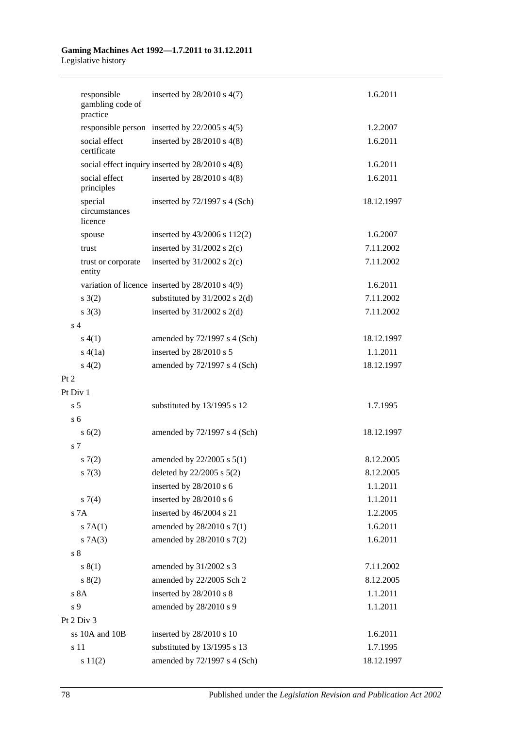| responsible<br>gambling code of<br>practice | inserted by $28/2010$ s $4(7)$                      | 1.6.2011   |
|---------------------------------------------|-----------------------------------------------------|------------|
|                                             | responsible person inserted by $22/2005$ s $4(5)$   | 1.2.2007   |
| social effect<br>certificate                | inserted by $28/2010$ s $4(8)$                      | 1.6.2011   |
|                                             | social effect inquiry inserted by 28/2010 s 4(8)    | 1.6.2011   |
| social effect<br>principles                 | inserted by $28/2010$ s $4(8)$                      | 1.6.2011   |
| special<br>circumstances<br>licence         | inserted by $72/1997$ s 4 (Sch)                     | 18.12.1997 |
| spouse                                      | inserted by $43/2006$ s $112(2)$                    | 1.6.2007   |
| trust                                       | inserted by $31/2002$ s $2(c)$                      | 7.11.2002  |
| trust or corporate<br>entity                | inserted by $31/2002$ s 2(c)                        | 7.11.2002  |
|                                             | variation of licence inserted by $28/2010$ s $4(9)$ | 1.6.2011   |
| $s \; 3(2)$                                 | substituted by $31/2002$ s 2(d)                     | 7.11.2002  |
| s(3)                                        | inserted by $31/2002$ s 2(d)                        | 7.11.2002  |
| s <sub>4</sub>                              |                                                     |            |
| s(4(1))                                     | amended by $72/1997$ s 4 (Sch)                      | 18.12.1997 |
| s(4(1a))                                    | inserted by 28/2010 s 5                             | 1.1.2011   |
| s(4(2)                                      | amended by 72/1997 s 4 (Sch)                        | 18.12.1997 |
| Pt 2                                        |                                                     |            |
| Pt Div 1                                    |                                                     |            |
| s <sub>5</sub>                              | substituted by 13/1995 s 12                         | 1.7.1995   |
| s <sub>6</sub>                              |                                                     |            |
| s(6(2)                                      | amended by 72/1997 s 4 (Sch)                        | 18.12.1997 |
| s 7                                         |                                                     |            |
| s(7(2)                                      | amended by 22/2005 s 5(1)                           | 8.12.2005  |
| $s \, 7(3)$                                 | deleted by 22/2005 s 5(2)                           | 8.12.2005  |
|                                             | inserted by 28/2010 s 6                             | 1.1.2011   |
| $s \, 7(4)$                                 | inserted by 28/2010 s 6                             | 1.1.2011   |
| s 7A                                        | inserted by 46/2004 s 21                            | 1.2.2005   |
| S 7A(1)                                     | amended by 28/2010 s 7(1)                           | 1.6.2011   |
| $S$ 7A(3)                                   | amended by 28/2010 s 7(2)                           | 1.6.2011   |
| s <sub>8</sub>                              |                                                     |            |
| s(1)                                        | amended by 31/2002 s 3                              | 7.11.2002  |
| s(2)                                        | amended by 22/2005 Sch 2                            | 8.12.2005  |
| s 8A                                        | inserted by 28/2010 s 8                             | 1.1.2011   |
| s 9                                         | amended by 28/2010 s 9                              | 1.1.2011   |
| Pt 2 Div 3                                  |                                                     |            |
| ss 10A and 10B                              | inserted by 28/2010 s 10                            | 1.6.2011   |
| s 11                                        | substituted by 13/1995 s 13                         | 1.7.1995   |
| s 11(2)                                     | amended by 72/1997 s 4 (Sch)                        | 18.12.1997 |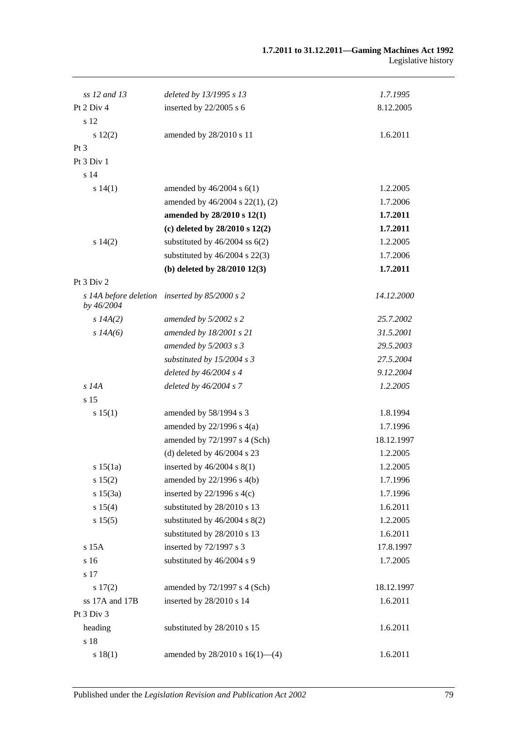| ss 12 and 13   | deleted by 13/1995 s 13                       | 1.7.1995   |
|----------------|-----------------------------------------------|------------|
| Pt 2 Div 4     | inserted by $22/2005$ s 6                     | 8.12.2005  |
| s 12           |                                               |            |
| 12(2)          | amended by 28/2010 s 11                       | 1.6.2011   |
| $Pt\,3$        |                                               |            |
| Pt 3 Div 1     |                                               |            |
| s 14           |                                               |            |
| s 14(1)        | amended by $46/2004$ s $6(1)$                 | 1.2.2005   |
|                | amended by 46/2004 s 22(1), (2)               |            |
|                |                                               | 1.7.2006   |
|                | amended by 28/2010 s 12(1)                    | 1.7.2011   |
|                | (c) deleted by $28/2010$ s $12(2)$            | 1.7.2011   |
| s 14(2)        | substituted by $46/2004$ ss $6(2)$            | 1.2.2005   |
|                | substituted by $46/2004$ s $22(3)$            | 1.7.2006   |
|                | (b) deleted by $28/2010$ 12(3)                | 1.7.2011   |
| Pt 3 Div 2     |                                               |            |
| by 46/2004     | s 14A before deletion inserted by 85/2000 s 2 | 14.12.2000 |
| s $14A(2)$     | amended by $5/2002$ s 2                       | 25.7.2002  |
| $s$ 14A(6)     | amended by 18/2001 s 21                       | 31.5.2001  |
|                | amended by $5/2003$ s 3                       | 29.5.2003  |
|                | substituted by $15/2004$ s 3                  | 27.5.2004  |
|                | deleted by $46/2004$ s 4                      | 9.12.2004  |
| $s$ 14 $A$     | deleted by $46/2004 s$ 7                      | 1.2.2005   |
| s 15           |                                               |            |
| s 15(1)        | amended by 58/1994 s 3                        | 1.8.1994   |
|                | amended by $22/1996$ s $4(a)$                 | 1.7.1996   |
|                | amended by 72/1997 s 4 (Sch)                  | 18.12.1997 |
|                | (d) deleted by $46/2004$ s 23                 | 1.2.2005   |
| s 15(1a)       | inserted by $46/2004$ s $8(1)$                | 1.2.2005   |
| s 15(2)        | amended by 22/1996 s 4(b)                     | 1.7.1996   |
| s 15(3a)       | inserted by $22/1996$ s $4(c)$                | 1.7.1996   |
| s 15(4)        | substituted by 28/2010 s 13                   | 1.6.2011   |
| s 15(5)        | substituted by $46/2004$ s $8(2)$             | 1.2.2005   |
|                | substituted by 28/2010 s 13                   | 1.6.2011   |
| s 15A          | inserted by 72/1997 s 3                       | 17.8.1997  |
| s 16           | substituted by 46/2004 s 9                    | 1.7.2005   |
| s 17           |                                               |            |
| 17(2)          | amended by 72/1997 s 4 (Sch)                  | 18.12.1997 |
| ss 17A and 17B | inserted by 28/2010 s 14                      | 1.6.2011   |
| Pt 3 Div 3     |                                               |            |
| heading        | substituted by 28/2010 s 15                   | 1.6.2011   |
| s 18           |                                               |            |
| s 18(1)        | amended by $28/2010$ s $16(1)$ —(4)           | 1.6.2011   |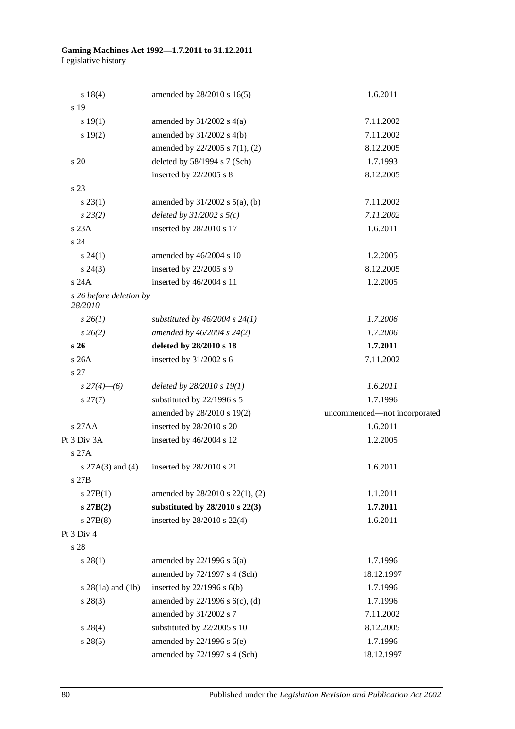| s 18(4)                            | amended by 28/2010 s 16(5)          | 1.6.2011                     |
|------------------------------------|-------------------------------------|------------------------------|
| s 19                               |                                     |                              |
| s 19(1)                            | amended by $31/2002$ s $4(a)$       | 7.11.2002                    |
| s 19(2)                            | amended by 31/2002 s 4(b)           | 7.11.2002                    |
|                                    | amended by 22/2005 s 7(1), (2)      | 8.12.2005                    |
| s 20                               | deleted by 58/1994 s 7 (Sch)        | 1.7.1993                     |
|                                    | inserted by 22/2005 s 8             | 8.12.2005                    |
| s 23                               |                                     |                              |
| $s\,23(1)$                         | amended by $31/2002$ s $5(a)$ , (b) | 7.11.2002                    |
| $s\,23(2)$                         | deleted by $31/2002$ s $5(c)$       | 7.11.2002                    |
| s23A                               | inserted by 28/2010 s 17            | 1.6.2011                     |
| s 24                               |                                     |                              |
| $s\,24(1)$                         | amended by 46/2004 s 10             | 1.2.2005                     |
| $s\,24(3)$                         | inserted by 22/2005 s 9             | 8.12.2005                    |
| s24A                               | inserted by 46/2004 s 11            | 1.2.2005                     |
| s 26 before deletion by<br>28/2010 |                                     |                              |
| $s \, 26(1)$                       | substituted by $46/2004$ s $24(1)$  | 1.7.2006                     |
| $s \, 26(2)$                       | amended by $46/2004$ s $24(2)$      | 1.7.2006                     |
| s <sub>26</sub>                    | deleted by 28/2010 s 18             | 1.7.2011                     |
| s26A                               | inserted by 31/2002 s 6             | 7.11.2002                    |
| s 27                               |                                     |                              |
| $s\,27(4)$ - (6)                   | deleted by $28/2010 s 19(1)$        | 1.6.2011                     |
| $s\,27(7)$                         | substituted by 22/1996 s 5          | 1.7.1996                     |
|                                    | amended by 28/2010 s 19(2)          | uncommenced-not incorporated |
| s 27AA                             | inserted by 28/2010 s 20            | 1.6.2011                     |
| Pt 3 Div 3A                        | inserted by 46/2004 s 12            | 1.2.2005                     |
| s 27A                              |                                     |                              |
| s $27A(3)$ and (4)                 | inserted by 28/2010 s 21            | 1.6.2011                     |
| s 27B                              |                                     |                              |
| $s \, 27B(1)$                      | amended by 28/2010 s 22(1), (2)     | 1.1.2011                     |
| s 27B(2)                           | substituted by $28/2010$ s $22(3)$  | 1.7.2011                     |
| $s$ 27B $(8)$                      | inserted by 28/2010 s 22(4)         | 1.6.2011                     |
| Pt 3 Div 4                         |                                     |                              |
| s 28                               |                                     |                              |
| s 28(1)                            | amended by $22/1996$ s $6(a)$       | 1.7.1996                     |
|                                    | amended by 72/1997 s 4 (Sch)        | 18.12.1997                   |
| s $28(1a)$ and $(1b)$              | inserted by $22/1996$ s $6(b)$      | 1.7.1996                     |
| $s\,28(3)$                         | amended by $22/1996$ s $6(c)$ , (d) | 1.7.1996                     |
|                                    | amended by 31/2002 s 7              | 7.11.2002                    |
| $s\,28(4)$                         | substituted by 22/2005 s 10         | 8.12.2005                    |
| $s\,28(5)$                         | amended by $22/1996$ s $6(e)$       | 1.7.1996                     |
|                                    | amended by 72/1997 s 4 (Sch)        | 18.12.1997                   |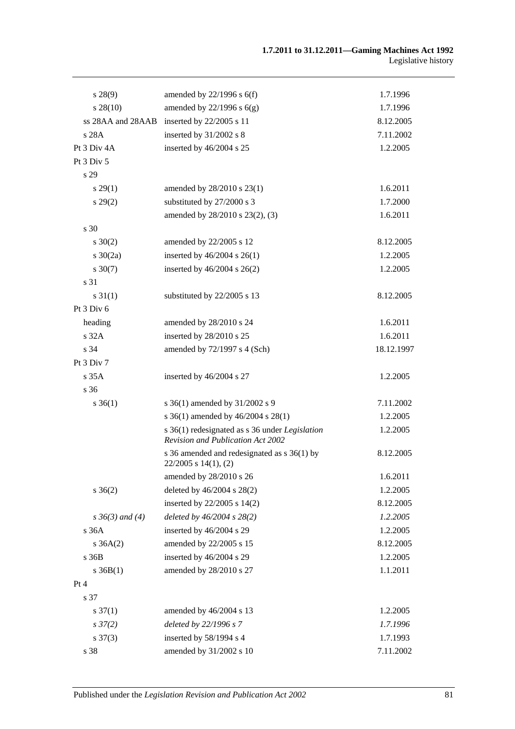| s 28(9)              | amended by $22/1996$ s $6(f)$                                                       | 1.7.1996   |
|----------------------|-------------------------------------------------------------------------------------|------------|
| $s\,28(10)$          | amended by $22/1996$ s $6(g)$                                                       | 1.7.1996   |
| ss 28AA and 28AAB    | inserted by 22/2005 s 11                                                            | 8.12.2005  |
| s 28A                | inserted by 31/2002 s 8                                                             | 7.11.2002  |
| Pt 3 Div 4A          | inserted by 46/2004 s 25                                                            | 1.2.2005   |
| Pt 3 Div 5           |                                                                                     |            |
| s 29                 |                                                                                     |            |
| $s\,29(1)$           | amended by 28/2010 s 23(1)                                                          | 1.6.2011   |
| $s\,29(2)$           | substituted by 27/2000 s 3                                                          | 1.7.2000   |
|                      | amended by 28/2010 s 23(2), (3)                                                     | 1.6.2011   |
| s 30                 |                                                                                     |            |
| $s \ 30(2)$          | amended by 22/2005 s 12                                                             | 8.12.2005  |
| $s \ 30(2a)$         | inserted by $46/2004$ s $26(1)$                                                     | 1.2.2005   |
| $s \ 30(7)$          | inserted by $46/2004$ s $26(2)$                                                     | 1.2.2005   |
| s 31                 |                                                                                     |            |
| $s \, 31(1)$         | substituted by 22/2005 s 13                                                         | 8.12.2005  |
| Pt 3 Div 6           |                                                                                     |            |
| heading              | amended by 28/2010 s 24                                                             | 1.6.2011   |
| s 32A                | inserted by 28/2010 s 25                                                            | 1.6.2011   |
| s 34                 | amended by 72/1997 s 4 (Sch)                                                        | 18.12.1997 |
| Pt 3 Div 7           |                                                                                     |            |
| s 35A                | inserted by 46/2004 s 27                                                            | 1.2.2005   |
| s <sub>36</sub>      |                                                                                     |            |
| $s \; 36(1)$         | s 36(1) amended by 31/2002 s 9                                                      | 7.11.2002  |
|                      | s 36(1) amended by 46/2004 s 28(1)                                                  | 1.2.2005   |
|                      | s 36(1) redesignated as s 36 under Legislation<br>Revision and Publication Act 2002 | 1.2.2005   |
|                      | s 36 amended and redesignated as s 36(1) by<br>$22/2005$ s $14(1)$ , (2)            | 8.12.2005  |
|                      | amended by 28/2010 s 26                                                             | 1.6.2011   |
| $s \; 36(2)$         | deleted by 46/2004 s 28(2)                                                          | 1.2.2005   |
|                      | inserted by 22/2005 s 14(2)                                                         | 8.12.2005  |
| $s \, 36(3)$ and (4) | deleted by $46/2004$ s $28(2)$                                                      | 1.2.2005   |
| s 36A                | inserted by 46/2004 s 29                                                            | 1.2.2005   |
| $s \, 36A(2)$        | amended by 22/2005 s 15                                                             | 8.12.2005  |
| s36B                 | inserted by 46/2004 s 29                                                            | 1.2.2005   |
| $s \, 36B(1)$        | amended by 28/2010 s 27                                                             | 1.1.2011   |
| Pt 4                 |                                                                                     |            |
| s 37                 |                                                                                     |            |
| $s \frac{37(1)}{2}$  | amended by 46/2004 s 13                                                             | 1.2.2005   |
| $s \frac{37}{2}$     | deleted by 22/1996 s 7                                                              | 1.7.1996   |
| $s \frac{37(3)}{2}$  | inserted by 58/1994 s 4                                                             | 1.7.1993   |
| s 38                 | amended by 31/2002 s 10                                                             | 7.11.2002  |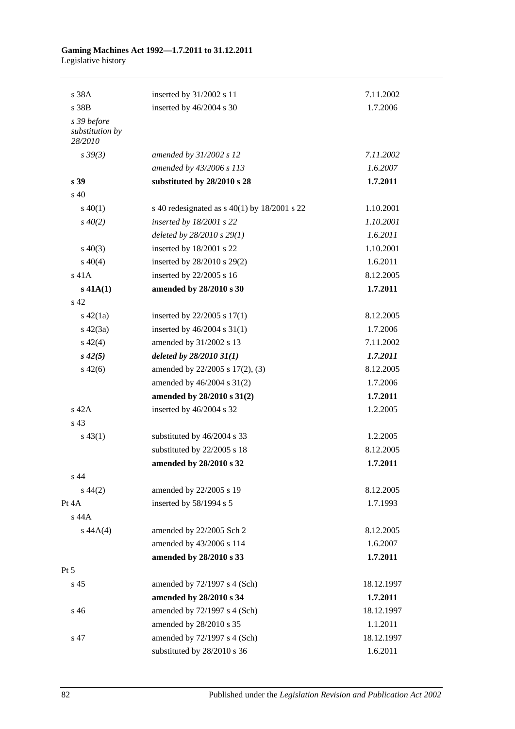| s 38A                                     | inserted by 31/2002 s 11                         | 7.11.2002  |
|-------------------------------------------|--------------------------------------------------|------------|
| s 38B                                     | inserted by 46/2004 s 30                         | 1.7.2006   |
| s 39 before<br>substitution by<br>28/2010 |                                                  |            |
| $s\,39(3)$                                | amended by 31/2002 s 12                          | 7.11.2002  |
|                                           | amended by 43/2006 s 113                         | 1.6.2007   |
| s <sub>39</sub>                           | substituted by 28/2010 s 28                      | 1.7.2011   |
| s <sub>40</sub>                           |                                                  |            |
| $s\ 40(1)$                                | s 40 redesignated as s $40(1)$ by $18/2001$ s 22 | 1.10.2001  |
| $s\,40(2)$                                | inserted by $18/2001$ s 22                       | 1.10.2001  |
|                                           | deleted by 28/2010 s 29(1)                       | 1.6.2011   |
| $s\ 40(3)$                                | inserted by 18/2001 s 22                         | 1.10.2001  |
| $s\ 40(4)$                                | inserted by 28/2010 s 29(2)                      | 1.6.2011   |
| s 41A                                     | inserted by 22/2005 s 16                         | 8.12.2005  |
| $s$ 41A(1)                                | amended by 28/2010 s 30                          | 1.7.2011   |
| s <sub>42</sub>                           |                                                  |            |
| $s\ 42(1a)$                               | inserted by $22/2005$ s $17(1)$                  | 8.12.2005  |
| $s\ 42(3a)$                               | inserted by $46/2004$ s $31(1)$                  | 1.7.2006   |
| $s\ 42(4)$                                | amended by 31/2002 s 13                          | 7.11.2002  |
| $s\,42(5)$                                | deleted by $28/201031(1)$                        | 1.7.2011   |
| $s\ 42(6)$                                | amended by 22/2005 s 17(2), (3)                  | 8.12.2005  |
|                                           | amended by $46/2004$ s $31(2)$                   | 1.7.2006   |
|                                           | amended by 28/2010 s 31(2)                       | 1.7.2011   |
| $s$ 42A                                   | inserted by 46/2004 s 32                         | 1.2.2005   |
| s 43                                      |                                                  |            |
| $s\,43(1)$                                | substituted by 46/2004 s 33                      | 1.2.2005   |
|                                           | substituted by 22/2005 s 18                      | 8.12.2005  |
|                                           | amended by 28/2010 s 32                          | 1.7.2011   |
| s 44                                      |                                                  |            |
| $s\,44(2)$                                | amended by 22/2005 s 19                          | 8.12.2005  |
| Pt 4A                                     | inserted by 58/1994 s 5                          | 1.7.1993   |
| s 44A                                     |                                                  |            |
| $s\,44A(4)$                               | amended by 22/2005 Sch 2                         | 8.12.2005  |
|                                           | amended by 43/2006 s 114                         | 1.6.2007   |
|                                           | amended by 28/2010 s 33                          | 1.7.2011   |
| Pt 5                                      |                                                  |            |
| s 45                                      | amended by $72/1997$ s 4 (Sch)                   | 18.12.1997 |
|                                           | amended by 28/2010 s 34                          | 1.7.2011   |
| s 46                                      | amended by 72/1997 s 4 (Sch)                     | 18.12.1997 |
|                                           | amended by 28/2010 s 35                          | 1.1.2011   |
| s 47                                      | amended by 72/1997 s 4 (Sch)                     | 18.12.1997 |
|                                           | substituted by 28/2010 s 36                      | 1.6.2011   |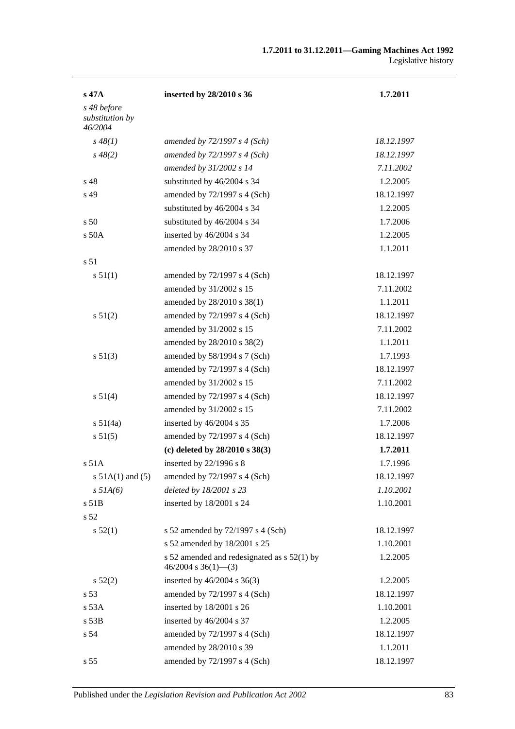| s 47A                          | inserted by 28/2010 s 36                                             | 1.7.2011   |
|--------------------------------|----------------------------------------------------------------------|------------|
| s 48 before<br>substitution by |                                                                      |            |
| 46/2004<br>$s\,48(1)$          | amended by $72/1997 s 4 (Sch)$                                       | 18.12.1997 |
| $s\,48(2)$                     | amended by $72/1997 s 4 (Sch)$                                       | 18.12.1997 |
|                                | amended by 31/2002 s 14                                              | 7.11.2002  |
| s <sub>48</sub>                | substituted by 46/2004 s 34                                          | 1.2.2005   |
| s 49                           | amended by 72/1997 s 4 (Sch)                                         | 18.12.1997 |
|                                | substituted by 46/2004 s 34                                          | 1.2.2005   |
| s <sub>50</sub>                | substituted by 46/2004 s 34                                          | 1.7.2006   |
| $s$ 50 $A$                     | inserted by 46/2004 s 34                                             | 1.2.2005   |
|                                |                                                                      |            |
| s <sub>51</sub>                | amended by 28/2010 s 37                                              | 1.1.2011   |
|                                |                                                                      |            |
| s 51(1)                        | amended by $72/1997$ s 4 (Sch)                                       | 18.12.1997 |
|                                | amended by 31/2002 s 15                                              | 7.11.2002  |
|                                | amended by 28/2010 s 38(1)                                           | 1.1.2011   |
| s 51(2)                        | amended by $72/1997$ s 4 (Sch)                                       | 18.12.1997 |
|                                | amended by 31/2002 s 15                                              | 7.11.2002  |
|                                | amended by 28/2010 s 38(2)                                           | 1.1.2011   |
| s 51(3)                        | amended by 58/1994 s 7 (Sch)                                         | 1.7.1993   |
|                                | amended by $72/1997$ s 4 (Sch)                                       | 18.12.1997 |
|                                | amended by 31/2002 s 15                                              | 7.11.2002  |
| s 51(4)                        | amended by 72/1997 s 4 (Sch)                                         | 18.12.1997 |
|                                | amended by 31/2002 s 15                                              | 7.11.2002  |
| s 51(4a)                       | inserted by 46/2004 s 35                                             | 1.7.2006   |
| s 51(5)                        | amended by $72/1997$ s 4 (Sch)                                       | 18.12.1997 |
|                                | (c) deleted by $28/2010 s 38(3)$                                     | 1.7.2011   |
| $s$ 51 $A$                     | inserted by 22/1996 s 8                                              | 1.7.1996   |
| s $51A(1)$ and $(5)$           | amended by 72/1997 s 4 (Sch)                                         | 18.12.1997 |
| $s$ 51A(6)                     | deleted by 18/2001 s 23                                              | 1.10.2001  |
| s 51B                          | inserted by 18/2001 s 24                                             | 1.10.2001  |
| s 52                           |                                                                      |            |
| s 52(1)                        | s 52 amended by 72/1997 s 4 (Sch)                                    | 18.12.1997 |
|                                | s 52 amended by 18/2001 s 25                                         | 1.10.2001  |
|                                | s 52 amended and redesignated as s 52(1) by<br>$46/2004$ s 36(1)–(3) | 1.2.2005   |
| $s\,52(2)$                     | inserted by $46/2004$ s $36(3)$                                      | 1.2.2005   |
| s 53                           | amended by 72/1997 s 4 (Sch)                                         | 18.12.1997 |
| s 53A                          | inserted by 18/2001 s 26                                             | 1.10.2001  |
| s 53B                          | inserted by 46/2004 s 37                                             | 1.2.2005   |
| s 54                           | amended by 72/1997 s 4 (Sch)                                         | 18.12.1997 |
|                                | amended by 28/2010 s 39                                              | 1.1.2011   |
| s 55                           | amended by $72/1997$ s 4 (Sch)                                       | 18.12.1997 |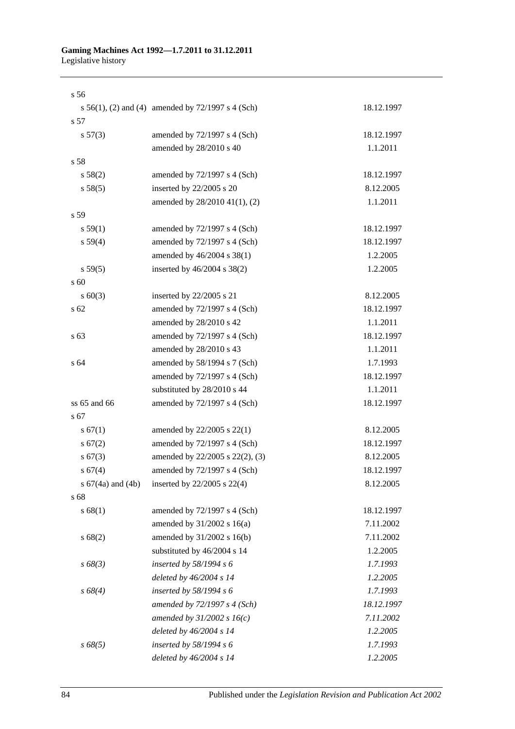| s <sub>56</sub>       |                                                   |            |
|-----------------------|---------------------------------------------------|------------|
|                       | s 56(1), (2) and (4) amended by 72/1997 s 4 (Sch) | 18.12.1997 |
| s 57                  |                                                   |            |
| s 57(3)               | amended by 72/1997 s 4 (Sch)                      | 18.12.1997 |
|                       | amended by 28/2010 s 40                           | 1.1.2011   |
| s 58                  |                                                   |            |
| s 58(2)               | amended by 72/1997 s 4 (Sch)                      | 18.12.1997 |
| s 58(5)               | inserted by 22/2005 s 20                          | 8.12.2005  |
|                       | amended by 28/2010 41(1), (2)                     | 1.1.2011   |
| s 59                  |                                                   |            |
| s 59(1)               | amended by $72/1997$ s 4 (Sch)                    | 18.12.1997 |
| s 59(4)               | amended by 72/1997 s 4 (Sch)                      | 18.12.1997 |
|                       | amended by 46/2004 s 38(1)                        | 1.2.2005   |
| s 59(5)               | inserted by 46/2004 s 38(2)                       | 1.2.2005   |
| s 60                  |                                                   |            |
| $s \ 60(3)$           | inserted by 22/2005 s 21                          | 8.12.2005  |
| s 62                  | amended by 72/1997 s 4 (Sch)                      | 18.12.1997 |
|                       | amended by 28/2010 s 42                           | 1.1.2011   |
| s <sub>63</sub>       | amended by 72/1997 s 4 (Sch)                      | 18.12.1997 |
|                       | amended by 28/2010 s 43                           | 1.1.2011   |
| s 64                  | amended by 58/1994 s 7 (Sch)                      | 1.7.1993   |
|                       | amended by 72/1997 s 4 (Sch)                      | 18.12.1997 |
|                       | substituted by 28/2010 s 44                       | 1.1.2011   |
| $ss 65$ and $66$      | amended by 72/1997 s 4 (Sch)                      | 18.12.1997 |
| s 67                  |                                                   |            |
| s 67(1)               | amended by 22/2005 s 22(1)                        | 8.12.2005  |
| s 67(2)               | amended by $72/1997$ s 4 (Sch)                    | 18.12.1997 |
| s 67(3)               | amended by 22/2005 s 22(2), (3)                   | 8.12.2005  |
| s 67(4)               | amended by 72/1997 s 4 (Sch)                      | 18.12.1997 |
| s $67(4a)$ and $(4b)$ | inserted by 22/2005 s 22(4)                       | 8.12.2005  |
| s 68                  |                                                   |            |
| s 68(1)               | amended by 72/1997 s 4 (Sch)                      | 18.12.1997 |
|                       | amended by 31/2002 s 16(a)                        | 7.11.2002  |
| s 68(2)               | amended by 31/2002 s 16(b)                        | 7.11.2002  |
|                       | substituted by 46/2004 s 14                       | 1.2.2005   |
| $s\,68(3)$            | inserted by $58/1994 s 6$                         | 1.7.1993   |
|                       | deleted by 46/2004 s 14                           | 1.2.2005   |
| $s\,68(4)$            | inserted by $58/1994 s 6$                         | 1.7.1993   |
|                       | amended by $72/1997 s 4 (Sch)$                    | 18.12.1997 |
|                       | amended by $31/2002 s 16(c)$                      | 7.11.2002  |
|                       | deleted by 46/2004 s 14                           | 1.2.2005   |
| $s\,68(5)$            | inserted by 58/1994 s 6                           | 1.7.1993   |
|                       | deleted by 46/2004 s 14                           | 1.2.2005   |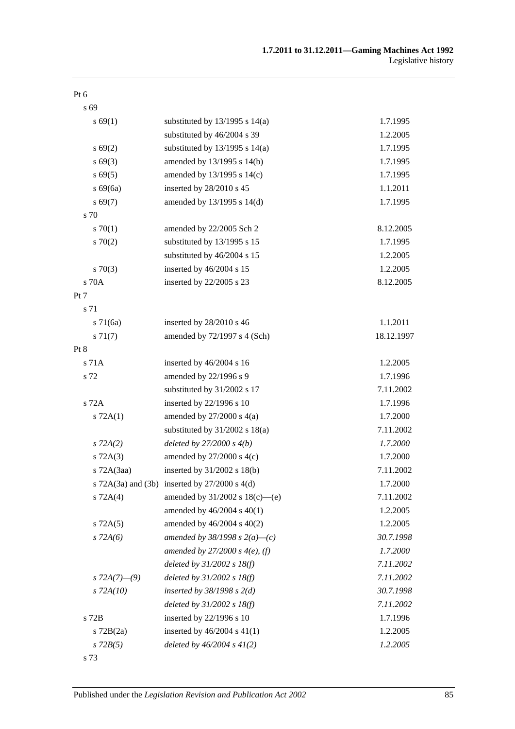| v<br>$\sim$<br>M. | I<br>۰, |
|-------------------|---------|
|-------------------|---------|

s 69

| s 69(1)         | substituted by $13/1995$ s $14(a)$              | 1.7.1995   |
|-----------------|-------------------------------------------------|------------|
|                 | substituted by 46/2004 s 39                     | 1.2.2005   |
| $s\,69(2)$      | substituted by $13/1995$ s $14(a)$              | 1.7.1995   |
| $s\,69(3)$      | amended by 13/1995 s 14(b)                      | 1.7.1995   |
| $s\,69(5)$      | amended by $13/1995$ s $14(c)$                  | 1.7.1995   |
| $s\ 69(6a)$     | inserted by 28/2010 s 45                        | 1.1.2011   |
| s 69(7)         | amended by 13/1995 s 14(d)                      | 1.7.1995   |
| s 70            |                                                 |            |
| 570(1)          | amended by 22/2005 Sch 2                        | 8.12.2005  |
| 570(2)          | substituted by 13/1995 s 15                     | 1.7.1995   |
|                 | substituted by 46/2004 s 15                     | 1.2.2005   |
| $s \, 70(3)$    | inserted by 46/2004 s 15                        | 1.2.2005   |
| s 70A           | inserted by 22/2005 s 23                        | 8.12.2005  |
| Pt 7            |                                                 |            |
| s 71            |                                                 |            |
| $s \, 71(6a)$   | inserted by 28/2010 s 46                        | 1.1.2011   |
| $s \, 71(7)$    | amended by 72/1997 s 4 (Sch)                    | 18.12.1997 |
| Pt 8            |                                                 |            |
| s 71A           | inserted by 46/2004 s 16                        | 1.2.2005   |
| s 72            | amended by 22/1996 s 9                          | 1.7.1996   |
|                 | substituted by 31/2002 s 17                     | 7.11.2002  |
| s 72A           | inserted by 22/1996 s 10                        | 1.7.1996   |
| $s$ 72A(1)      | amended by $27/2000$ s $4(a)$                   | 1.7.2000   |
|                 | substituted by $31/2002$ s $18(a)$              | 7.11.2002  |
| $s$ 72A(2)      | deleted by $27/2000 s 4(b)$                     | 1.7.2000   |
| $s$ 72A(3)      | amended by $27/2000$ s $4(c)$                   | 1.7.2000   |
| $s$ 72A $(3aa)$ | inserted by $31/2002$ s $18(b)$                 | 7.11.2002  |
|                 | s 72A(3a) and (3b) inserted by $27/2000$ s 4(d) | 1.7.2000   |
| $s$ 72A(4)      | amended by 31/2002 s 18(c)—(e)                  | 7.11.2002  |
|                 | amended by $46/2004$ s $40(1)$                  | 1.2.2005   |
| $s$ 72A $(5)$   | amended by 46/2004 s 40(2)                      | 1.2.2005   |
| $s$ 72A(6)      | amended by 38/1998 s $2(a)$ –(c)                | 30.7.1998  |
|                 | amended by $27/2000 s 4(e)$ , (f)               | 1.7.2000   |
|                 | deleted by $31/2002$ s $18(f)$                  | 7.11.2002  |
| s $72A(7)$ —(9) | deleted by $31/2002$ s $18(f)$                  | 7.11.2002  |
| $s$ 72A(10)     | inserted by $38/1998$ s $2(d)$                  | 30.7.1998  |
|                 | deleted by $31/2002$ s $18(f)$                  | 7.11.2002  |
| s 72B           | inserted by 22/1996 s 10                        | 1.7.1996   |
| $s$ 72B $(2a)$  | inserted by $46/2004$ s $41(1)$                 | 1.2.2005   |
| $s$ 72 $B(5)$   | deleted by $46/2004 s 41(2)$                    | 1.2.2005   |
| s 73            |                                                 |            |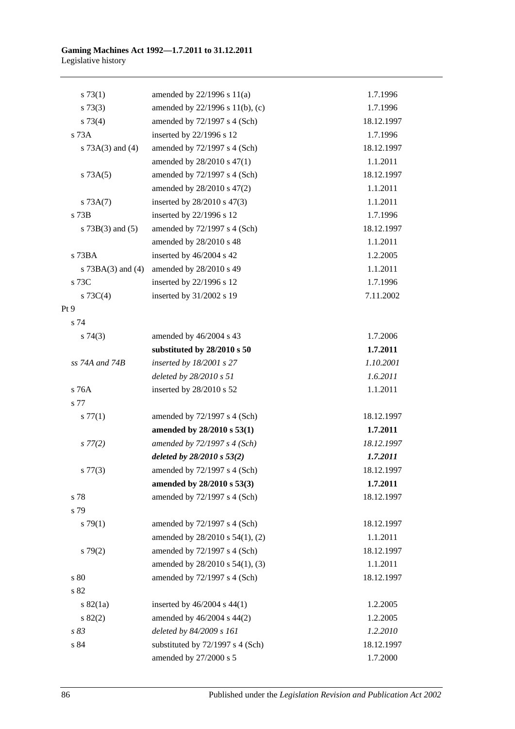| s 73(1)               | amended by $22/1996$ s $11(a)$   | 1.7.1996   |
|-----------------------|----------------------------------|------------|
| $s \, 73(3)$          | amended by 22/1996 s 11(b), (c)  | 1.7.1996   |
| s 73(4)               | amended by 72/1997 s 4 (Sch)     | 18.12.1997 |
| s 73A                 | inserted by 22/1996 s 12         | 1.7.1996   |
| s $73A(3)$ and $(4)$  | amended by 72/1997 s 4 (Sch)     | 18.12.1997 |
|                       | amended by 28/2010 s 47(1)       | 1.1.2011   |
| s 73A(5)              | amended by 72/1997 s 4 (Sch)     | 18.12.1997 |
|                       | amended by 28/2010 s 47(2)       | 1.1.2011   |
| s 73A(7)              | inserted by $28/2010$ s $47(3)$  | 1.1.2011   |
| s 73B                 | inserted by 22/1996 s 12         | 1.7.1996   |
| s $73B(3)$ and $(5)$  | amended by 72/1997 s 4 (Sch)     | 18.12.1997 |
|                       | amended by 28/2010 s 48          | 1.1.2011   |
| $s$ 73BA              | inserted by 46/2004 s 42         | 1.2.2005   |
| s $73BA(3)$ and $(4)$ | amended by 28/2010 s 49          | 1.1.2011   |
| s 73C                 | inserted by 22/1996 s 12         | 1.7.1996   |
| s $73C(4)$            | inserted by 31/2002 s 19         | 7.11.2002  |
| Pt 9                  |                                  |            |
| s 74                  |                                  |            |
| s74(3)                | amended by 46/2004 s 43          | 1.7.2006   |
|                       | substituted by 28/2010 s 50      | 1.7.2011   |
| ss 74A and 74B        | inserted by $18/2001$ s 27       | 1.10.2001  |
|                       | deleted by 28/2010 s 51          | 1.6.2011   |
| s 76A                 | inserted by 28/2010 s 52         | 1.1.2011   |
| s 77                  |                                  |            |
| s 77(1)               | amended by 72/1997 s 4 (Sch)     | 18.12.1997 |
|                       | amended by 28/2010 s 53(1)       | 1.7.2011   |
| $s\,77(2)$            | amended by 72/1997 s 4 (Sch)     | 18.12.1997 |
|                       | deleted by $28/2010 s 53(2)$     | 1.7.2011   |
| $s\,77(3)$            | amended by $72/1997$ s 4 (Sch)   | 18.12.1997 |
|                       | amended by 28/2010 s 53(3)       | 1.7.2011   |
| s 78                  | amended by 72/1997 s 4 (Sch)     | 18.12.1997 |
| s 79                  |                                  |            |
| $s \, 79(1)$          | amended by 72/1997 s 4 (Sch)     | 18.12.1997 |
|                       | amended by 28/2010 s 54(1), (2)  | 1.1.2011   |
| s79(2)                | amended by 72/1997 s 4 (Sch)     | 18.12.1997 |
|                       | amended by 28/2010 s 54(1), (3)  | 1.1.2011   |
| s 80                  | amended by 72/1997 s 4 (Sch)     | 18.12.1997 |
| s 82                  |                                  |            |
| s 82(1a)              | inserted by $46/2004$ s $44(1)$  | 1.2.2005   |
| s 82(2)               | amended by 46/2004 s 44(2)       | 1.2.2005   |
| s 83                  | deleted by 84/2009 s 161         | 1.2.2010   |
| s 84                  | substituted by 72/1997 s 4 (Sch) | 18.12.1997 |
|                       | amended by 27/2000 s 5           | 1.7.2000   |

86 Published under the *Legislation Revision and Publication Act 2002*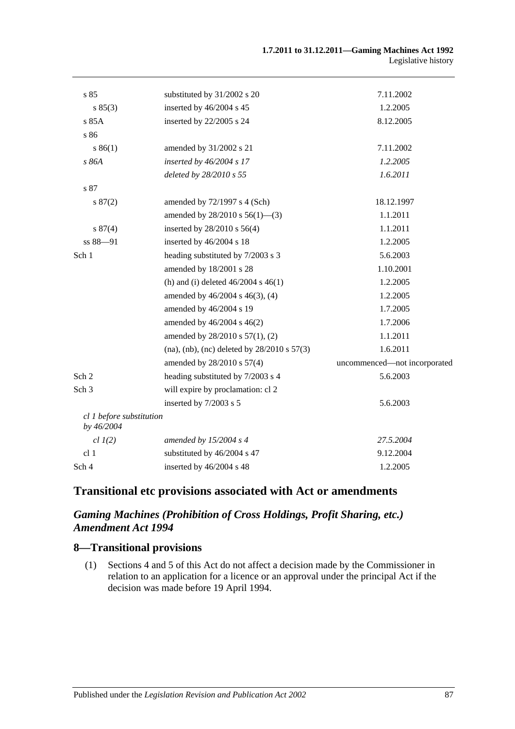| s 85                                   | substituted by 31/2002 s 20                     | 7.11.2002                    |
|----------------------------------------|-------------------------------------------------|------------------------------|
| s 85(3)                                | inserted by 46/2004 s 45                        | 1.2.2005                     |
| s 85A                                  | inserted by 22/2005 s 24                        | 8.12.2005                    |
| s 86                                   |                                                 |                              |
| s 86(1)                                | amended by 31/2002 s 21                         | 7.11.2002                    |
| s 86A                                  | inserted by 46/2004 s 17                        | 1.2.2005                     |
|                                        | deleted by 28/2010 s 55                         | 1.6.2011                     |
| s 87                                   |                                                 |                              |
| s 87(2)                                | amended by $72/1997$ s 4 (Sch)                  | 18.12.1997                   |
|                                        | amended by $28/2010$ s $56(1)$ —(3)             | 1.1.2011                     |
| s 87(4)                                | inserted by 28/2010 s 56(4)                     | 1.1.2011                     |
| ss 88-91                               | inserted by 46/2004 s 18                        | 1.2.2005                     |
| Sch 1                                  | heading substituted by 7/2003 s 3               | 5.6.2003                     |
|                                        | amended by 18/2001 s 28                         | 1.10.2001                    |
|                                        | (h) and (i) deleted $46/2004$ s $46(1)$         | 1.2.2005                     |
|                                        | amended by 46/2004 s 46(3), (4)                 | 1.2.2005                     |
|                                        | amended by 46/2004 s 19                         | 1.7.2005                     |
|                                        | amended by 46/2004 s 46(2)                      | 1.7.2006                     |
|                                        | amended by 28/2010 s 57(1), (2)                 | 1.1.2011                     |
|                                        | (na), (nb), (nc) deleted by $28/2010$ s $57(3)$ | 1.6.2011                     |
|                                        | amended by 28/2010 s 57(4)                      | uncommenced-not incorporated |
| Sch 2                                  | heading substituted by 7/2003 s 4               | 5.6.2003                     |
| Sch <sub>3</sub>                       | will expire by proclamation: cl 2               |                              |
|                                        | inserted by 7/2003 s 5                          | 5.6.2003                     |
| cl 1 before substitution<br>by 46/2004 |                                                 |                              |
| $cl$ $I(2)$                            | amended by $15/2004$ s 4                        | 27.5.2004                    |
| cl <sub>1</sub>                        | substituted by 46/2004 s 47                     | 9.12.2004                    |
| Sch 4                                  | inserted by 46/2004 s 48                        | 1.2.2005                     |

## **Transitional etc provisions associated with Act or amendments**

### *Gaming Machines (Prohibition of Cross Holdings, Profit Sharing, etc.) Amendment Act 1994*

#### **8—Transitional provisions**

(1) Sections 4 and 5 of this Act do not affect a decision made by the Commissioner in relation to an application for a licence or an approval under the principal Act if the decision was made before 19 April 1994.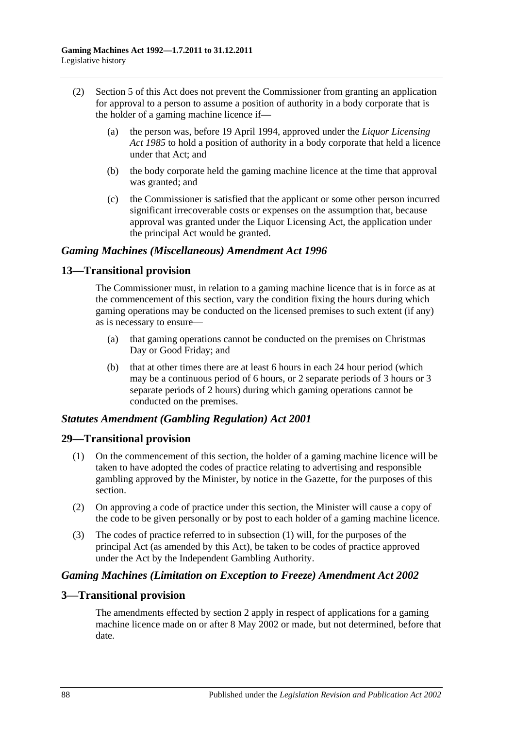- (2) Section 5 of this Act does not prevent the Commissioner from granting an application for approval to a person to assume a position of authority in a body corporate that is the holder of a gaming machine licence if—
	- (a) the person was, before 19 April 1994, approved under the *[Liquor Licensing](http://www.legislation.sa.gov.au/index.aspx?action=legref&type=act&legtitle=Liquor%20Licensing%20Act%201985)  Act [1985](http://www.legislation.sa.gov.au/index.aspx?action=legref&type=act&legtitle=Liquor%20Licensing%20Act%201985)* to hold a position of authority in a body corporate that held a licence under that Act; and
	- (b) the body corporate held the gaming machine licence at the time that approval was granted; and
	- (c) the Commissioner is satisfied that the applicant or some other person incurred significant irrecoverable costs or expenses on the assumption that, because approval was granted under the Liquor Licensing Act, the application under the principal Act would be granted.

#### *Gaming Machines (Miscellaneous) Amendment Act 1996*

#### **13—Transitional provision**

The Commissioner must, in relation to a gaming machine licence that is in force as at the commencement of this section, vary the condition fixing the hours during which gaming operations may be conducted on the licensed premises to such extent (if any) as is necessary to ensure—

- (a) that gaming operations cannot be conducted on the premises on Christmas Day or Good Friday; and
- (b) that at other times there are at least 6 hours in each 24 hour period (which may be a continuous period of 6 hours, or 2 separate periods of 3 hours or 3 separate periods of 2 hours) during which gaming operations cannot be conducted on the premises.

#### *Statutes Amendment (Gambling Regulation) Act 2001*

#### **29—Transitional provision**

- (1) On the commencement of this section, the holder of a gaming machine licence will be taken to have adopted the codes of practice relating to advertising and responsible gambling approved by the Minister, by notice in the Gazette, for the purposes of this section.
- (2) On approving a code of practice under this section, the Minister will cause a copy of the code to be given personally or by post to each holder of a gaming machine licence.
- (3) The codes of practice referred to in subsection (1) will, for the purposes of the principal Act (as amended by this Act), be taken to be codes of practice approved under the Act by the Independent Gambling Authority.

#### *Gaming Machines (Limitation on Exception to Freeze) Amendment Act 2002*

#### **3—Transitional provision**

The amendments effected by section 2 apply in respect of applications for a gaming machine licence made on or after 8 May 2002 or made, but not determined, before that date.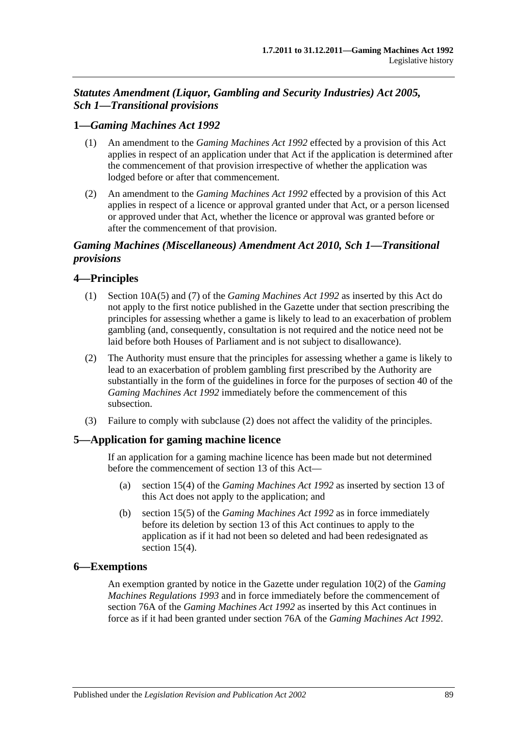## *Statutes Amendment (Liquor, Gambling and Security Industries) Act 2005, Sch 1—Transitional provisions*

### **1—***Gaming Machines Act 1992*

- (1) An amendment to the *[Gaming Machines Act](http://www.legislation.sa.gov.au/index.aspx?action=legref&type=act&legtitle=Gaming%20Machines%20Act%201992) 1992* effected by a provision of this Act applies in respect of an application under that Act if the application is determined after the commencement of that provision irrespective of whether the application was lodged before or after that commencement.
- (2) An amendment to the *[Gaming Machines Act](http://www.legislation.sa.gov.au/index.aspx?action=legref&type=act&legtitle=Gaming%20Machines%20Act%201992) 1992* effected by a provision of this Act applies in respect of a licence or approval granted under that Act, or a person licensed or approved under that Act, whether the licence or approval was granted before or after the commencement of that provision.

### *Gaming Machines (Miscellaneous) Amendment Act 2010, Sch 1—Transitional provisions*

### **4—Principles**

- (1) Section 10A(5) and (7) of the *[Gaming Machines Act](http://www.legislation.sa.gov.au/index.aspx?action=legref&type=act&legtitle=Gaming%20Machines%20Act%201992) 1992* as inserted by this Act do not apply to the first notice published in the Gazette under that section prescribing the principles for assessing whether a game is likely to lead to an exacerbation of problem gambling (and, consequently, consultation is not required and the notice need not be laid before both Houses of Parliament and is not subject to disallowance).
- <span id="page-88-0"></span>(2) The Authority must ensure that the principles for assessing whether a game is likely to lead to an exacerbation of problem gambling first prescribed by the Authority are substantially in the form of the guidelines in force for the purposes of section 40 of the *[Gaming Machines Act](http://www.legislation.sa.gov.au/index.aspx?action=legref&type=act&legtitle=Gaming%20Machines%20Act%201992) 1992* immediately before the commencement of this subsection.
- (3) Failure to comply with [subclause](#page-88-0) (2) does not affect the validity of the principles.

#### **5—Application for gaming machine licence**

If an application for a gaming machine licence has been made but not determined before the commencement of section 13 of this Act—

- (a) section 15(4) of the *[Gaming Machines Act](http://www.legislation.sa.gov.au/index.aspx?action=legref&type=act&legtitle=Gaming%20Machines%20Act%201992) 1992* as inserted by section 13 of this Act does not apply to the application; and
- (b) section 15(5) of the *[Gaming Machines Act](http://www.legislation.sa.gov.au/index.aspx?action=legref&type=act&legtitle=Gaming%20Machines%20Act%201992) 1992* as in force immediately before its deletion by section 13 of this Act continues to apply to the application as if it had not been so deleted and had been redesignated as section 15(4).

#### **6—Exemptions**

An exemption granted by notice in the Gazette under regulation 10(2) of the *[Gaming](http://www.legislation.sa.gov.au/index.aspx?action=legref&type=subordleg&legtitle=Gaming%20Machines%20Regulations%201993)  [Machines Regulations](http://www.legislation.sa.gov.au/index.aspx?action=legref&type=subordleg&legtitle=Gaming%20Machines%20Regulations%201993) 1993* and in force immediately before the commencement of section 76A of the *[Gaming Machines Act](http://www.legislation.sa.gov.au/index.aspx?action=legref&type=act&legtitle=Gaming%20Machines%20Act%201992) 1992* as inserted by this Act continues in force as if it had been granted under section 76A of the *[Gaming Machines Act](http://www.legislation.sa.gov.au/index.aspx?action=legref&type=act&legtitle=Gaming%20Machines%20Act%201992) 1992*.